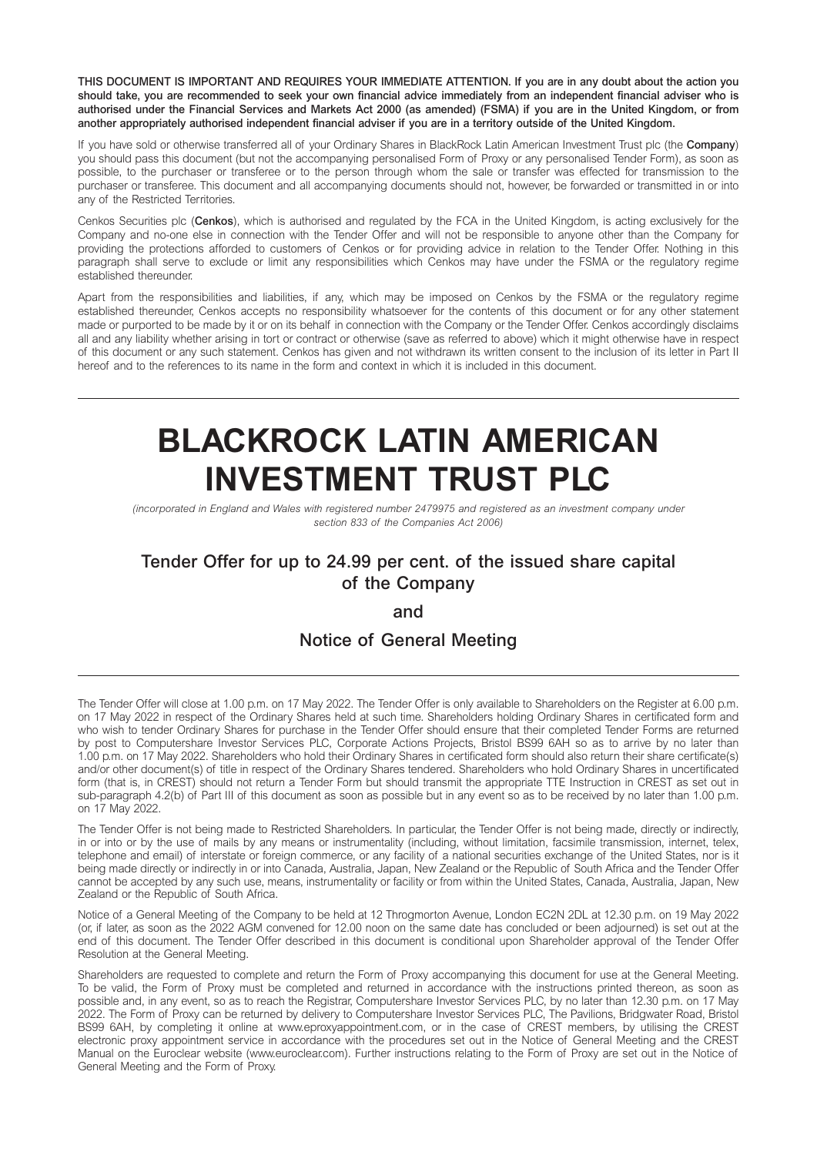**THIS DOCUMENT IS IMPORTANT AND REQUIRES YOUR IMMEDIATE ATTENTION. If you are in any doubt about the action you should take, you are recommended to seek your own financial advice immediately from an independent financial adviser who is authorised under the Financial Services and Markets Act 2000 (as amended) (FSMA) if you are in the United Kingdom, or from another appropriately authorised independent financial adviser if you are in a territory outside of the United Kingdom.** 

If you have sold or otherwise transferred all of your Ordinary Shares in BlackRock Latin American Investment Trust plc (the **Company**) you should pass this document (but not the accompanying personalised Form of Proxy or any personalised Tender Form), as soon as possible, to the purchaser or transferee or to the person through whom the sale or transfer was effected for transmission to the purchaser or transferee. This document and all accompanying documents should not, however, be forwarded or transmitted in or into any of the Restricted Territories.

Cenkos Securities plc (**Cenkos**), which is authorised and regulated by the FCA in the United Kingdom, is acting exclusively for the Company and no-one else in connection with the Tender Offer and will not be responsible to anyone other than the Company for providing the protections afforded to customers of Cenkos or for providing advice in relation to the Tender Offer. Nothing in this paragraph shall serve to exclude or limit any responsibilities which Cenkos may have under the FSMA or the regulatory regime established thereunder.

Apart from the responsibilities and liabilities, if any, which may be imposed on Cenkos by the FSMA or the regulatory regime established thereunder, Cenkos accepts no responsibility whatsoever for the contents of this document or for any other statement made or purported to be made by it or on its behalf in connection with the Company or the Tender Offer. Cenkos accordingly disclaims all and any liability whether arising in tort or contract or otherwise (save as referred to above) which it might otherwise have in respect of this document or any such statement. Cenkos has given and not withdrawn its written consent to the inclusion of its letter in Part II hereof and to the references to its name in the form and context in which it is included in this document.

# **BLACKROCK LATIN AMERICAN INVESTMENT TRUST PLC**

*(incorporated in England and Wales with registered number 2479975 and registered as an investment company under section 833 of the Companies Act 2006)* 

# **Tender Offer for up to 24.99 per cent. of the issued share capital of the Company**

# **and**

# **Notice of General Meeting**

The Tender Offer will close at 1.00 p.m. on 17 May 2022. The Tender Offer is only available to Shareholders on the Register at 6.00 p.m. on 17 May 2022 in respect of the Ordinary Shares held at such time. Shareholders holding Ordinary Shares in certificated form and who wish to tender Ordinary Shares for purchase in the Tender Offer should ensure that their completed Tender Forms are returned by post to Computershare Investor Services PLC, Corporate Actions Projects, Bristol BS99 6AH so as to arrive by no later than 1.00 p.m. on 17 May 2022. Shareholders who hold their Ordinary Shares in certificated form should also return their share certificate(s) and/or other document(s) of title in respect of the Ordinary Shares tendered. Shareholders who hold Ordinary Shares in uncertificated form (that is, in CREST) should not return a Tender Form but should transmit the appropriate TTE Instruction in CREST as set out in sub-paragraph 4.2(b) of Part III of this document as soon as possible but in any event so as to be received by no later than 1.00 p.m. on 17 May 2022.

The Tender Offer is not being made to Restricted Shareholders. In particular, the Tender Offer is not being made, directly or indirectly, in or into or by the use of mails by any means or instrumentality (including, without limitation, facsimile transmission, internet, telex, telephone and email) of interstate or foreign commerce, or any facility of a national securities exchange of the United States, nor is it being made directly or indirectly in or into Canada, Australia, Japan, New Zealand or the Republic of South Africa and the Tender Offer cannot be accepted by any such use, means, instrumentality or facility or from within the United States, Canada, Australia, Japan, New Zealand or the Republic of South Africa.

Notice of a General Meeting of the Company to be held at 12 Throgmorton Avenue, London EC2N 2DL at 12.30 p.m. on 19 May 2022 (or, if later, as soon as the 2022 AGM convened for 12.00 noon on the same date has concluded or been adjourned) is set out at the end of this document. The Tender Offer described in this document is conditional upon Shareholder approval of the Tender Offer Resolution at the General Meeting.

Shareholders are requested to complete and return the Form of Proxy accompanying this document for use at the General Meeting. To be valid, the Form of Proxy must be completed and returned in accordance with the instructions printed thereon, as soon as possible and, in any event, so as to reach the Registrar, Computershare Investor Services PLC, by no later than 12.30 p.m. on 17 May 2022. The Form of Proxy can be returned by delivery to Computershare Investor Services PLC, The Pavilions, Bridgwater Road, Bristol BS99 6AH, by completing it online at www.eproxyappointment.com, or in the case of CREST members, by utilising the CREST electronic proxy appointment service in accordance with the procedures set out in the Notice of General Meeting and the CREST Manual on the Euroclear website (www.euroclear.com). Further instructions relating to the Form of Proxy are set out in the Notice of General Meeting and the Form of Proxy.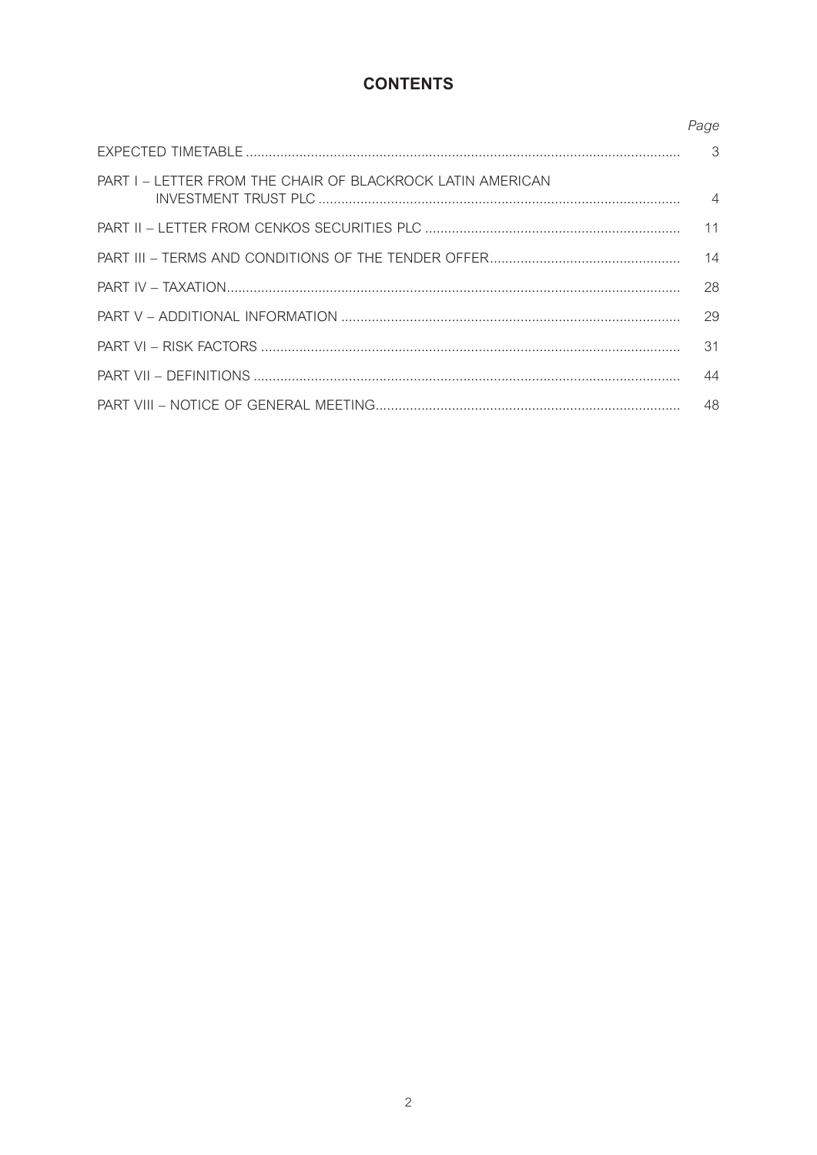# **CONTENTS**

|                                                                   | Page |
|-------------------------------------------------------------------|------|
|                                                                   |      |
| <b>PART I – LETTER FROM THE CHAIR OF BLACKROCK LATIN AMERICAN</b> |      |
|                                                                   | 11   |
|                                                                   | 14   |
|                                                                   | 28   |
|                                                                   | 29   |
|                                                                   | 31   |
|                                                                   | 44   |
|                                                                   | 48   |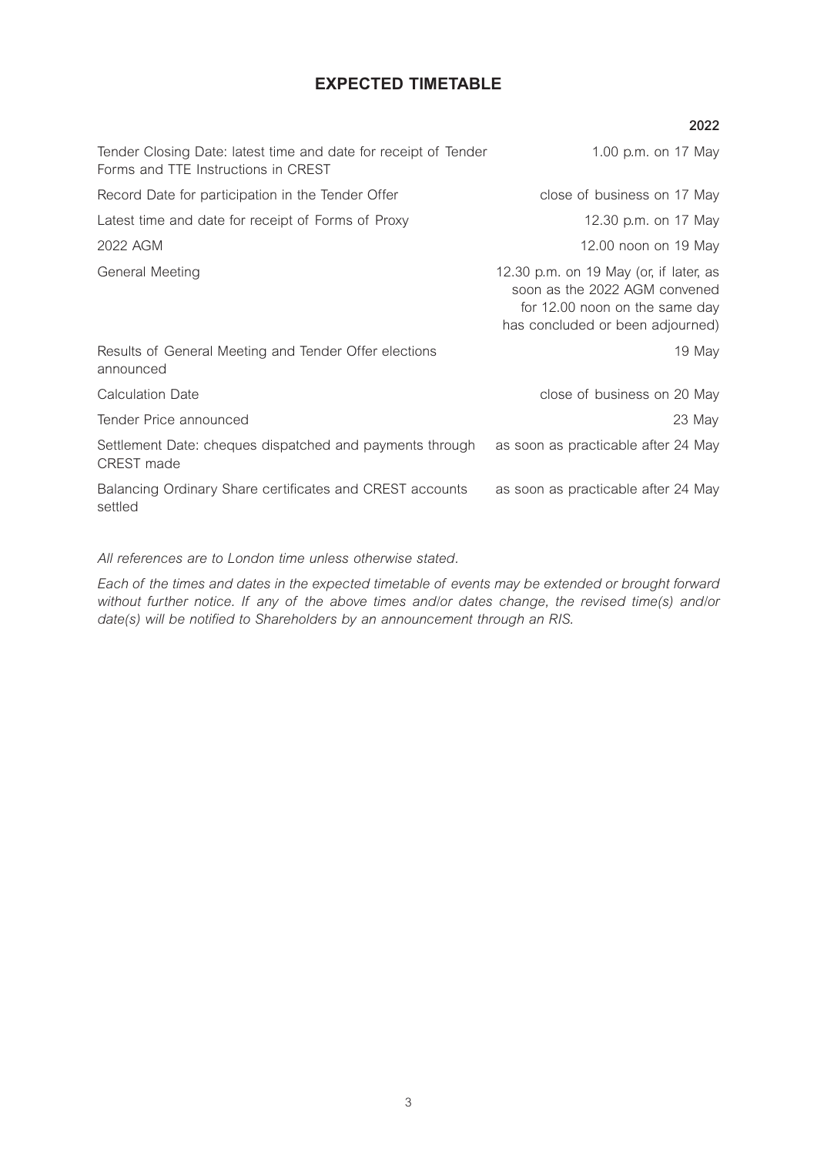# **EXPECTED TIMETABLE**

|                                                                                                        | 2022                                                                                                                                          |
|--------------------------------------------------------------------------------------------------------|-----------------------------------------------------------------------------------------------------------------------------------------------|
| Tender Closing Date: latest time and date for receipt of Tender<br>Forms and TTE Instructions in CREST | 1.00 p.m. on 17 May                                                                                                                           |
| Record Date for participation in the Tender Offer                                                      | close of business on 17 May                                                                                                                   |
| Latest time and date for receipt of Forms of Proxy                                                     | 12.30 p.m. on 17 May                                                                                                                          |
| 2022 AGM                                                                                               | 12.00 noon on 19 May                                                                                                                          |
| General Meeting                                                                                        | 12.30 p.m. on 19 May (or, if later, as<br>soon as the 2022 AGM convened<br>for 12.00 noon on the same day<br>has concluded or been adjourned) |
| Results of General Meeting and Tender Offer elections<br>announced                                     | 19 May                                                                                                                                        |
| <b>Calculation Date</b>                                                                                | close of business on 20 May                                                                                                                   |
| Tender Price announced                                                                                 | 23 May                                                                                                                                        |
| Settlement Date: cheques dispatched and payments through<br>CREST made                                 | as soon as practicable after 24 May                                                                                                           |
| Balancing Ordinary Share certificates and CREST accounts<br>settled                                    | as soon as practicable after 24 May                                                                                                           |

# *All references are to London time unless otherwise stated.*

*Each of the times and dates in the expected timetable of events may be extended or brought forward without further notice. If any of the above times and/or dates change, the revised time(s) and/or date(s) will be notified to Shareholders by an announcement through an RIS.*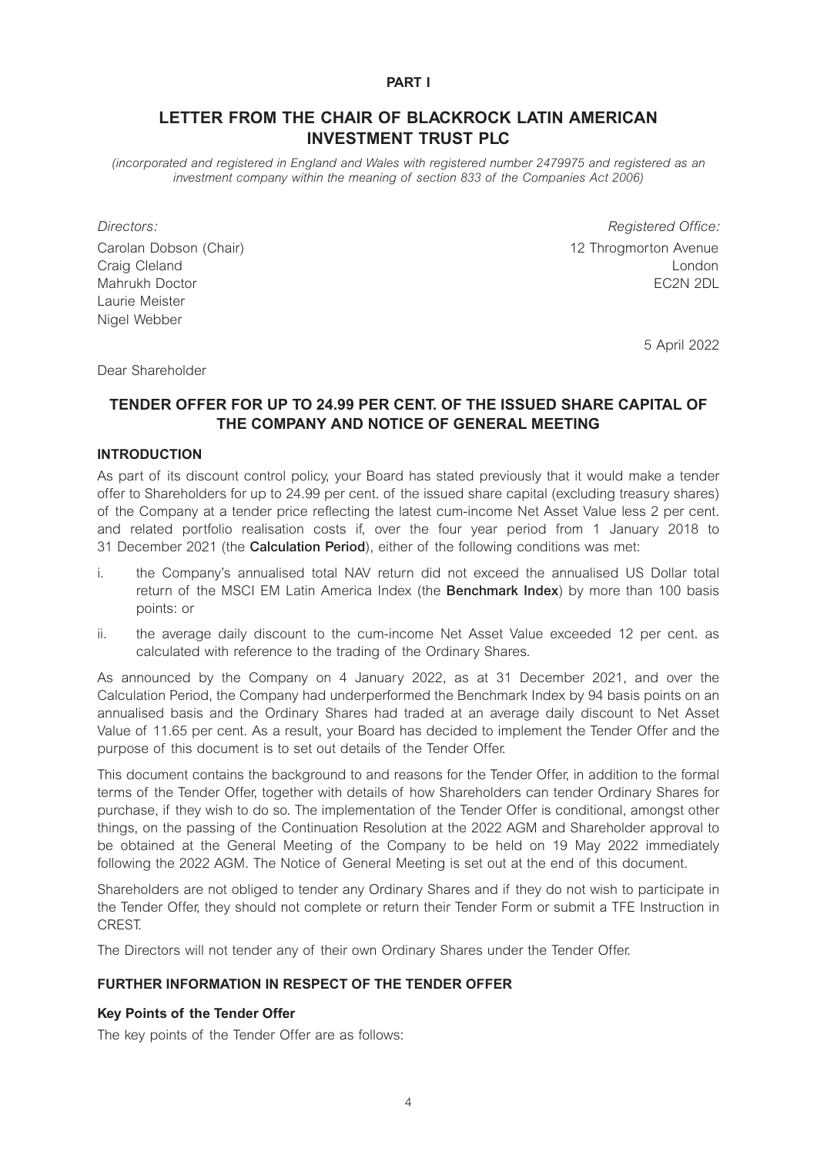#### **PART I**

# **LETTER FROM THE CHAIR OF BLACKROCK LATIN AMERICAN INVESTMENT TRUST PLC**

*(incorporated and registered in England and Wales with registered number 2479975 and registered as an*  investment company within the meaning of section 833 of the Companies Act 2006)

Laurie Meister Nigel Webber

*Directors: Registered Office:*  Carolan Dobson (Chair) 12 Throgmorton Avenue Craig Cleland London Mahrukh Doctor EC2N 2DL

5 April 2022

Dear Shareholder

# **TENDER OFFER FOR UP TO 24.99 PER CENT. OF THE ISSUED SHARE CAPITAL OF THE COMPANY AND NOTICE OF GENERAL MEETING**

#### **INTRODUCTION**

As part of its discount control policy, your Board has stated previously that it would make a tender offer to Shareholders for up to 24.99 per cent. of the issued share capital (excluding treasury shares) of the Company at a tender price reflecting the latest cum-income Net Asset Value less 2 per cent. and related portfolio realisation costs if, over the four year period from 1 January 2018 to 31 December 2021 (the **Calculation Period**), either of the following conditions was met:

- i. the Company's annualised total NAV return did not exceed the annualised US Dollar total return of the MSCI EM Latin America Index (the **Benchmark Index**) by more than 100 basis points: or
- ii. the average daily discount to the cum-income Net Asset Value exceeded 12 per cent. as calculated with reference to the trading of the Ordinary Shares.

As announced by the Company on 4 January 2022, as at 31 December 2021, and over the Calculation Period, the Company had underperformed the Benchmark Index by 94 basis points on an annualised basis and the Ordinary Shares had traded at an average daily discount to Net Asset Value of 11.65 per cent. As a result, your Board has decided to implement the Tender Offer and the purpose of this document is to set out details of the Tender Offer.

This document contains the background to and reasons for the Tender Offer, in addition to the formal terms of the Tender Offer, together with details of how Shareholders can tender Ordinary Shares for purchase, if they wish to do so. The implementation of the Tender Offer is conditional, amongst other things, on the passing of the Continuation Resolution at the 2022 AGM and Shareholder approval to be obtained at the General Meeting of the Company to be held on 19 May 2022 immediately following the 2022 AGM. The Notice of General Meeting is set out at the end of this document.

Shareholders are not obliged to tender any Ordinary Shares and if they do not wish to participate in the Tender Offer, they should not complete or return their Tender Form or submit a TFE Instruction in CREST.

The Directors will not tender any of their own Ordinary Shares under the Tender Offer.

# **FURTHER INFORMATION IN RESPECT OF THE TENDER OFFER**

#### **Key Points of the Tender Offer**

The key points of the Tender Offer are as follows: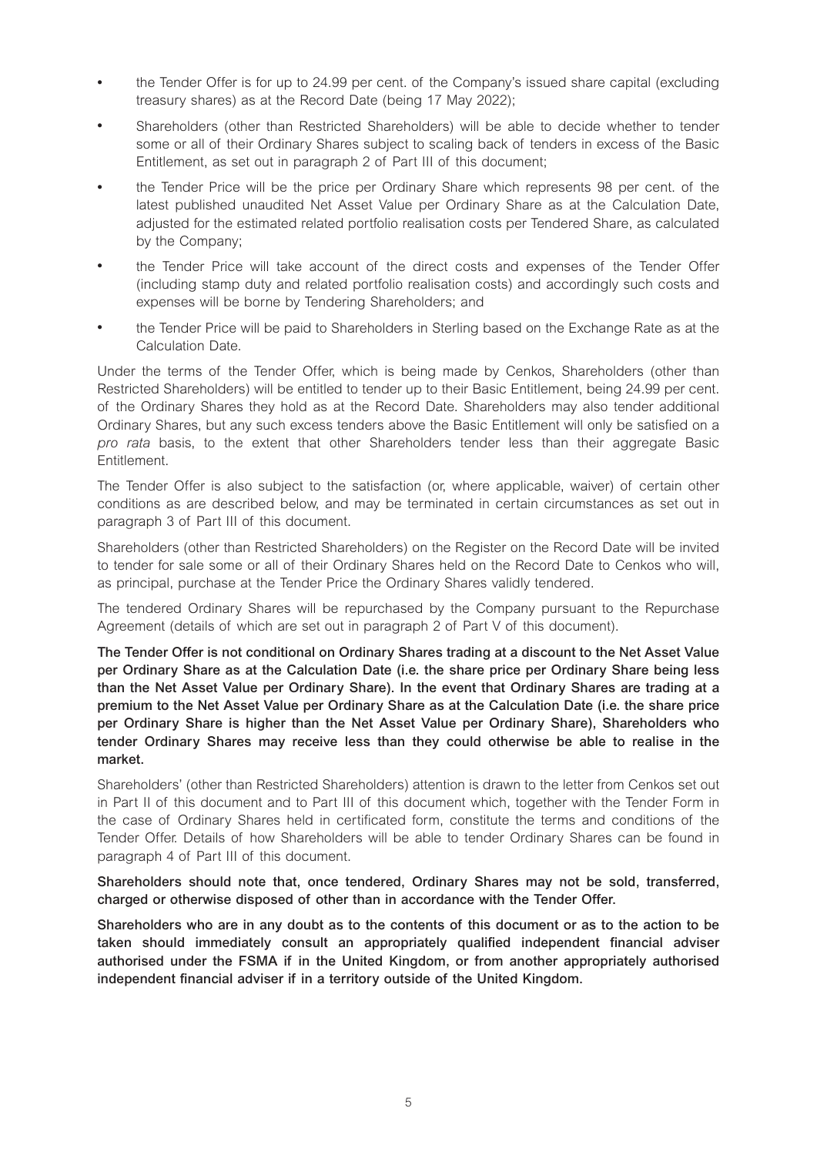- the Tender Offer is for up to 24.99 per cent. of the Company's issued share capital (excluding treasury shares) as at the Record Date (being 17 May 2022);
- <sup>l</sup> Shareholders (other than Restricted Shareholders) will be able to decide whether to tender some or all of their Ordinary Shares subject to scaling back of tenders in excess of the Basic Entitlement, as set out in paragraph 2 of Part III of this document;
- the Tender Price will be the price per Ordinary Share which represents 98 per cent. of the latest published unaudited Net Asset Value per Ordinary Share as at the Calculation Date, adjusted for the estimated related portfolio realisation costs per Tendered Share, as calculated by the Company;
- the Tender Price will take account of the direct costs and expenses of the Tender Offer (including stamp duty and related portfolio realisation costs) and accordingly such costs and expenses will be borne by Tendering Shareholders; and
- <sup>l</sup> the Tender Price will be paid to Shareholders in Sterling based on the Exchange Rate as at the Calculation Date.

Under the terms of the Tender Offer, which is being made by Cenkos, Shareholders (other than Restricted Shareholders) will be entitled to tender up to their Basic Entitlement, being 24.99 per cent. of the Ordinary Shares they hold as at the Record Date. Shareholders may also tender additional Ordinary Shares, but any such excess tenders above the Basic Entitlement will only be satisfied on a *pro rata* basis, to the extent that other Shareholders tender less than their aggregate Basic Entitlement.

The Tender Offer is also subject to the satisfaction (or, where applicable, waiver) of certain other conditions as are described below, and may be terminated in certain circumstances as set out in paragraph 3 of Part III of this document.

Shareholders (other than Restricted Shareholders) on the Register on the Record Date will be invited to tender for sale some or all of their Ordinary Shares held on the Record Date to Cenkos who will, as principal, purchase at the Tender Price the Ordinary Shares validly tendered.

The tendered Ordinary Shares will be repurchased by the Company pursuant to the Repurchase Agreement (details of which are set out in paragraph 2 of Part V of this document).

**The Tender Offer is not conditional on Ordinary Shares trading at a discount to the Net Asset Value per Ordinary Share as at the Calculation Date (i.e. the share price per Ordinary Share being less than the Net Asset Value per Ordinary Share). In the event that Ordinary Shares are trading at a premium to the Net Asset Value per Ordinary Share as at the Calculation Date (i.e. the share price per Ordinary Share is higher than the Net Asset Value per Ordinary Share), Shareholders who tender Ordinary Shares may receive less than they could otherwise be able to realise in the market.** 

Shareholders' (other than Restricted Shareholders) attention is drawn to the letter from Cenkos set out in Part II of this document and to Part III of this document which, together with the Tender Form in the case of Ordinary Shares held in certificated form, constitute the terms and conditions of the Tender Offer. Details of how Shareholders will be able to tender Ordinary Shares can be found in paragraph 4 of Part III of this document.

**Shareholders should note that, once tendered, Ordinary Shares may not be sold, transferred, charged or otherwise disposed of other than in accordance with the Tender Offer.** 

**Shareholders who are in any doubt as to the contents of this document or as to the action to be taken should immediately consult an appropriately qualified independent financial adviser authorised under the FSMA if in the United Kingdom, or from another appropriately authorised independent financial adviser if in a territory outside of the United Kingdom.**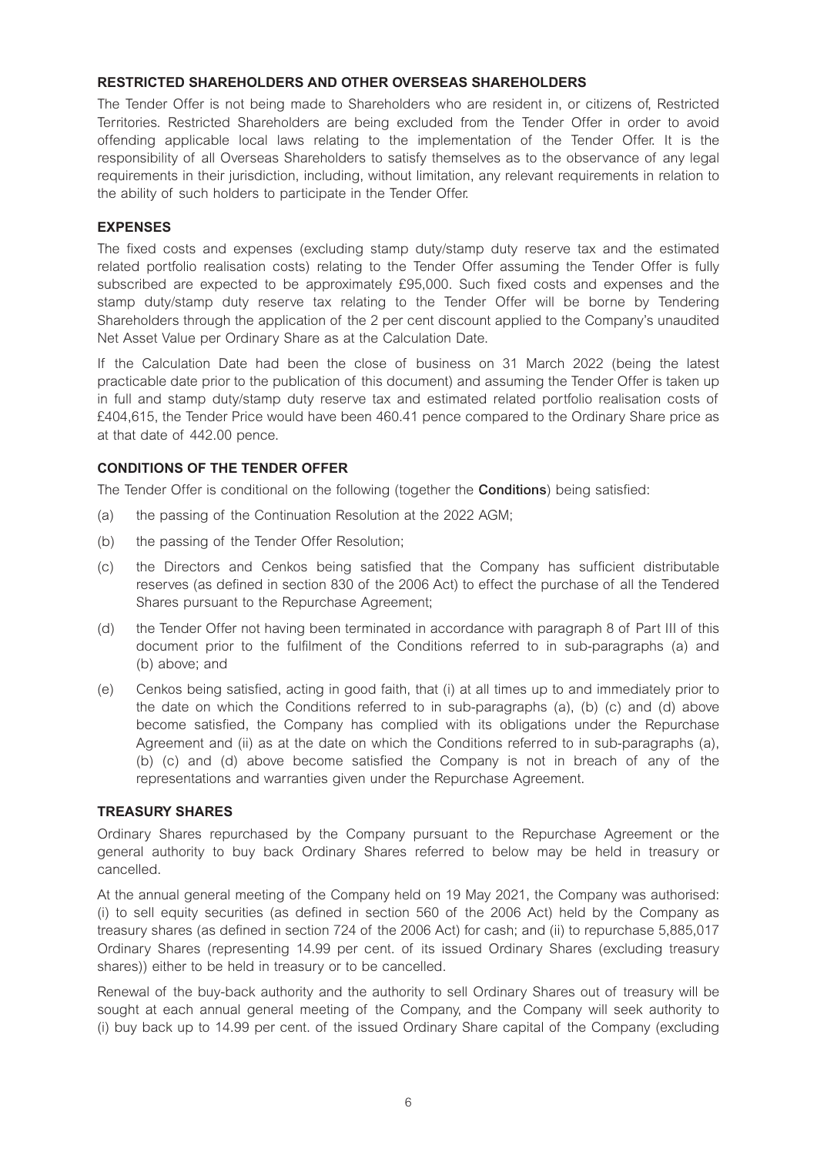# **RESTRICTED SHAREHOLDERS AND OTHER OVERSEAS SHAREHOLDERS**

The Tender Offer is not being made to Shareholders who are resident in, or citizens of, Restricted Territories. Restricted Shareholders are being excluded from the Tender Offer in order to avoid offending applicable local laws relating to the implementation of the Tender Offer. It is the responsibility of all Overseas Shareholders to satisfy themselves as to the observance of any legal requirements in their jurisdiction, including, without limitation, any relevant requirements in relation to the ability of such holders to participate in the Tender Offer.

# **EXPENSES**

The fixed costs and expenses (excluding stamp duty/stamp duty reserve tax and the estimated related portfolio realisation costs) relating to the Tender Offer assuming the Tender Offer is fully subscribed are expected to be approximately £95,000. Such fixed costs and expenses and the stamp duty/stamp duty reserve tax relating to the Tender Offer will be borne by Tendering Shareholders through the application of the 2 per cent discount applied to the Company's unaudited Net Asset Value per Ordinary Share as at the Calculation Date.

If the Calculation Date had been the close of business on 31 March 2022 (being the latest practicable date prior to the publication of this document) and assuming the Tender Offer is taken up in full and stamp duty/stamp duty reserve tax and estimated related portfolio realisation costs of £404,615, the Tender Price would have been 460.41 pence compared to the Ordinary Share price as at that date of 442.00 pence.

# **CONDITIONS OF THE TENDER OFFER**

The Tender Offer is conditional on the following (together the **Conditions**) being satisfied:

- (a) the passing of the Continuation Resolution at the 2022 AGM;
- (b) the passing of the Tender Offer Resolution;
- (c) the Directors and Cenkos being satisfied that the Company has sufficient distributable reserves (as defined in section 830 of the 2006 Act) to effect the purchase of all the Tendered Shares pursuant to the Repurchase Agreement;
- (d) the Tender Offer not having been terminated in accordance with paragraph 8 of Part III of this document prior to the fulfilment of the Conditions referred to in sub-paragraphs (a) and (b) above; and
- (e) Cenkos being satisfied, acting in good faith, that (i) at all times up to and immediately prior to the date on which the Conditions referred to in sub-paragraphs (a), (b) (c) and (d) above become satisfied, the Company has complied with its obligations under the Repurchase Agreement and (ii) as at the date on which the Conditions referred to in sub-paragraphs (a), (b) (c) and (d) above become satisfied the Company is not in breach of any of the representations and warranties given under the Repurchase Agreement.

# **TREASURY SHARES**

Ordinary Shares repurchased by the Company pursuant to the Repurchase Agreement or the general authority to buy back Ordinary Shares referred to below may be held in treasury or cancelled.

At the annual general meeting of the Company held on 19 May 2021, the Company was authorised: (i) to sell equity securities (as defined in section 560 of the 2006 Act) held by the Company as treasury shares (as defined in section 724 of the 2006 Act) for cash; and (ii) to repurchase 5,885,017 Ordinary Shares (representing 14.99 per cent. of its issued Ordinary Shares (excluding treasury shares)) either to be held in treasury or to be cancelled.

Renewal of the buy-back authority and the authority to sell Ordinary Shares out of treasury will be sought at each annual general meeting of the Company, and the Company will seek authority to (i) buy back up to 14.99 per cent. of the issued Ordinary Share capital of the Company (excluding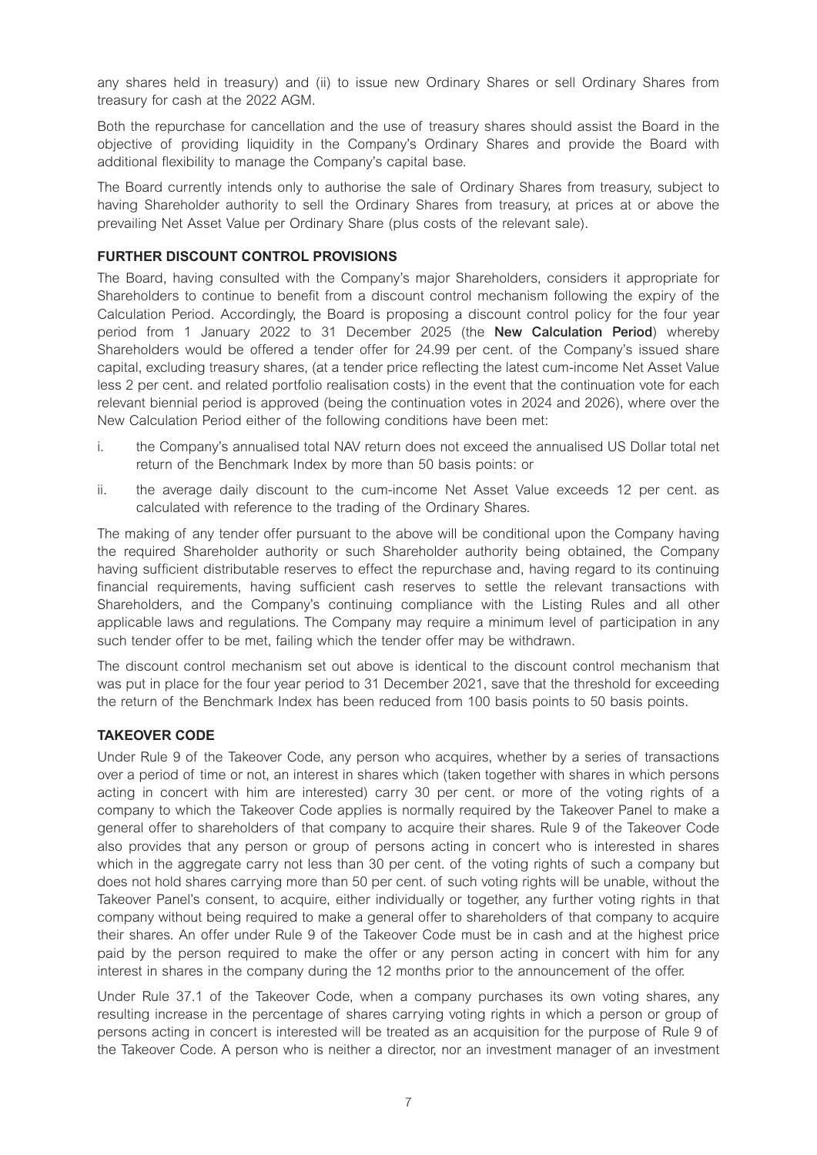any shares held in treasury) and (ii) to issue new Ordinary Shares or sell Ordinary Shares from treasury for cash at the 2022 AGM.

Both the repurchase for cancellation and the use of treasury shares should assist the Board in the objective of providing liquidity in the Company's Ordinary Shares and provide the Board with additional flexibility to manage the Company's capital base.

The Board currently intends only to authorise the sale of Ordinary Shares from treasury, subject to having Shareholder authority to sell the Ordinary Shares from treasury, at prices at or above the prevailing Net Asset Value per Ordinary Share (plus costs of the relevant sale).

# **FURTHER DISCOUNT CONTROL PROVISIONS**

The Board, having consulted with the Company's major Shareholders, considers it appropriate for Shareholders to continue to benefit from a discount control mechanism following the expiry of the Calculation Period. Accordingly, the Board is proposing a discount control policy for the four year period from 1 January 2022 to 31 December 2025 (the **New Calculation Period**) whereby Shareholders would be offered a tender offer for 24.99 per cent. of the Company's issued share capital, excluding treasury shares, (at a tender price reflecting the latest cum-income Net Asset Value less 2 per cent. and related portfolio realisation costs) in the event that the continuation vote for each relevant biennial period is approved (being the continuation votes in 2024 and 2026), where over the New Calculation Period either of the following conditions have been met:

- i. the Company's annualised total NAV return does not exceed the annualised US Dollar total net return of the Benchmark Index by more than 50 basis points: or
- ii. the average daily discount to the cum-income Net Asset Value exceeds 12 per cent. as calculated with reference to the trading of the Ordinary Shares.

The making of any tender offer pursuant to the above will be conditional upon the Company having the required Shareholder authority or such Shareholder authority being obtained, the Company having sufficient distributable reserves to effect the repurchase and, having regard to its continuing financial requirements, having sufficient cash reserves to settle the relevant transactions with Shareholders, and the Company's continuing compliance with the Listing Rules and all other applicable laws and regulations. The Company may require a minimum level of participation in any such tender offer to be met, failing which the tender offer may be withdrawn.

The discount control mechanism set out above is identical to the discount control mechanism that was put in place for the four year period to 31 December 2021, save that the threshold for exceeding the return of the Benchmark Index has been reduced from 100 basis points to 50 basis points.

# **TAKEOVER CODE**

Under Rule 9 of the Takeover Code, any person who acquires, whether by a series of transactions over a period of time or not, an interest in shares which (taken together with shares in which persons acting in concert with him are interested) carry 30 per cent. or more of the voting rights of a company to which the Takeover Code applies is normally required by the Takeover Panel to make a general offer to shareholders of that company to acquire their shares. Rule 9 of the Takeover Code also provides that any person or group of persons acting in concert who is interested in shares which in the aggregate carry not less than 30 per cent. of the voting rights of such a company but does not hold shares carrying more than 50 per cent. of such voting rights will be unable, without the Takeover Panel's consent, to acquire, either individually or together, any further voting rights in that company without being required to make a general offer to shareholders of that company to acquire their shares. An offer under Rule 9 of the Takeover Code must be in cash and at the highest price paid by the person required to make the offer or any person acting in concert with him for any interest in shares in the company during the 12 months prior to the announcement of the offer.

Under Rule 37.1 of the Takeover Code, when a company purchases its own voting shares, any resulting increase in the percentage of shares carrying voting rights in which a person or group of persons acting in concert is interested will be treated as an acquisition for the purpose of Rule 9 of the Takeover Code. A person who is neither a director, nor an investment manager of an investment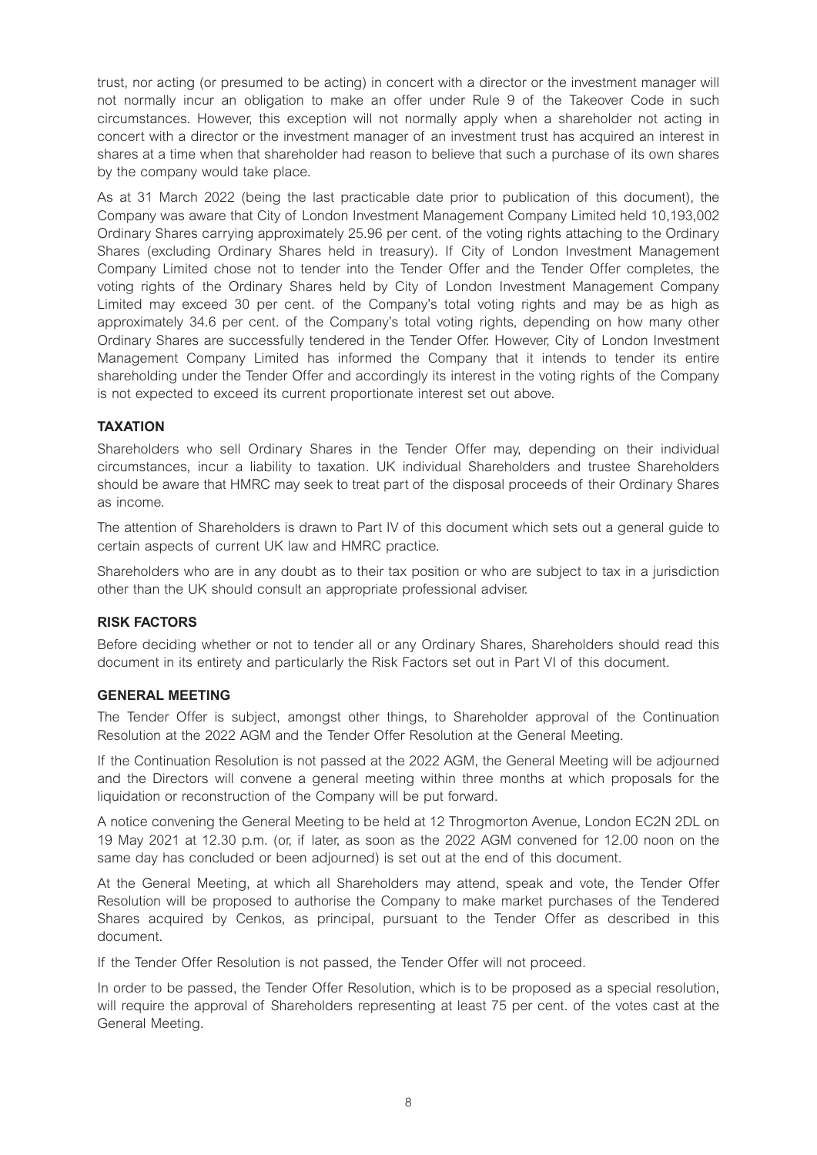trust, nor acting (or presumed to be acting) in concert with a director or the investment manager will not normally incur an obligation to make an offer under Rule 9 of the Takeover Code in such circumstances. However, this exception will not normally apply when a shareholder not acting in concert with a director or the investment manager of an investment trust has acquired an interest in shares at a time when that shareholder had reason to believe that such a purchase of its own shares by the company would take place.

As at 31 March 2022 (being the last practicable date prior to publication of this document), the Company was aware that City of London Investment Management Company Limited held 10,193,002 Ordinary Shares carrying approximately 25.96 per cent. of the voting rights attaching to the Ordinary Shares (excluding Ordinary Shares held in treasury). If City of London Investment Management Company Limited chose not to tender into the Tender Offer and the Tender Offer completes, the voting rights of the Ordinary Shares held by City of London Investment Management Company Limited may exceed 30 per cent. of the Company's total voting rights and may be as high as approximately 34.6 per cent. of the Company's total voting rights, depending on how many other Ordinary Shares are successfully tendered in the Tender Offer. However, City of London Investment Management Company Limited has informed the Company that it intends to tender its entire shareholding under the Tender Offer and accordingly its interest in the voting rights of the Company is not expected to exceed its current proportionate interest set out above.

# **TAXATION**

Shareholders who sell Ordinary Shares in the Tender Offer may, depending on their individual circumstances, incur a liability to taxation. UK individual Shareholders and trustee Shareholders should be aware that HMRC may seek to treat part of the disposal proceeds of their Ordinary Shares as income.

The attention of Shareholders is drawn to Part IV of this document which sets out a general guide to certain aspects of current UK law and HMRC practice.

Shareholders who are in any doubt as to their tax position or who are subject to tax in a jurisdiction other than the UK should consult an appropriate professional adviser.

#### **RISK FACTORS**

Before deciding whether or not to tender all or any Ordinary Shares, Shareholders should read this document in its entirety and particularly the Risk Factors set out in Part VI of this document.

#### **GENERAL MEETING**

The Tender Offer is subject, amongst other things, to Shareholder approval of the Continuation Resolution at the 2022 AGM and the Tender Offer Resolution at the General Meeting.

If the Continuation Resolution is not passed at the 2022 AGM, the General Meeting will be adjourned and the Directors will convene a general meeting within three months at which proposals for the liquidation or reconstruction of the Company will be put forward.

A notice convening the General Meeting to be held at 12 Throgmorton Avenue, London EC2N 2DL on 19 May 2021 at 12.30 p.m. (or, if later, as soon as the 2022 AGM convened for 12.00 noon on the same day has concluded or been adjourned) is set out at the end of this document.

At the General Meeting, at which all Shareholders may attend, speak and vote, the Tender Offer Resolution will be proposed to authorise the Company to make market purchases of the Tendered Shares acquired by Cenkos, as principal, pursuant to the Tender Offer as described in this document.

If the Tender Offer Resolution is not passed, the Tender Offer will not proceed.

In order to be passed, the Tender Offer Resolution, which is to be proposed as a special resolution, will require the approval of Shareholders representing at least 75 per cent. of the votes cast at the General Meeting.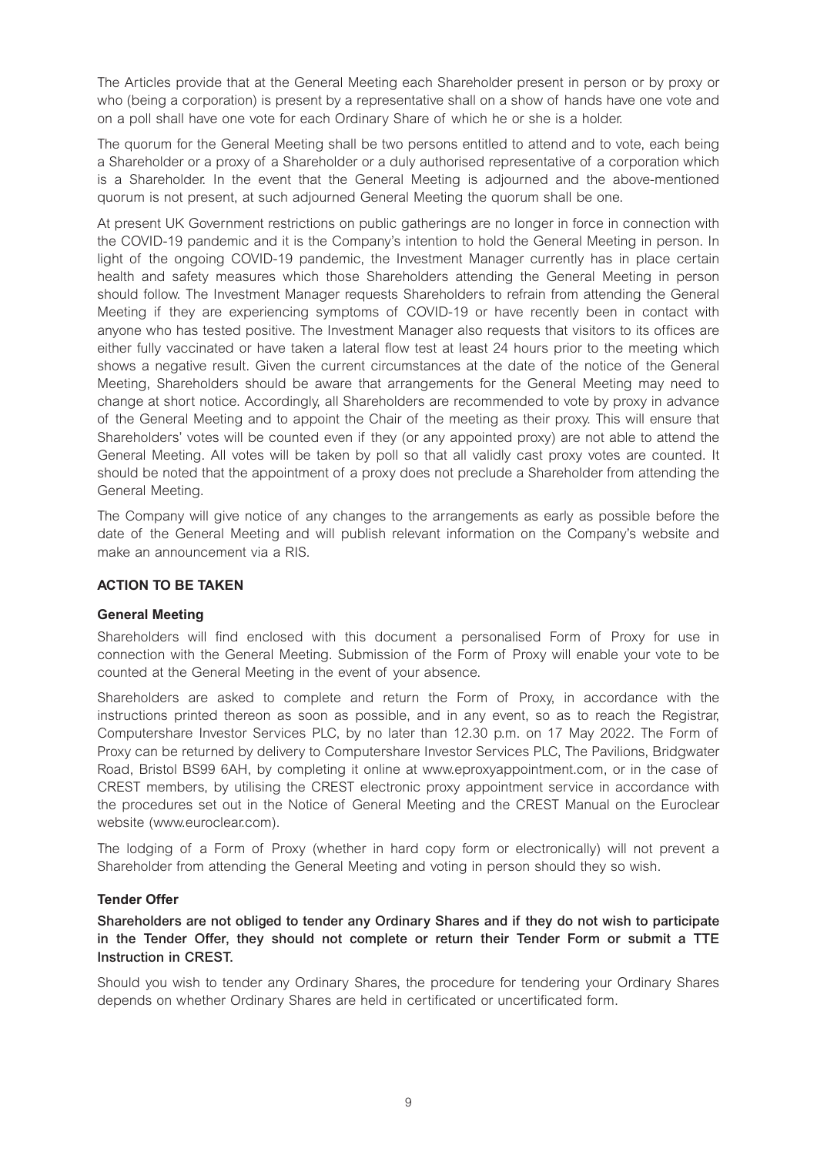The Articles provide that at the General Meeting each Shareholder present in person or by proxy or who (being a corporation) is present by a representative shall on a show of hands have one vote and on a poll shall have one vote for each Ordinary Share of which he or she is a holder.

The quorum for the General Meeting shall be two persons entitled to attend and to vote, each being a Shareholder or a proxy of a Shareholder or a duly authorised representative of a corporation which is a Shareholder. In the event that the General Meeting is adjourned and the above-mentioned quorum is not present, at such adjourned General Meeting the quorum shall be one.

At present UK Government restrictions on public gatherings are no longer in force in connection with the COVID-19 pandemic and it is the Company's intention to hold the General Meeting in person. In light of the ongoing COVID-19 pandemic, the Investment Manager currently has in place certain health and safety measures which those Shareholders attending the General Meeting in person should follow. The Investment Manager requests Shareholders to refrain from attending the General Meeting if they are experiencing symptoms of COVID-19 or have recently been in contact with anyone who has tested positive. The Investment Manager also requests that visitors to its offices are either fully vaccinated or have taken a lateral flow test at least 24 hours prior to the meeting which shows a negative result. Given the current circumstances at the date of the notice of the General Meeting, Shareholders should be aware that arrangements for the General Meeting may need to change at short notice. Accordingly, all Shareholders are recommended to vote by proxy in advance of the General Meeting and to appoint the Chair of the meeting as their proxy. This will ensure that Shareholders' votes will be counted even if they (or any appointed proxy) are not able to attend the General Meeting. All votes will be taken by poll so that all validly cast proxy votes are counted. It should be noted that the appointment of a proxy does not preclude a Shareholder from attending the General Meeting.

The Company will give notice of any changes to the arrangements as early as possible before the date of the General Meeting and will publish relevant information on the Company's website and make an announcement via a RIS.

# **ACTION TO BE TAKEN**

#### **General Meeting**

Shareholders will find enclosed with this document a personalised Form of Proxy for use in connection with the General Meeting. Submission of the Form of Proxy will enable your vote to be counted at the General Meeting in the event of your absence.

Shareholders are asked to complete and return the Form of Proxy, in accordance with the instructions printed thereon as soon as possible, and in any event, so as to reach the Registrar, Computershare Investor Services PLC, by no later than 12.30 p.m. on 17 May 2022. The Form of Proxy can be returned by delivery to Computershare Investor Services PLC, The Pavilions, Bridgwater Road, Bristol BS99 6AH, by completing it online at www.eproxyappointment.com, or in the case of CREST members, by utilising the CREST electronic proxy appointment service in accordance with the procedures set out in the Notice of General Meeting and the CREST Manual on the Euroclear website (www.euroclear.com).

The lodging of a Form of Proxy (whether in hard copy form or electronically) will not prevent a Shareholder from attending the General Meeting and voting in person should they so wish.

#### **Tender Offer**

**Shareholders are not obliged to tender any Ordinary Shares and if they do not wish to participate in the Tender Offer, they should not complete or return their Tender Form or submit a TTE Instruction in CREST.** 

Should you wish to tender any Ordinary Shares, the procedure for tendering your Ordinary Shares depends on whether Ordinary Shares are held in certificated or uncertificated form.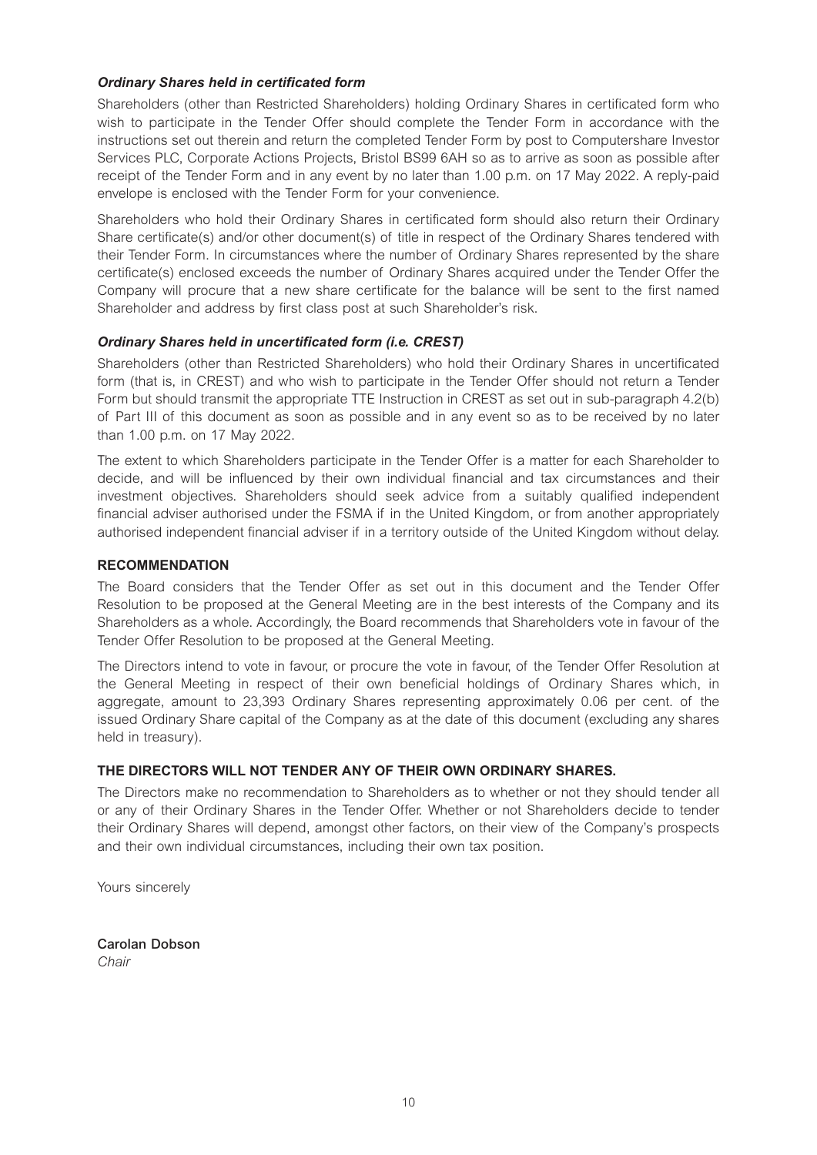# *Ordinary Shares held in certificated form*

Shareholders (other than Restricted Shareholders) holding Ordinary Shares in certificated form who wish to participate in the Tender Offer should complete the Tender Form in accordance with the instructions set out therein and return the completed Tender Form by post to Computershare Investor Services PLC, Corporate Actions Projects, Bristol BS99 6AH so as to arrive as soon as possible after receipt of the Tender Form and in any event by no later than 1.00 p.m. on 17 May 2022. A reply-paid envelope is enclosed with the Tender Form for your convenience.

Shareholders who hold their Ordinary Shares in certificated form should also return their Ordinary Share certificate(s) and/or other document(s) of title in respect of the Ordinary Shares tendered with their Tender Form. In circumstances where the number of Ordinary Shares represented by the share certificate(s) enclosed exceeds the number of Ordinary Shares acquired under the Tender Offer the Company will procure that a new share certificate for the balance will be sent to the first named Shareholder and address by first class post at such Shareholder's risk.

# *Ordinary Shares held in uncertificated form (i.e. CREST)*

Shareholders (other than Restricted Shareholders) who hold their Ordinary Shares in uncertificated form (that is, in CREST) and who wish to participate in the Tender Offer should not return a Tender Form but should transmit the appropriate TTE Instruction in CREST as set out in sub-paragraph 4.2(b) of Part III of this document as soon as possible and in any event so as to be received by no later than 1.00 p.m. on 17 May 2022.

The extent to which Shareholders participate in the Tender Offer is a matter for each Shareholder to decide, and will be influenced by their own individual financial and tax circumstances and their investment objectives. Shareholders should seek advice from a suitably qualified independent financial adviser authorised under the FSMA if in the United Kingdom, or from another appropriately authorised independent financial adviser if in a territory outside of the United Kingdom without delay.

# **RECOMMENDATION**

The Board considers that the Tender Offer as set out in this document and the Tender Offer Resolution to be proposed at the General Meeting are in the best interests of the Company and its Shareholders as a whole. Accordingly, the Board recommends that Shareholders vote in favour of the Tender Offer Resolution to be proposed at the General Meeting.

The Directors intend to vote in favour, or procure the vote in favour, of the Tender Offer Resolution at the General Meeting in respect of their own beneficial holdings of Ordinary Shares which, in aggregate, amount to 23,393 Ordinary Shares representing approximately 0.06 per cent. of the issued Ordinary Share capital of the Company as at the date of this document (excluding any shares held in treasury).

# **THE DIRECTORS WILL NOT TENDER ANY OF THEIR OWN ORDINARY SHARES.**

The Directors make no recommendation to Shareholders as to whether or not they should tender all or any of their Ordinary Shares in the Tender Offer. Whether or not Shareholders decide to tender their Ordinary Shares will depend, amongst other factors, on their view of the Company's prospects and their own individual circumstances, including their own tax position.

Yours sincerely

**Carolan Dobson**  *Chair*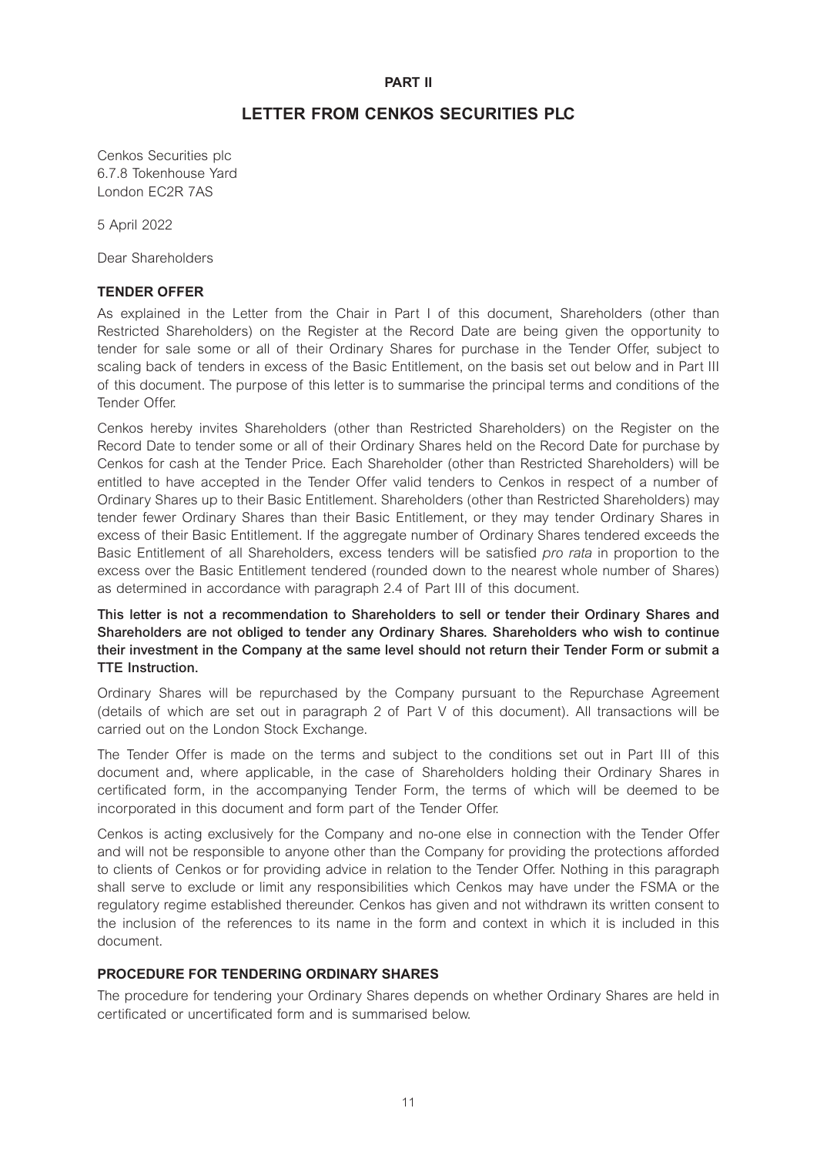#### **PART II**

# **LETTER FROM CENKOS SECURITIES PLC**

Cenkos Securities plc 6.7.8 Tokenhouse Yard London EC2R 7AS

5 April 2022

Dear Shareholders

#### **TENDER OFFER**

As explained in the Letter from the Chair in Part I of this document, Shareholders (other than Restricted Shareholders) on the Register at the Record Date are being given the opportunity to tender for sale some or all of their Ordinary Shares for purchase in the Tender Offer, subject to scaling back of tenders in excess of the Basic Entitlement, on the basis set out below and in Part III of this document. The purpose of this letter is to summarise the principal terms and conditions of the Tender Offer.

Cenkos hereby invites Shareholders (other than Restricted Shareholders) on the Register on the Record Date to tender some or all of their Ordinary Shares held on the Record Date for purchase by Cenkos for cash at the Tender Price. Each Shareholder (other than Restricted Shareholders) will be entitled to have accepted in the Tender Offer valid tenders to Cenkos in respect of a number of Ordinary Shares up to their Basic Entitlement. Shareholders (other than Restricted Shareholders) may tender fewer Ordinary Shares than their Basic Entitlement, or they may tender Ordinary Shares in excess of their Basic Entitlement. If the aggregate number of Ordinary Shares tendered exceeds the Basic Entitlement of all Shareholders, excess tenders will be satisfied *pro rata* in proportion to the excess over the Basic Entitlement tendered (rounded down to the nearest whole number of Shares) as determined in accordance with paragraph 2.4 of Part III of this document.

**This letter is not a recommendation to Shareholders to sell or tender their Ordinary Shares and Shareholders are not obliged to tender any Ordinary Shares. Shareholders who wish to continue their investment in the Company at the same level should not return their Tender Form or submit a TTE Instruction.** 

Ordinary Shares will be repurchased by the Company pursuant to the Repurchase Agreement (details of which are set out in paragraph 2 of Part V of this document). All transactions will be carried out on the London Stock Exchange.

The Tender Offer is made on the terms and subject to the conditions set out in Part III of this document and, where applicable, in the case of Shareholders holding their Ordinary Shares in certificated form, in the accompanying Tender Form, the terms of which will be deemed to be incorporated in this document and form part of the Tender Offer.

Cenkos is acting exclusively for the Company and no-one else in connection with the Tender Offer and will not be responsible to anyone other than the Company for providing the protections afforded to clients of Cenkos or for providing advice in relation to the Tender Offer. Nothing in this paragraph shall serve to exclude or limit any responsibilities which Cenkos may have under the FSMA or the regulatory regime established thereunder. Cenkos has given and not withdrawn its written consent to the inclusion of the references to its name in the form and context in which it is included in this document.

#### **PROCEDURE FOR TENDERING ORDINARY SHARES**

The procedure for tendering your Ordinary Shares depends on whether Ordinary Shares are held in certificated or uncertificated form and is summarised below.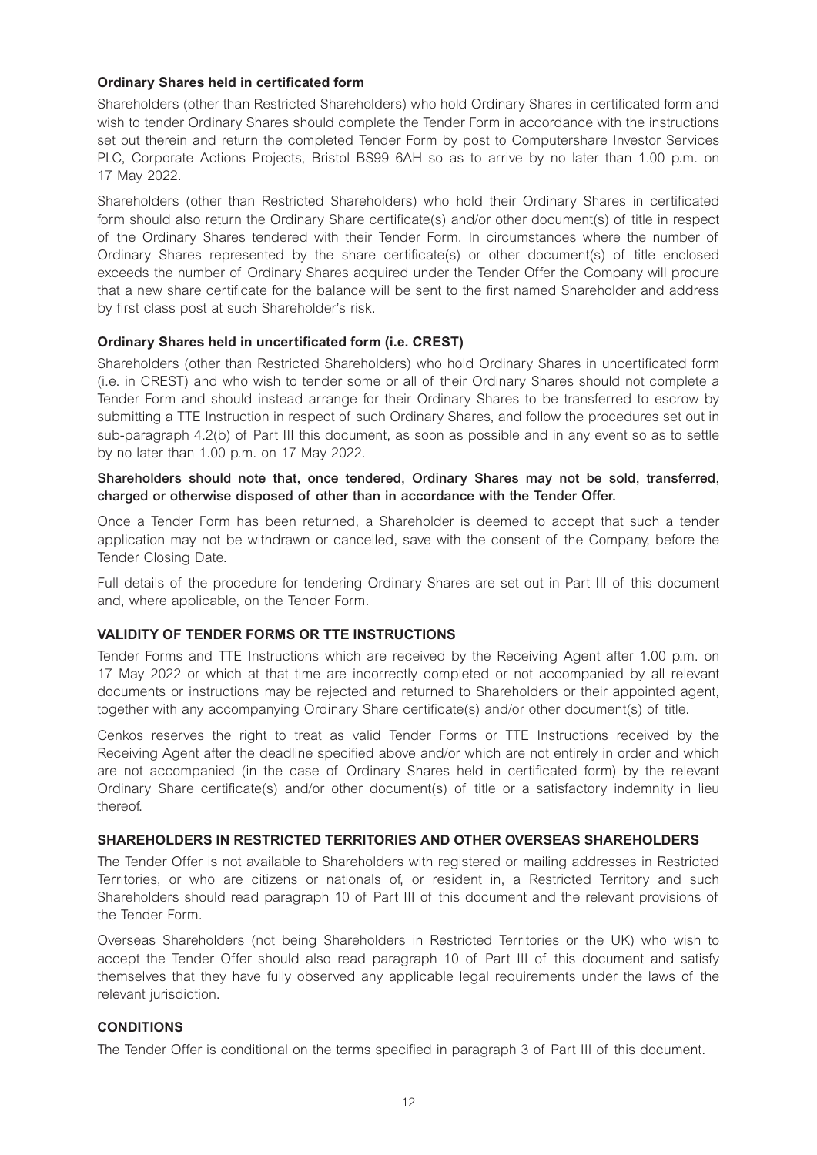#### **Ordinary Shares held in certificated form**

Shareholders (other than Restricted Shareholders) who hold Ordinary Shares in certificated form and wish to tender Ordinary Shares should complete the Tender Form in accordance with the instructions set out therein and return the completed Tender Form by post to Computershare Investor Services PLC, Corporate Actions Projects, Bristol BS99 6AH so as to arrive by no later than 1.00 p.m. on 17 May 2022.

Shareholders (other than Restricted Shareholders) who hold their Ordinary Shares in certificated form should also return the Ordinary Share certificate(s) and/or other document(s) of title in respect of the Ordinary Shares tendered with their Tender Form. In circumstances where the number of Ordinary Shares represented by the share certificate(s) or other document(s) of title enclosed exceeds the number of Ordinary Shares acquired under the Tender Offer the Company will procure that a new share certificate for the balance will be sent to the first named Shareholder and address by first class post at such Shareholder's risk.

# **Ordinary Shares held in uncertificated form (i.e. CREST)**

Shareholders (other than Restricted Shareholders) who hold Ordinary Shares in uncertificated form (i.e. in CREST) and who wish to tender some or all of their Ordinary Shares should not complete a Tender Form and should instead arrange for their Ordinary Shares to be transferred to escrow by submitting a TTE Instruction in respect of such Ordinary Shares, and follow the procedures set out in sub-paragraph 4.2(b) of Part III this document, as soon as possible and in any event so as to settle by no later than 1.00 p.m. on 17 May 2022.

#### **Shareholders should note that, once tendered, Ordinary Shares may not be sold, transferred, charged or otherwise disposed of other than in accordance with the Tender Offer.**

Once a Tender Form has been returned, a Shareholder is deemed to accept that such a tender application may not be withdrawn or cancelled, save with the consent of the Company, before the Tender Closing Date.

Full details of the procedure for tendering Ordinary Shares are set out in Part III of this document and, where applicable, on the Tender Form.

# **VALIDITY OF TENDER FORMS OR TTE INSTRUCTIONS**

Tender Forms and TTE Instructions which are received by the Receiving Agent after 1.00 p.m. on 17 May 2022 or which at that time are incorrectly completed or not accompanied by all relevant documents or instructions may be rejected and returned to Shareholders or their appointed agent, together with any accompanying Ordinary Share certificate(s) and/or other document(s) of title.

Cenkos reserves the right to treat as valid Tender Forms or TTE Instructions received by the Receiving Agent after the deadline specified above and/or which are not entirely in order and which are not accompanied (in the case of Ordinary Shares held in certificated form) by the relevant Ordinary Share certificate(s) and/or other document(s) of title or a satisfactory indemnity in lieu thereof.

#### **SHAREHOLDERS IN RESTRICTED TERRITORIES AND OTHER OVERSEAS SHAREHOLDERS**

The Tender Offer is not available to Shareholders with registered or mailing addresses in Restricted Territories, or who are citizens or nationals of, or resident in, a Restricted Territory and such Shareholders should read paragraph 10 of Part III of this document and the relevant provisions of the Tender Form.

Overseas Shareholders (not being Shareholders in Restricted Territories or the UK) who wish to accept the Tender Offer should also read paragraph 10 of Part III of this document and satisfy themselves that they have fully observed any applicable legal requirements under the laws of the relevant jurisdiction.

#### **CONDITIONS**

The Tender Offer is conditional on the terms specified in paragraph 3 of Part III of this document.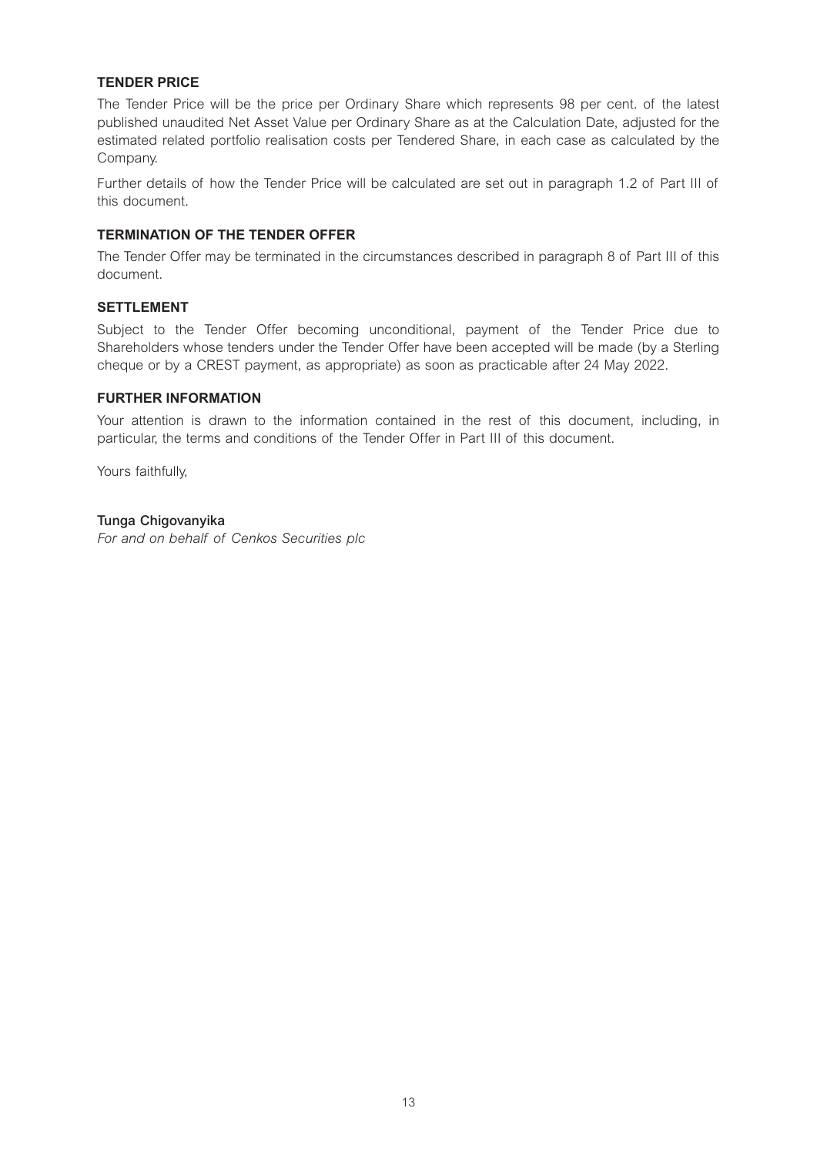# **TENDER PRICE**

The Tender Price will be the price per Ordinary Share which represents 98 per cent. of the latest published unaudited Net Asset Value per Ordinary Share as at the Calculation Date, adjusted for the estimated related portfolio realisation costs per Tendered Share, in each case as calculated by the Company.

Further details of how the Tender Price will be calculated are set out in paragraph 1.2 of Part III of this document.

# **TERMINATION OF THE TENDER OFFER**

The Tender Offer may be terminated in the circumstances described in paragraph 8 of Part III of this document.

#### **SETTLEMENT**

Subject to the Tender Offer becoming unconditional, payment of the Tender Price due to Shareholders whose tenders under the Tender Offer have been accepted will be made (by a Sterling cheque or by a CREST payment, as appropriate) as soon as practicable after 24 May 2022.

#### **FURTHER INFORMATION**

Your attention is drawn to the information contained in the rest of this document, including, in particular, the terms and conditions of the Tender Offer in Part III of this document.

Yours faithfully,

# **Tunga Chigovanyika**

*For and on behalf of Cenkos Securities plc*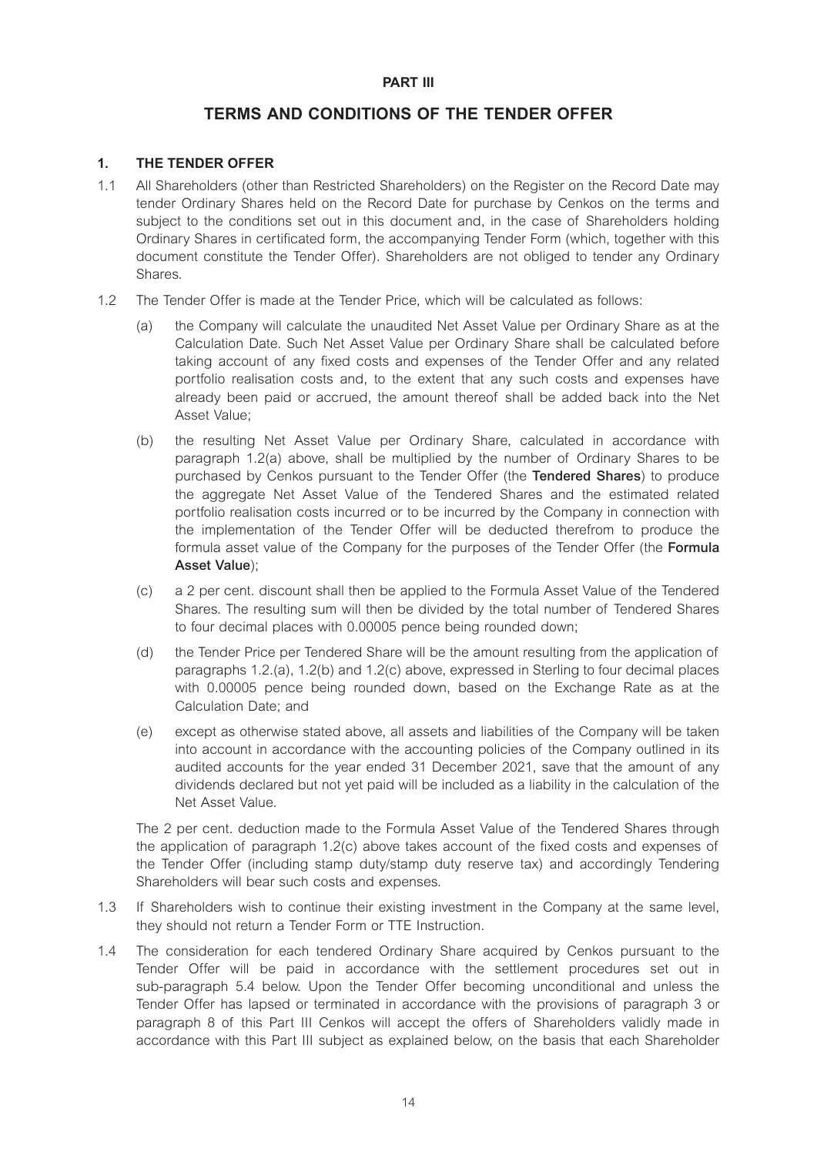# **PART III**

# **TERMS AND CONDITIONS OF THE TENDER OFFER**

# **1. THE TENDER OFFER**

- 1.1 All Shareholders (other than Restricted Shareholders) on the Register on the Record Date may tender Ordinary Shares held on the Record Date for purchase by Cenkos on the terms and subject to the conditions set out in this document and, in the case of Shareholders holding Ordinary Shares in certificated form, the accompanying Tender Form (which, together with this document constitute the Tender Offer). Shareholders are not obliged to tender any Ordinary Shares.
- 1.2 The Tender Offer is made at the Tender Price, which will be calculated as follows:
	- (a) the Company will calculate the unaudited Net Asset Value per Ordinary Share as at the Calculation Date. Such Net Asset Value per Ordinary Share shall be calculated before taking account of any fixed costs and expenses of the Tender Offer and any related portfolio realisation costs and, to the extent that any such costs and expenses have already been paid or accrued, the amount thereof shall be added back into the Net Asset Value;
	- (b) the resulting Net Asset Value per Ordinary Share, calculated in accordance with paragraph 1.2(a) above, shall be multiplied by the number of Ordinary Shares to be purchased by Cenkos pursuant to the Tender Offer (the **Tendered Shares**) to produce the aggregate Net Asset Value of the Tendered Shares and the estimated related portfolio realisation costs incurred or to be incurred by the Company in connection with the implementation of the Tender Offer will be deducted therefrom to produce the formula asset value of the Company for the purposes of the Tender Offer (the **Formula Asset Value**);
	- (c) a 2 per cent. discount shall then be applied to the Formula Asset Value of the Tendered Shares. The resulting sum will then be divided by the total number of Tendered Shares to four decimal places with 0.00005 pence being rounded down;
	- (d) the Tender Price per Tendered Share will be the amount resulting from the application of paragraphs 1.2.(a), 1.2(b) and 1.2(c) above, expressed in Sterling to four decimal places with 0.00005 pence being rounded down, based on the Exchange Rate as at the Calculation Date; and
	- (e) except as otherwise stated above, all assets and liabilities of the Company will be taken into account in accordance with the accounting policies of the Company outlined in its audited accounts for the year ended 31 December 2021, save that the amount of any dividends declared but not yet paid will be included as a liability in the calculation of the Net Asset Value.

The 2 per cent. deduction made to the Formula Asset Value of the Tendered Shares through the application of paragraph 1.2(c) above takes account of the fixed costs and expenses of the Tender Offer (including stamp duty/stamp duty reserve tax) and accordingly Tendering Shareholders will bear such costs and expenses.

- 1.3 If Shareholders wish to continue their existing investment in the Company at the same level, they should not return a Tender Form or TTE Instruction.
- 1.4 The consideration for each tendered Ordinary Share acquired by Cenkos pursuant to the Tender Offer will be paid in accordance with the settlement procedures set out in sub-paragraph 5.4 below. Upon the Tender Offer becoming unconditional and unless the Tender Offer has lapsed or terminated in accordance with the provisions of paragraph 3 or paragraph 8 of this Part III Cenkos will accept the offers of Shareholders validly made in accordance with this Part III subject as explained below, on the basis that each Shareholder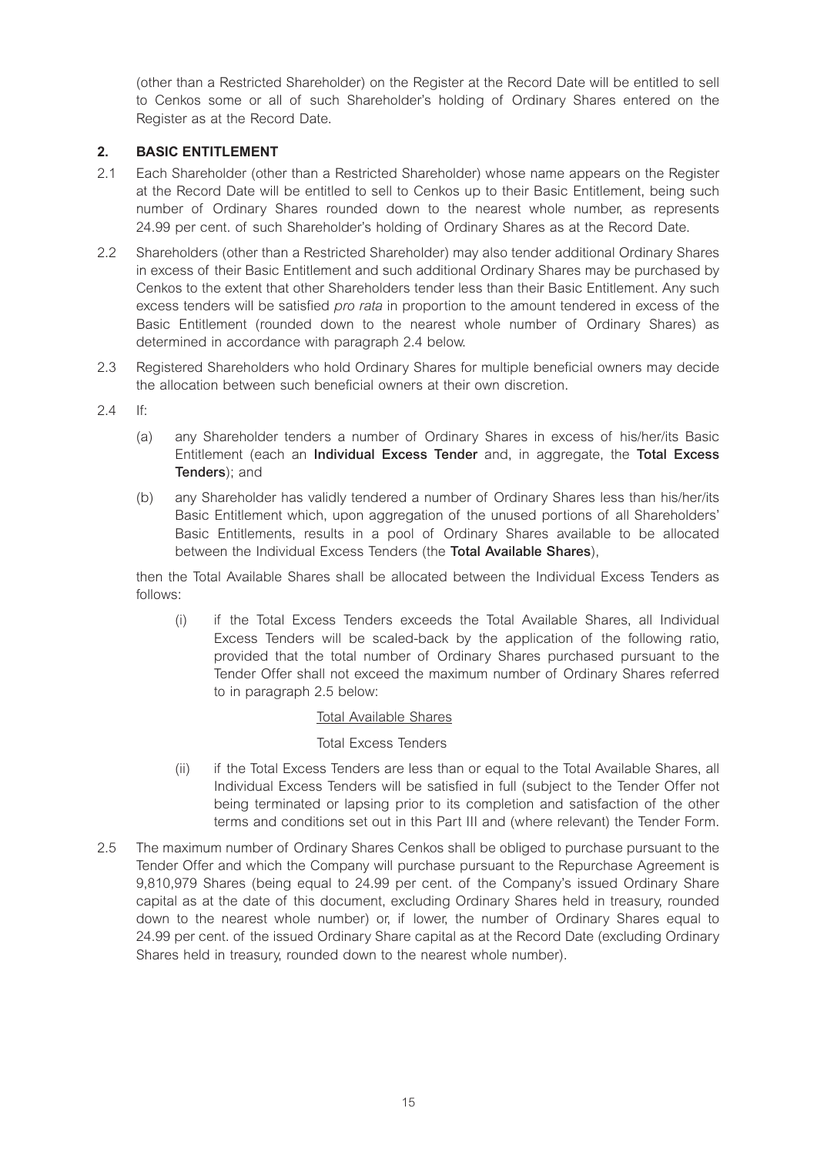(other than a Restricted Shareholder) on the Register at the Record Date will be entitled to sell to Cenkos some or all of such Shareholder's holding of Ordinary Shares entered on the Register as at the Record Date.

# **2. BASIC ENTITLEMENT**

- 2.1 Each Shareholder (other than a Restricted Shareholder) whose name appears on the Register at the Record Date will be entitled to sell to Cenkos up to their Basic Entitlement, being such number of Ordinary Shares rounded down to the nearest whole number, as represents 24.99 per cent. of such Shareholder's holding of Ordinary Shares as at the Record Date.
- 2.2 Shareholders (other than a Restricted Shareholder) may also tender additional Ordinary Shares in excess of their Basic Entitlement and such additional Ordinary Shares may be purchased by Cenkos to the extent that other Shareholders tender less than their Basic Entitlement. Any such excess tenders will be satisfied *pro rata* in proportion to the amount tendered in excess of the Basic Entitlement (rounded down to the nearest whole number of Ordinary Shares) as determined in accordance with paragraph 2.4 below.
- 2.3 Registered Shareholders who hold Ordinary Shares for multiple beneficial owners may decide the allocation between such beneficial owners at their own discretion.
- $24$  If
	- (a) any Shareholder tenders a number of Ordinary Shares in excess of his/her/its Basic Entitlement (each an **Individual Excess Tender** and, in aggregate, the **Total Excess Tenders**); and
	- (b) any Shareholder has validly tendered a number of Ordinary Shares less than his/her/its Basic Entitlement which, upon aggregation of the unused portions of all Shareholders' Basic Entitlements, results in a pool of Ordinary Shares available to be allocated between the Individual Excess Tenders (the **Total Available Shares**),

then the Total Available Shares shall be allocated between the Individual Excess Tenders as follows:

(i) if the Total Excess Tenders exceeds the Total Available Shares, all Individual Excess Tenders will be scaled-back by the application of the following ratio, provided that the total number of Ordinary Shares purchased pursuant to the Tender Offer shall not exceed the maximum number of Ordinary Shares referred to in paragraph 2.5 below:

# Total Available Shares

# Total Excess Tenders

- (ii) if the Total Excess Tenders are less than or equal to the Total Available Shares, all Individual Excess Tenders will be satisfied in full (subject to the Tender Offer not being terminated or lapsing prior to its completion and satisfaction of the other terms and conditions set out in this Part III and (where relevant) the Tender Form.
- 2.5 The maximum number of Ordinary Shares Cenkos shall be obliged to purchase pursuant to the Tender Offer and which the Company will purchase pursuant to the Repurchase Agreement is 9,810,979 Shares (being equal to 24.99 per cent. of the Company's issued Ordinary Share capital as at the date of this document, excluding Ordinary Shares held in treasury, rounded down to the nearest whole number) or, if lower, the number of Ordinary Shares equal to 24.99 per cent. of the issued Ordinary Share capital as at the Record Date (excluding Ordinary Shares held in treasury, rounded down to the nearest whole number).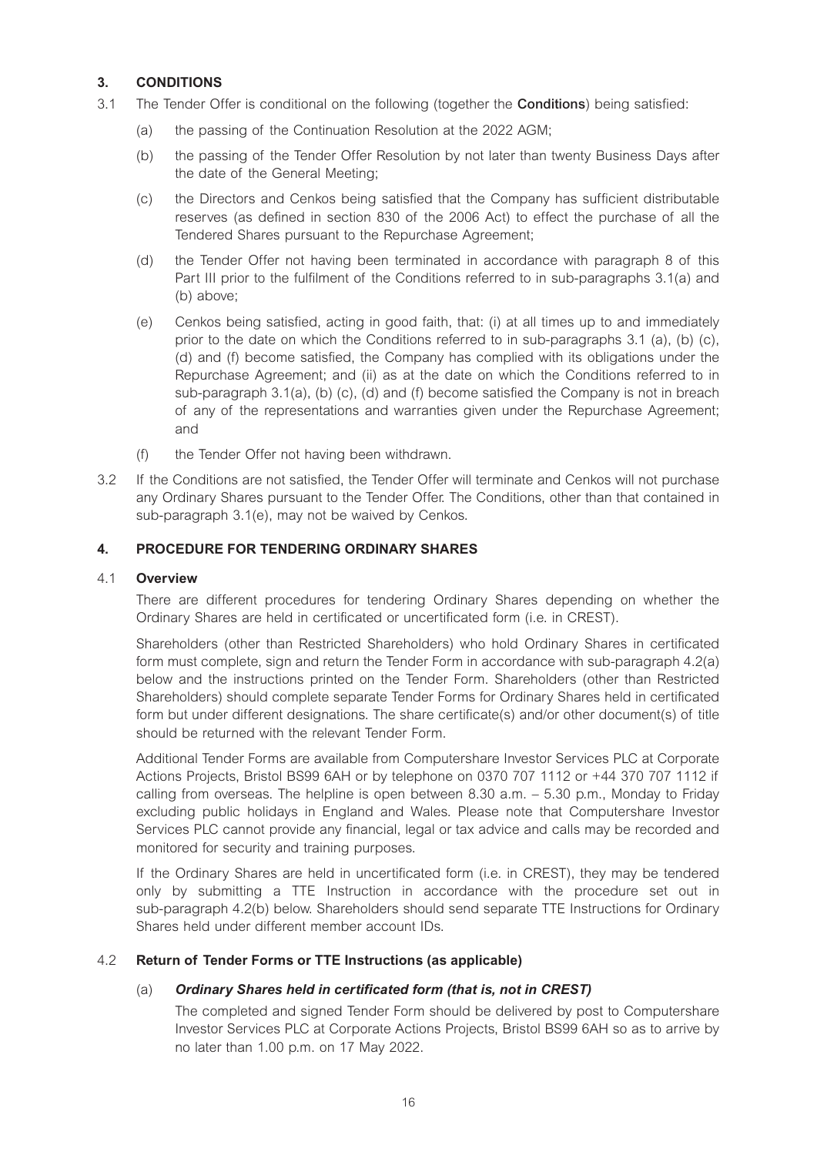# **3. CONDITIONS**

- 3.1 The Tender Offer is conditional on the following (together the **Conditions**) being satisfied:
	- (a) the passing of the Continuation Resolution at the 2022 AGM;
	- (b) the passing of the Tender Offer Resolution by not later than twenty Business Days after the date of the General Meeting;
	- (c) the Directors and Cenkos being satisfied that the Company has sufficient distributable reserves (as defined in section 830 of the 2006 Act) to effect the purchase of all the Tendered Shares pursuant to the Repurchase Agreement;
	- (d) the Tender Offer not having been terminated in accordance with paragraph 8 of this Part III prior to the fulfilment of the Conditions referred to in sub-paragraphs 3.1(a) and (b) above;
	- (e) Cenkos being satisfied, acting in good faith, that: (i) at all times up to and immediately prior to the date on which the Conditions referred to in sub-paragraphs  $3.1$  (a), (b) (c), (d) and (f) become satisfied, the Company has complied with its obligations under the Repurchase Agreement; and (ii) as at the date on which the Conditions referred to in sub-paragraph 3.1(a), (b) (c), (d) and (f) become satisfied the Company is not in breach of any of the representations and warranties given under the Repurchase Agreement; and
	- (f) the Tender Offer not having been withdrawn.
- 3.2 If the Conditions are not satisfied, the Tender Offer will terminate and Cenkos will not purchase any Ordinary Shares pursuant to the Tender Offer. The Conditions, other than that contained in sub-paragraph 3.1(e), may not be waived by Cenkos.

# **4. PROCEDURE FOR TENDERING ORDINARY SHARES**

# 4.1 **Overview**

There are different procedures for tendering Ordinary Shares depending on whether the Ordinary Shares are held in certificated or uncertificated form (i.e. in CREST).

Shareholders (other than Restricted Shareholders) who hold Ordinary Shares in certificated form must complete, sign and return the Tender Form in accordance with sub-paragraph 4.2(a) below and the instructions printed on the Tender Form. Shareholders (other than Restricted Shareholders) should complete separate Tender Forms for Ordinary Shares held in certificated form but under different designations. The share certificate(s) and/or other document(s) of title should be returned with the relevant Tender Form.

Additional Tender Forms are available from Computershare Investor Services PLC at Corporate Actions Projects, Bristol BS99 6AH or by telephone on 0370 707 1112 or +44 370 707 1112 if calling from overseas. The helpline is open between 8.30 a.m. – 5.30 p.m., Monday to Friday excluding public holidays in England and Wales. Please note that Computershare Investor Services PLC cannot provide any financial, legal or tax advice and calls may be recorded and monitored for security and training purposes.

If the Ordinary Shares are held in uncertificated form (i.e. in CREST), they may be tendered only by submitting a TTE Instruction in accordance with the procedure set out in sub-paragraph 4.2(b) below. Shareholders should send separate TTE Instructions for Ordinary Shares held under different member account IDs.

#### 4.2 **Return of Tender Forms or TTE Instructions (as applicable)**

#### (a) *Ordinary Shares held in certificated form (that is, not in CREST)*

The completed and signed Tender Form should be delivered by post to Computershare Investor Services PLC at Corporate Actions Projects, Bristol BS99 6AH so as to arrive by no later than 1.00 p.m. on 17 May 2022.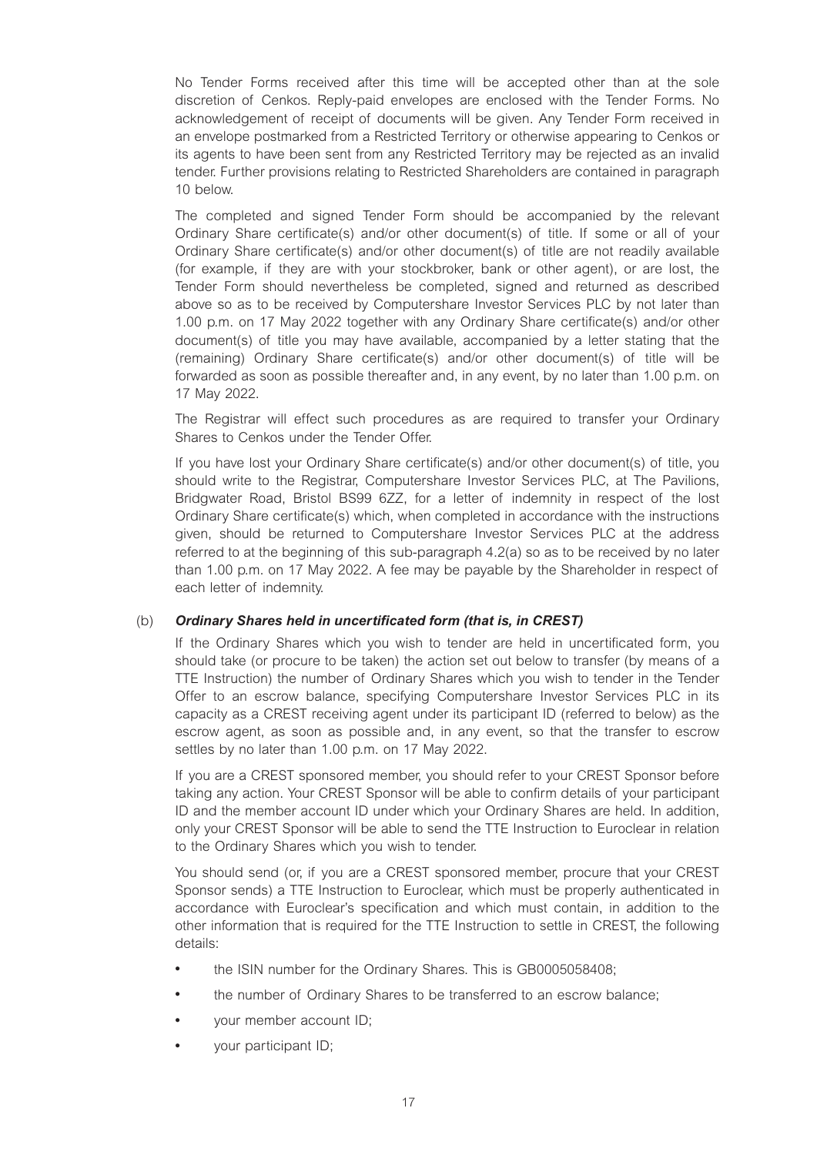No Tender Forms received after this time will be accepted other than at the sole discretion of Cenkos. Reply-paid envelopes are enclosed with the Tender Forms. No acknowledgement of receipt of documents will be given. Any Tender Form received in an envelope postmarked from a Restricted Territory or otherwise appearing to Cenkos or its agents to have been sent from any Restricted Territory may be rejected as an invalid tender. Further provisions relating to Restricted Shareholders are contained in paragraph 10 below.

The completed and signed Tender Form should be accompanied by the relevant Ordinary Share certificate(s) and/or other document(s) of title. If some or all of your Ordinary Share certificate(s) and/or other document(s) of title are not readily available (for example, if they are with your stockbroker, bank or other agent), or are lost, the Tender Form should nevertheless be completed, signed and returned as described above so as to be received by Computershare Investor Services PLC by not later than 1.00 p.m. on 17 May 2022 together with any Ordinary Share certificate(s) and/or other document(s) of title you may have available, accompanied by a letter stating that the (remaining) Ordinary Share certificate(s) and/or other document(s) of title will be forwarded as soon as possible thereafter and, in any event, by no later than 1.00 p.m. on 17 May 2022.

The Registrar will effect such procedures as are required to transfer your Ordinary Shares to Cenkos under the Tender Offer.

If you have lost your Ordinary Share certificate(s) and/or other document(s) of title, you should write to the Registrar, Computershare Investor Services PLC, at The Pavilions, Bridgwater Road, Bristol BS99 6ZZ, for a letter of indemnity in respect of the lost Ordinary Share certificate(s) which, when completed in accordance with the instructions given, should be returned to Computershare Investor Services PLC at the address referred to at the beginning of this sub-paragraph 4.2(a) so as to be received by no later than 1.00 p.m. on 17 May 2022. A fee may be payable by the Shareholder in respect of each letter of indemnity.

## (b) *Ordinary Shares held in uncertificated form (that is, in CREST)*

If the Ordinary Shares which you wish to tender are held in uncertificated form, you should take (or procure to be taken) the action set out below to transfer (by means of a TTE Instruction) the number of Ordinary Shares which you wish to tender in the Tender Offer to an escrow balance, specifying Computershare Investor Services PLC in its capacity as a CREST receiving agent under its participant ID (referred to below) as the escrow agent, as soon as possible and, in any event, so that the transfer to escrow settles by no later than 1.00 p.m. on 17 May 2022.

If you are a CREST sponsored member, you should refer to your CREST Sponsor before taking any action. Your CREST Sponsor will be able to confirm details of your participant ID and the member account ID under which your Ordinary Shares are held. In addition, only your CREST Sponsor will be able to send the TTE Instruction to Euroclear in relation to the Ordinary Shares which you wish to tender.

You should send (or, if you are a CREST sponsored member, procure that your CREST Sponsor sends) a TTE Instruction to Euroclear, which must be properly authenticated in accordance with Euroclear's specification and which must contain, in addition to the other information that is required for the TTE Instruction to settle in CREST, the following details:

- the ISIN number for the Ordinary Shares. This is GB0005058408;
- the number of Ordinary Shares to be transferred to an escrow balance;
- your member account ID;
- your participant ID;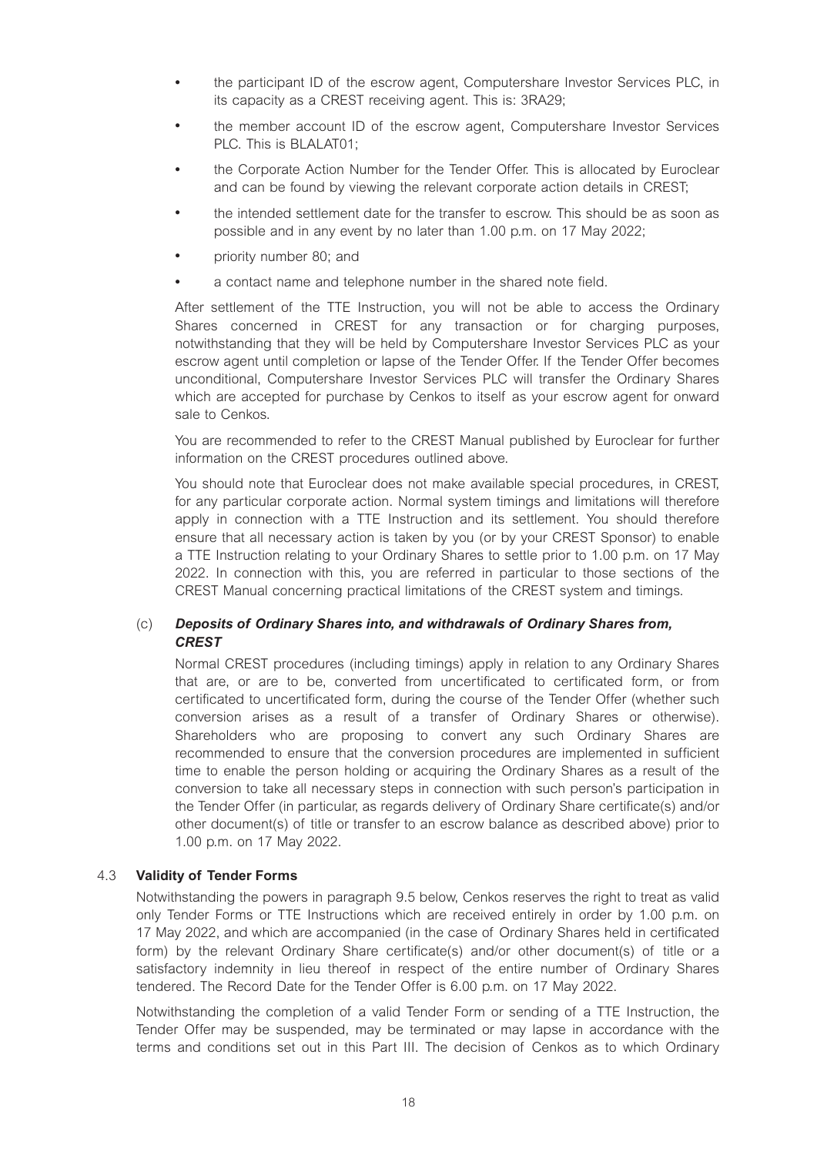- the participant ID of the escrow agent, Computershare Investor Services PLC, in its capacity as a CREST receiving agent. This is: 3RA29;
- the member account ID of the escrow agent, Computershare Investor Services PLC. This is BLALAT01;
- the Corporate Action Number for the Tender Offer. This is allocated by Euroclear and can be found by viewing the relevant corporate action details in CREST;
- the intended settlement date for the transfer to escrow. This should be as soon as possible and in any event by no later than 1.00 p.m. on 17 May 2022;
- priority number 80; and
- a contact name and telephone number in the shared note field.

After settlement of the TTE Instruction, you will not be able to access the Ordinary Shares concerned in CREST for any transaction or for charging purposes, notwithstanding that they will be held by Computershare Investor Services PLC as your escrow agent until completion or lapse of the Tender Offer. If the Tender Offer becomes unconditional, Computershare Investor Services PLC will transfer the Ordinary Shares which are accepted for purchase by Cenkos to itself as your escrow agent for onward sale to Cenkos.

You are recommended to refer to the CREST Manual published by Euroclear for further information on the CREST procedures outlined above.

You should note that Euroclear does not make available special procedures, in CREST, for any particular corporate action. Normal system timings and limitations will therefore apply in connection with a TTE Instruction and its settlement. You should therefore ensure that all necessary action is taken by you (or by your CREST Sponsor) to enable a TTE Instruction relating to your Ordinary Shares to settle prior to 1.00 p.m. on 17 May 2022. In connection with this, you are referred in particular to those sections of the CREST Manual concerning practical limitations of the CREST system and timings.

# (c) *Deposits of Ordinary Shares into, and withdrawals of Ordinary Shares from, CREST*

Normal CREST procedures (including timings) apply in relation to any Ordinary Shares that are, or are to be, converted from uncertificated to certificated form, or from certificated to uncertificated form, during the course of the Tender Offer (whether such conversion arises as a result of a transfer of Ordinary Shares or otherwise). Shareholders who are proposing to convert any such Ordinary Shares are recommended to ensure that the conversion procedures are implemented in sufficient time to enable the person holding or acquiring the Ordinary Shares as a result of the conversion to take all necessary steps in connection with such person's participation in the Tender Offer (in particular, as regards delivery of Ordinary Share certificate(s) and/or other document(s) of title or transfer to an escrow balance as described above) prior to 1.00 p.m. on 17 May 2022.

#### 4.3 **Validity of Tender Forms**

Notwithstanding the powers in paragraph 9.5 below, Cenkos reserves the right to treat as valid only Tender Forms or TTE Instructions which are received entirely in order by 1.00 p.m. on 17 May 2022, and which are accompanied (in the case of Ordinary Shares held in certificated form) by the relevant Ordinary Share certificate(s) and/or other document(s) of title or a satisfactory indemnity in lieu thereof in respect of the entire number of Ordinary Shares tendered. The Record Date for the Tender Offer is 6.00 p.m. on 17 May 2022.

Notwithstanding the completion of a valid Tender Form or sending of a TTE Instruction, the Tender Offer may be suspended, may be terminated or may lapse in accordance with the terms and conditions set out in this Part III. The decision of Cenkos as to which Ordinary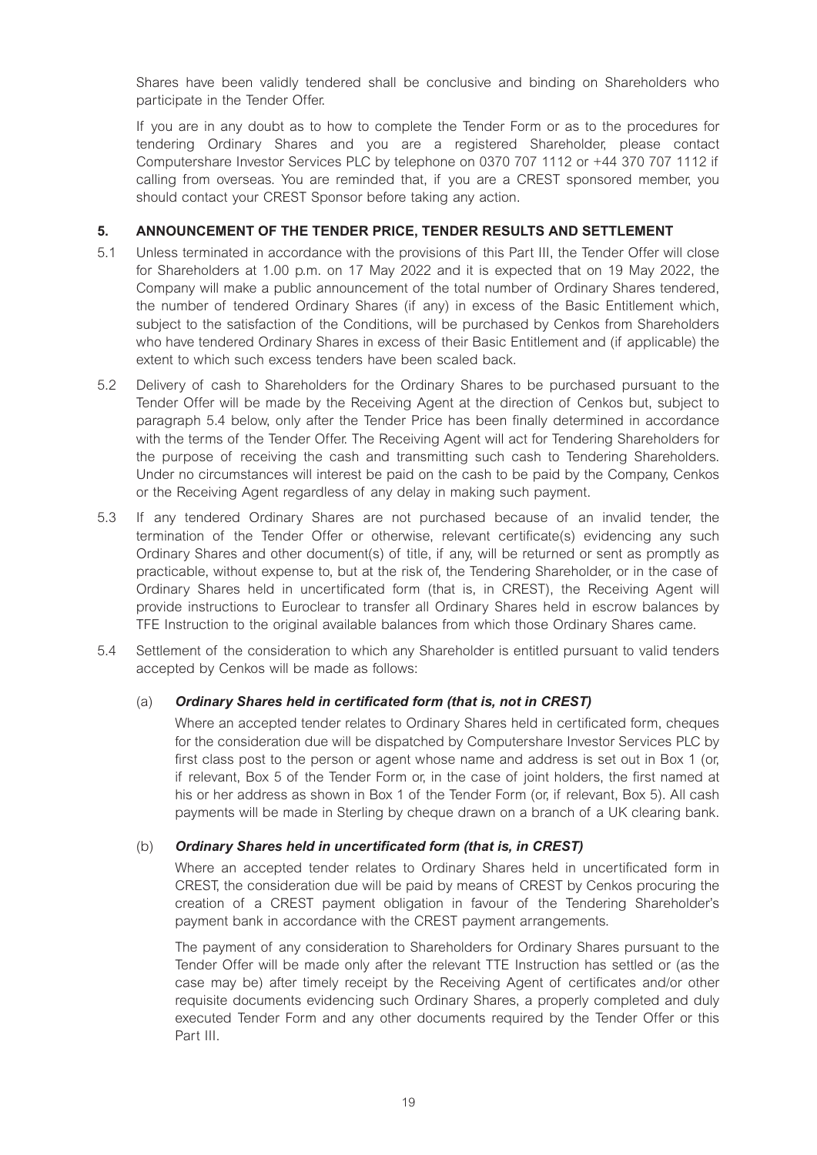Shares have been validly tendered shall be conclusive and binding on Shareholders who participate in the Tender Offer.

If you are in any doubt as to how to complete the Tender Form or as to the procedures for tendering Ordinary Shares and you are a registered Shareholder, please contact Computershare Investor Services PLC by telephone on 0370 707 1112 or +44 370 707 1112 if calling from overseas. You are reminded that, if you are a CREST sponsored member, you should contact your CREST Sponsor before taking any action.

# **5. ANNOUNCEMENT OF THE TENDER PRICE, TENDER RESULTS AND SETTLEMENT**

- 5.1 Unless terminated in accordance with the provisions of this Part III, the Tender Offer will close for Shareholders at 1.00 p.m. on 17 May 2022 and it is expected that on 19 May 2022, the Company will make a public announcement of the total number of Ordinary Shares tendered, the number of tendered Ordinary Shares (if any) in excess of the Basic Entitlement which, subject to the satisfaction of the Conditions, will be purchased by Cenkos from Shareholders who have tendered Ordinary Shares in excess of their Basic Entitlement and (if applicable) the extent to which such excess tenders have been scaled back.
- 5.2 Delivery of cash to Shareholders for the Ordinary Shares to be purchased pursuant to the Tender Offer will be made by the Receiving Agent at the direction of Cenkos but, subject to paragraph 5.4 below, only after the Tender Price has been finally determined in accordance with the terms of the Tender Offer. The Receiving Agent will act for Tendering Shareholders for the purpose of receiving the cash and transmitting such cash to Tendering Shareholders. Under no circumstances will interest be paid on the cash to be paid by the Company, Cenkos or the Receiving Agent regardless of any delay in making such payment.
- 5.3 If any tendered Ordinary Shares are not purchased because of an invalid tender, the termination of the Tender Offer or otherwise, relevant certificate(s) evidencing any such Ordinary Shares and other document(s) of title, if any, will be returned or sent as promptly as practicable, without expense to, but at the risk of, the Tendering Shareholder, or in the case of Ordinary Shares held in uncertificated form (that is, in CREST), the Receiving Agent will provide instructions to Euroclear to transfer all Ordinary Shares held in escrow balances by TFE Instruction to the original available balances from which those Ordinary Shares came.
- 5.4 Settlement of the consideration to which any Shareholder is entitled pursuant to valid tenders accepted by Cenkos will be made as follows:

# (a) *Ordinary Shares held in certificated form (that is, not in CREST)*

Where an accepted tender relates to Ordinary Shares held in certificated form, cheques for the consideration due will be dispatched by Computershare Investor Services PLC by first class post to the person or agent whose name and address is set out in Box 1 (or, if relevant, Box 5 of the Tender Form or, in the case of joint holders, the first named at his or her address as shown in Box 1 of the Tender Form (or, if relevant, Box 5). All cash payments will be made in Sterling by cheque drawn on a branch of a UK clearing bank.

# (b) *Ordinary Shares held in uncertificated form (that is, in CREST)*

Where an accepted tender relates to Ordinary Shares held in uncertificated form in CREST, the consideration due will be paid by means of CREST by Cenkos procuring the creation of a CREST payment obligation in favour of the Tendering Shareholder's payment bank in accordance with the CREST payment arrangements.

The payment of any consideration to Shareholders for Ordinary Shares pursuant to the Tender Offer will be made only after the relevant TTE Instruction has settled or (as the case may be) after timely receipt by the Receiving Agent of certificates and/or other requisite documents evidencing such Ordinary Shares, a properly completed and duly executed Tender Form and any other documents required by the Tender Offer or this Part III.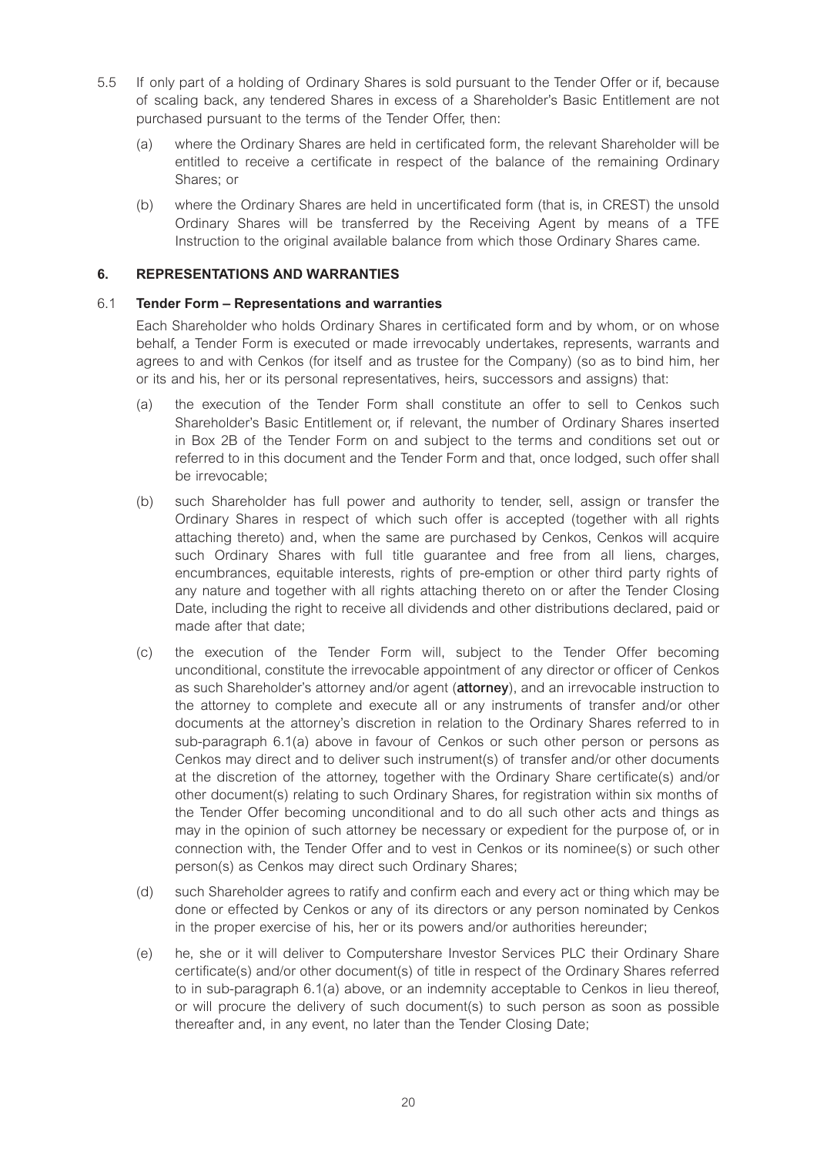- 5.5 If only part of a holding of Ordinary Shares is sold pursuant to the Tender Offer or if, because of scaling back, any tendered Shares in excess of a Shareholder's Basic Entitlement are not purchased pursuant to the terms of the Tender Offer, then:
	- (a) where the Ordinary Shares are held in certificated form, the relevant Shareholder will be entitled to receive a certificate in respect of the balance of the remaining Ordinary Shares; or
	- (b) where the Ordinary Shares are held in uncertificated form (that is, in CREST) the unsold Ordinary Shares will be transferred by the Receiving Agent by means of a TFE Instruction to the original available balance from which those Ordinary Shares came.

# **6. REPRESENTATIONS AND WARRANTIES**

# 6.1 **Tender Form – Representations and warranties**

Each Shareholder who holds Ordinary Shares in certificated form and by whom, or on whose behalf, a Tender Form is executed or made irrevocably undertakes, represents, warrants and agrees to and with Cenkos (for itself and as trustee for the Company) (so as to bind him, her or its and his, her or its personal representatives, heirs, successors and assigns) that:

- (a) the execution of the Tender Form shall constitute an offer to sell to Cenkos such Shareholder's Basic Entitlement or, if relevant, the number of Ordinary Shares inserted in Box 2B of the Tender Form on and subject to the terms and conditions set out or referred to in this document and the Tender Form and that, once lodged, such offer shall be irrevocable;
- (b) such Shareholder has full power and authority to tender, sell, assign or transfer the Ordinary Shares in respect of which such offer is accepted (together with all rights attaching thereto) and, when the same are purchased by Cenkos, Cenkos will acquire such Ordinary Shares with full title guarantee and free from all liens, charges, encumbrances, equitable interests, rights of pre-emption or other third party rights of any nature and together with all rights attaching thereto on or after the Tender Closing Date, including the right to receive all dividends and other distributions declared, paid or made after that date;
- (c) the execution of the Tender Form will, subject to the Tender Offer becoming unconditional, constitute the irrevocable appointment of any director or officer of Cenkos as such Shareholder's attorney and/or agent (**attorney**), and an irrevocable instruction to the attorney to complete and execute all or any instruments of transfer and/or other documents at the attorney's discretion in relation to the Ordinary Shares referred to in sub-paragraph 6.1(a) above in favour of Cenkos or such other person or persons as Cenkos may direct and to deliver such instrument(s) of transfer and/or other documents at the discretion of the attorney, together with the Ordinary Share certificate(s) and/or other document(s) relating to such Ordinary Shares, for registration within six months of the Tender Offer becoming unconditional and to do all such other acts and things as may in the opinion of such attorney be necessary or expedient for the purpose of, or in connection with, the Tender Offer and to vest in Cenkos or its nominee(s) or such other person(s) as Cenkos may direct such Ordinary Shares;
- (d) such Shareholder agrees to ratify and confirm each and every act or thing which may be done or effected by Cenkos or any of its directors or any person nominated by Cenkos in the proper exercise of his, her or its powers and/or authorities hereunder;
- (e) he, she or it will deliver to Computershare Investor Services PLC their Ordinary Share certificate(s) and/or other document(s) of title in respect of the Ordinary Shares referred to in sub-paragraph 6.1(a) above, or an indemnity acceptable to Cenkos in lieu thereof, or will procure the delivery of such document(s) to such person as soon as possible thereafter and, in any event, no later than the Tender Closing Date;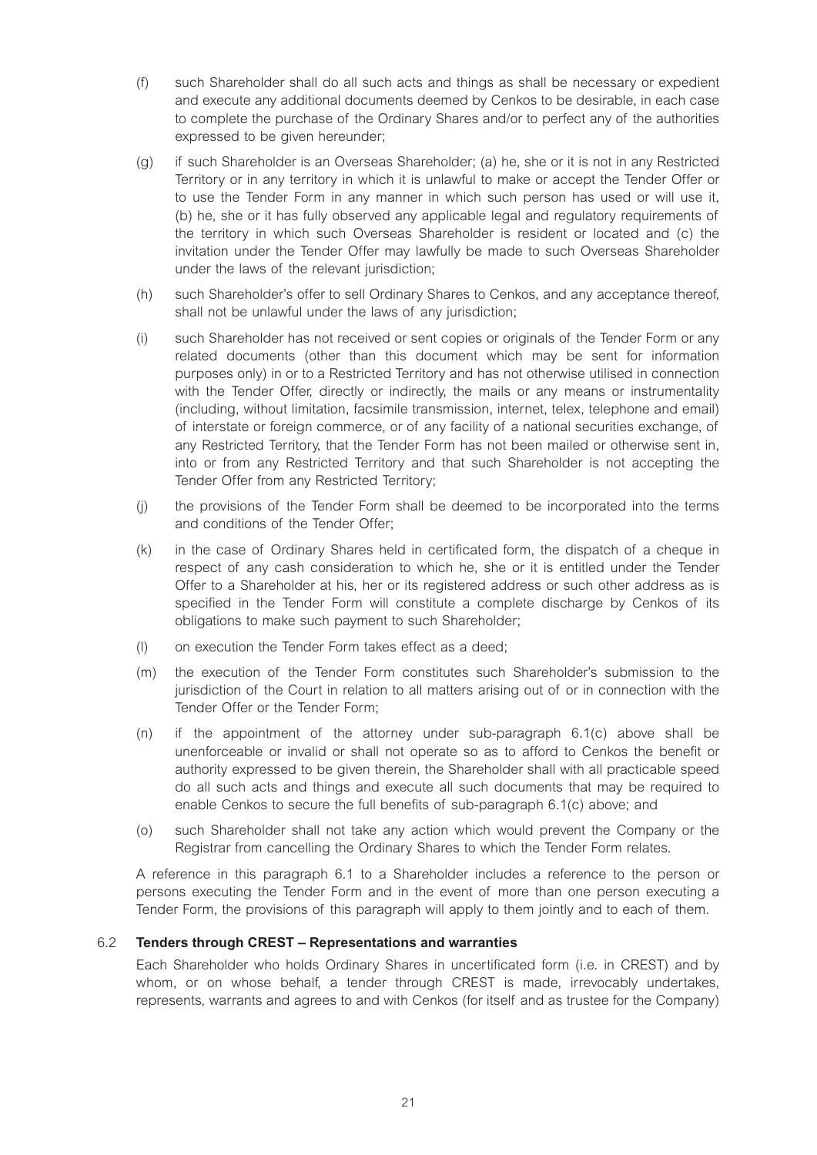- (f) such Shareholder shall do all such acts and things as shall be necessary or expedient and execute any additional documents deemed by Cenkos to be desirable, in each case to complete the purchase of the Ordinary Shares and/or to perfect any of the authorities expressed to be given hereunder;
- (g) if such Shareholder is an Overseas Shareholder; (a) he, she or it is not in any Restricted Territory or in any territory in which it is unlawful to make or accept the Tender Offer or to use the Tender Form in any manner in which such person has used or will use it, (b) he, she or it has fully observed any applicable legal and regulatory requirements of the territory in which such Overseas Shareholder is resident or located and (c) the invitation under the Tender Offer may lawfully be made to such Overseas Shareholder under the laws of the relevant jurisdiction;
- (h) such Shareholder's offer to sell Ordinary Shares to Cenkos, and any acceptance thereof, shall not be unlawful under the laws of any jurisdiction;
- (i) such Shareholder has not received or sent copies or originals of the Tender Form or any related documents (other than this document which may be sent for information purposes only) in or to a Restricted Territory and has not otherwise utilised in connection with the Tender Offer, directly or indirectly, the mails or any means or instrumentality (including, without limitation, facsimile transmission, internet, telex, telephone and email) of interstate or foreign commerce, or of any facility of a national securities exchange, of any Restricted Territory, that the Tender Form has not been mailed or otherwise sent in, into or from any Restricted Territory and that such Shareholder is not accepting the Tender Offer from any Restricted Territory;
- (j) the provisions of the Tender Form shall be deemed to be incorporated into the terms and conditions of the Tender Offer;
- (k) in the case of Ordinary Shares held in certificated form, the dispatch of a cheque in respect of any cash consideration to which he, she or it is entitled under the Tender Offer to a Shareholder at his, her or its registered address or such other address as is specified in the Tender Form will constitute a complete discharge by Cenkos of its obligations to make such payment to such Shareholder;
- (l) on execution the Tender Form takes effect as a deed;
- (m) the execution of the Tender Form constitutes such Shareholder's submission to the jurisdiction of the Court in relation to all matters arising out of or in connection with the Tender Offer or the Tender Form;
- (n) if the appointment of the attorney under sub-paragraph 6.1(c) above shall be unenforceable or invalid or shall not operate so as to afford to Cenkos the benefit or authority expressed to be given therein, the Shareholder shall with all practicable speed do all such acts and things and execute all such documents that may be required to enable Cenkos to secure the full benefits of sub-paragraph 6.1(c) above; and
- (o) such Shareholder shall not take any action which would prevent the Company or the Registrar from cancelling the Ordinary Shares to which the Tender Form relates.

A reference in this paragraph 6.1 to a Shareholder includes a reference to the person or persons executing the Tender Form and in the event of more than one person executing a Tender Form, the provisions of this paragraph will apply to them jointly and to each of them.

#### 6.2 **Tenders through CREST – Representations and warranties**

Each Shareholder who holds Ordinary Shares in uncertificated form (i.e. in CREST) and by whom, or on whose behalf, a tender through CREST is made, irrevocably undertakes, represents, warrants and agrees to and with Cenkos (for itself and as trustee for the Company)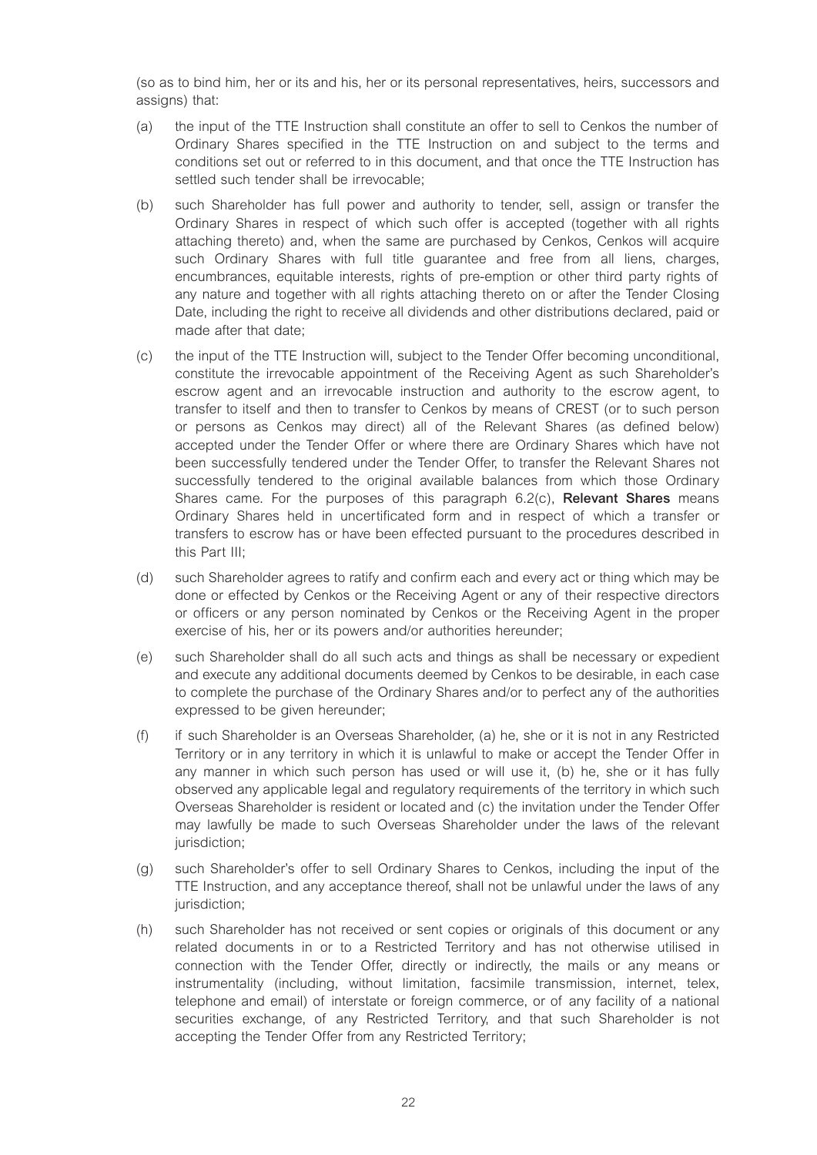(so as to bind him, her or its and his, her or its personal representatives, heirs, successors and assigns) that:

- (a) the input of the TTE Instruction shall constitute an offer to sell to Cenkos the number of Ordinary Shares specified in the TTE Instruction on and subject to the terms and conditions set out or referred to in this document, and that once the TTE Instruction has settled such tender shall be irrevocable;
- (b) such Shareholder has full power and authority to tender, sell, assign or transfer the Ordinary Shares in respect of which such offer is accepted (together with all rights attaching thereto) and, when the same are purchased by Cenkos, Cenkos will acquire such Ordinary Shares with full title guarantee and free from all liens, charges, encumbrances, equitable interests, rights of pre-emption or other third party rights of any nature and together with all rights attaching thereto on or after the Tender Closing Date, including the right to receive all dividends and other distributions declared, paid or made after that date;
- (c) the input of the TTE Instruction will, subject to the Tender Offer becoming unconditional, constitute the irrevocable appointment of the Receiving Agent as such Shareholder's escrow agent and an irrevocable instruction and authority to the escrow agent, to transfer to itself and then to transfer to Cenkos by means of CREST (or to such person or persons as Cenkos may direct) all of the Relevant Shares (as defined below) accepted under the Tender Offer or where there are Ordinary Shares which have not been successfully tendered under the Tender Offer, to transfer the Relevant Shares not successfully tendered to the original available balances from which those Ordinary Shares came. For the purposes of this paragraph 6.2(c), **Relevant Shares** means Ordinary Shares held in uncertificated form and in respect of which a transfer or transfers to escrow has or have been effected pursuant to the procedures described in this Part III;
- (d) such Shareholder agrees to ratify and confirm each and every act or thing which may be done or effected by Cenkos or the Receiving Agent or any of their respective directors or officers or any person nominated by Cenkos or the Receiving Agent in the proper exercise of his, her or its powers and/or authorities hereunder;
- (e) such Shareholder shall do all such acts and things as shall be necessary or expedient and execute any additional documents deemed by Cenkos to be desirable, in each case to complete the purchase of the Ordinary Shares and/or to perfect any of the authorities expressed to be given hereunder;
- (f) if such Shareholder is an Overseas Shareholder, (a) he, she or it is not in any Restricted Territory or in any territory in which it is unlawful to make or accept the Tender Offer in any manner in which such person has used or will use it, (b) he, she or it has fully observed any applicable legal and regulatory requirements of the territory in which such Overseas Shareholder is resident or located and (c) the invitation under the Tender Offer may lawfully be made to such Overseas Shareholder under the laws of the relevant jurisdiction;
- (g) such Shareholder's offer to sell Ordinary Shares to Cenkos, including the input of the TTE Instruction, and any acceptance thereof, shall not be unlawful under the laws of any jurisdiction;
- (h) such Shareholder has not received or sent copies or originals of this document or any related documents in or to a Restricted Territory and has not otherwise utilised in connection with the Tender Offer, directly or indirectly, the mails or any means or instrumentality (including, without limitation, facsimile transmission, internet, telex, telephone and email) of interstate or foreign commerce, or of any facility of a national securities exchange, of any Restricted Territory, and that such Shareholder is not accepting the Tender Offer from any Restricted Territory;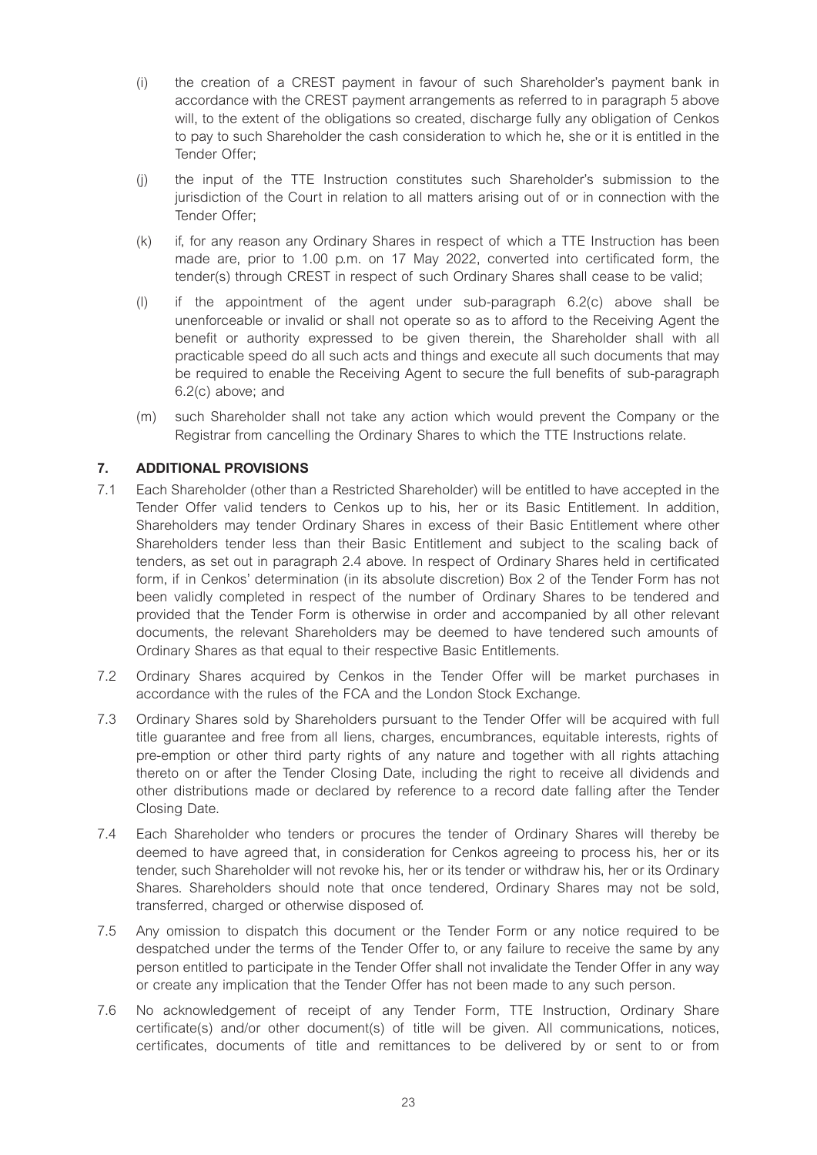- (i) the creation of a CREST payment in favour of such Shareholder's payment bank in accordance with the CREST payment arrangements as referred to in paragraph 5 above will, to the extent of the obligations so created, discharge fully any obligation of Cenkos to pay to such Shareholder the cash consideration to which he, she or it is entitled in the Tender Offer;
- (j) the input of the TTE Instruction constitutes such Shareholder's submission to the jurisdiction of the Court in relation to all matters arising out of or in connection with the Tender Offer;
- (k) if, for any reason any Ordinary Shares in respect of which a TTE Instruction has been made are, prior to 1.00 p.m. on 17 May 2022, converted into certificated form, the tender(s) through CREST in respect of such Ordinary Shares shall cease to be valid;
- (l) if the appointment of the agent under sub-paragraph 6.2(c) above shall be unenforceable or invalid or shall not operate so as to afford to the Receiving Agent the benefit or authority expressed to be given therein, the Shareholder shall with all practicable speed do all such acts and things and execute all such documents that may be required to enable the Receiving Agent to secure the full benefits of sub-paragraph 6.2(c) above; and
- (m) such Shareholder shall not take any action which would prevent the Company or the Registrar from cancelling the Ordinary Shares to which the TTE Instructions relate.

# **7. ADDITIONAL PROVISIONS**

- 7.1 Each Shareholder (other than a Restricted Shareholder) will be entitled to have accepted in the Tender Offer valid tenders to Cenkos up to his, her or its Basic Entitlement. In addition, Shareholders may tender Ordinary Shares in excess of their Basic Entitlement where other Shareholders tender less than their Basic Entitlement and subject to the scaling back of tenders, as set out in paragraph 2.4 above. In respect of Ordinary Shares held in certificated form, if in Cenkos' determination (in its absolute discretion) Box 2 of the Tender Form has not been validly completed in respect of the number of Ordinary Shares to be tendered and provided that the Tender Form is otherwise in order and accompanied by all other relevant documents, the relevant Shareholders may be deemed to have tendered such amounts of Ordinary Shares as that equal to their respective Basic Entitlements.
- 7.2 Ordinary Shares acquired by Cenkos in the Tender Offer will be market purchases in accordance with the rules of the FCA and the London Stock Exchange.
- 7.3 Ordinary Shares sold by Shareholders pursuant to the Tender Offer will be acquired with full title guarantee and free from all liens, charges, encumbrances, equitable interests, rights of pre-emption or other third party rights of any nature and together with all rights attaching thereto on or after the Tender Closing Date, including the right to receive all dividends and other distributions made or declared by reference to a record date falling after the Tender Closing Date.
- 7.4 Each Shareholder who tenders or procures the tender of Ordinary Shares will thereby be deemed to have agreed that, in consideration for Cenkos agreeing to process his, her or its tender, such Shareholder will not revoke his, her or its tender or withdraw his, her or its Ordinary Shares. Shareholders should note that once tendered, Ordinary Shares may not be sold, transferred, charged or otherwise disposed of.
- 7.5 Any omission to dispatch this document or the Tender Form or any notice required to be despatched under the terms of the Tender Offer to, or any failure to receive the same by any person entitled to participate in the Tender Offer shall not invalidate the Tender Offer in any way or create any implication that the Tender Offer has not been made to any such person.
- 7.6 No acknowledgement of receipt of any Tender Form, TTE Instruction, Ordinary Share certificate(s) and/or other document(s) of title will be given. All communications, notices, certificates, documents of title and remittances to be delivered by or sent to or from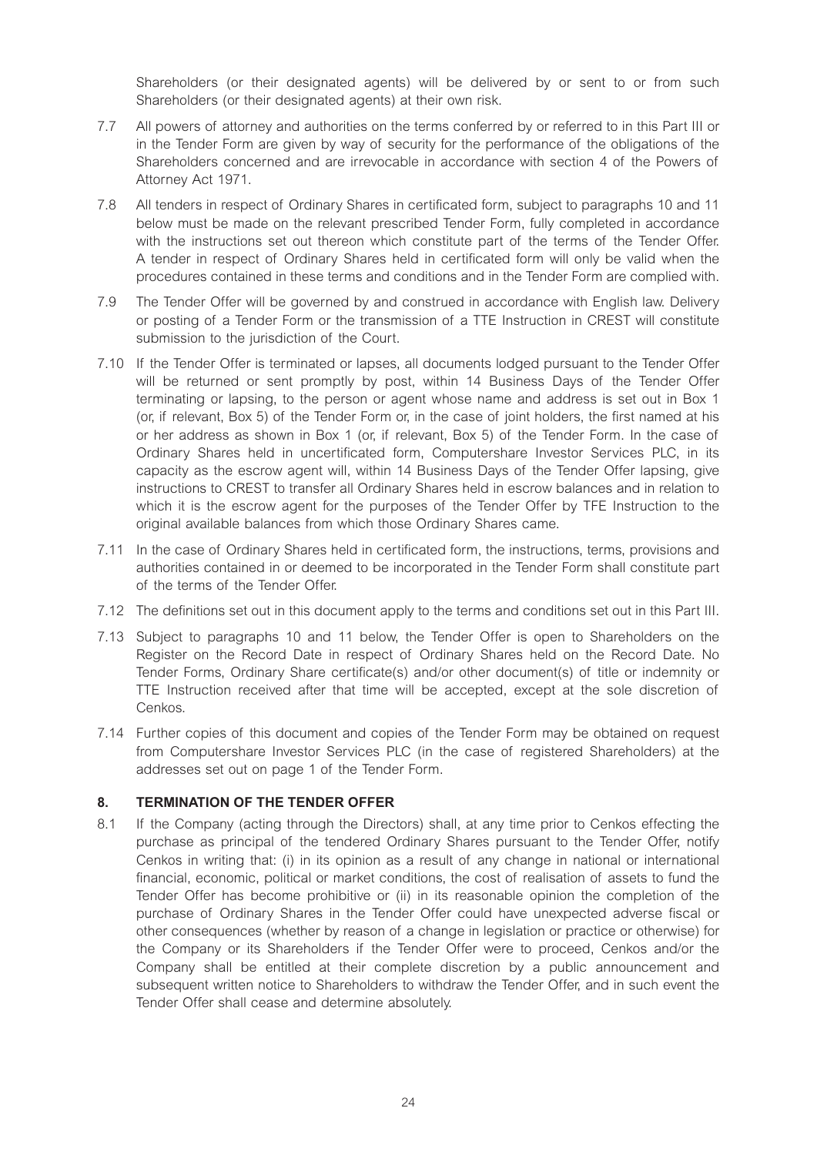Shareholders (or their designated agents) will be delivered by or sent to or from such Shareholders (or their designated agents) at their own risk.

- 7.7 All powers of attorney and authorities on the terms conferred by or referred to in this Part III or in the Tender Form are given by way of security for the performance of the obligations of the Shareholders concerned and are irrevocable in accordance with section 4 of the Powers of Attorney Act 1971.
- 7.8 All tenders in respect of Ordinary Shares in certificated form, subject to paragraphs 10 and 11 below must be made on the relevant prescribed Tender Form, fully completed in accordance with the instructions set out thereon which constitute part of the terms of the Tender Offer. A tender in respect of Ordinary Shares held in certificated form will only be valid when the procedures contained in these terms and conditions and in the Tender Form are complied with.
- 7.9 The Tender Offer will be governed by and construed in accordance with English law. Delivery or posting of a Tender Form or the transmission of a TTE Instruction in CREST will constitute submission to the jurisdiction of the Court.
- 7.10 If the Tender Offer is terminated or lapses, all documents lodged pursuant to the Tender Offer will be returned or sent promptly by post, within 14 Business Days of the Tender Offer terminating or lapsing, to the person or agent whose name and address is set out in Box 1 (or, if relevant, Box 5) of the Tender Form or, in the case of joint holders, the first named at his or her address as shown in Box 1 (or, if relevant, Box 5) of the Tender Form. In the case of Ordinary Shares held in uncertificated form, Computershare Investor Services PLC, in its capacity as the escrow agent will, within 14 Business Days of the Tender Offer lapsing, give instructions to CREST to transfer all Ordinary Shares held in escrow balances and in relation to which it is the escrow agent for the purposes of the Tender Offer by TFE Instruction to the original available balances from which those Ordinary Shares came.
- 7.11 In the case of Ordinary Shares held in certificated form, the instructions, terms, provisions and authorities contained in or deemed to be incorporated in the Tender Form shall constitute part of the terms of the Tender Offer.
- 7.12 The definitions set out in this document apply to the terms and conditions set out in this Part III.
- 7.13 Subject to paragraphs 10 and 11 below, the Tender Offer is open to Shareholders on the Register on the Record Date in respect of Ordinary Shares held on the Record Date. No Tender Forms, Ordinary Share certificate(s) and/or other document(s) of title or indemnity or TTE Instruction received after that time will be accepted, except at the sole discretion of Cenkos.
- 7.14 Further copies of this document and copies of the Tender Form may be obtained on request from Computershare Investor Services PLC (in the case of registered Shareholders) at the addresses set out on page 1 of the Tender Form.

# **8. TERMINATION OF THE TENDER OFFER**

8.1 If the Company (acting through the Directors) shall, at any time prior to Cenkos effecting the purchase as principal of the tendered Ordinary Shares pursuant to the Tender Offer, notify Cenkos in writing that: (i) in its opinion as a result of any change in national or international financial, economic, political or market conditions, the cost of realisation of assets to fund the Tender Offer has become prohibitive or (ii) in its reasonable opinion the completion of the purchase of Ordinary Shares in the Tender Offer could have unexpected adverse fiscal or other consequences (whether by reason of a change in legislation or practice or otherwise) for the Company or its Shareholders if the Tender Offer were to proceed, Cenkos and/or the Company shall be entitled at their complete discretion by a public announcement and subsequent written notice to Shareholders to withdraw the Tender Offer, and in such event the Tender Offer shall cease and determine absolutely.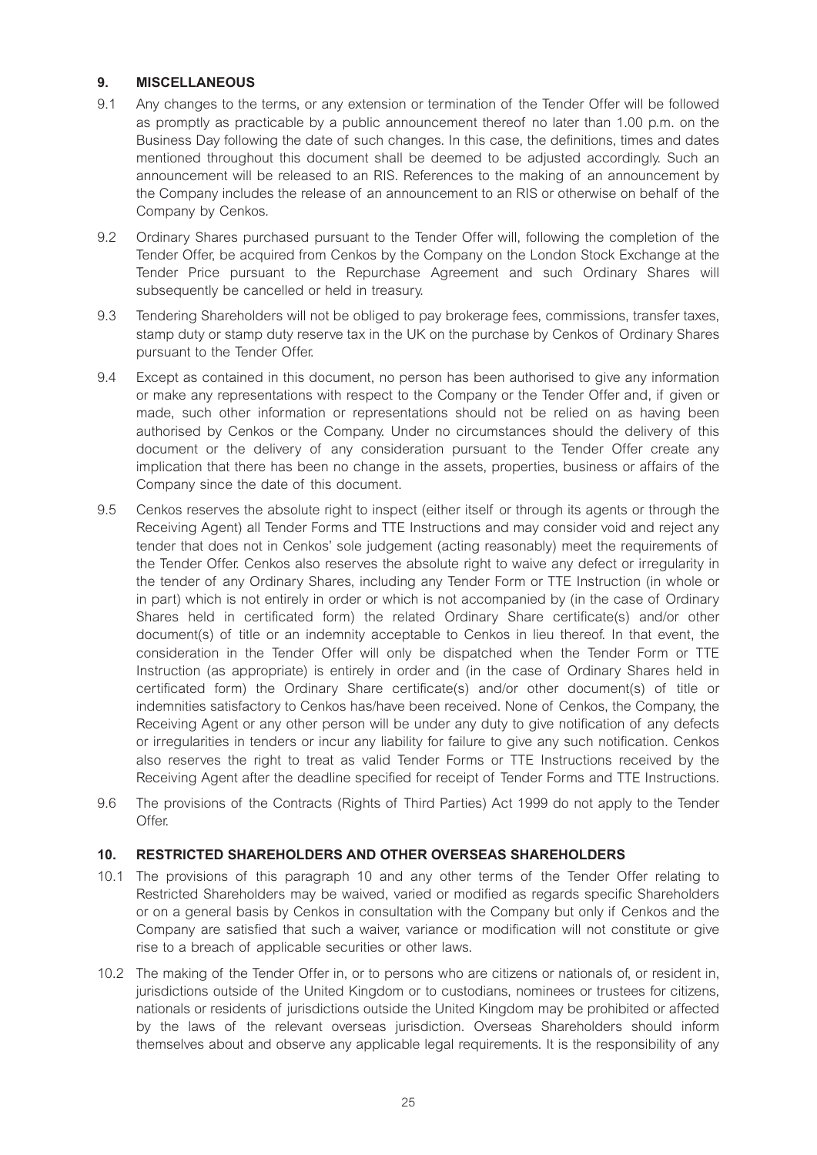# **9. MISCELLANEOUS**

- 9.1 Any changes to the terms, or any extension or termination of the Tender Offer will be followed as promptly as practicable by a public announcement thereof no later than 1.00 p.m. on the Business Day following the date of such changes. In this case, the definitions, times and dates mentioned throughout this document shall be deemed to be adjusted accordingly. Such an announcement will be released to an RIS. References to the making of an announcement by the Company includes the release of an announcement to an RIS or otherwise on behalf of the Company by Cenkos.
- 9.2 Ordinary Shares purchased pursuant to the Tender Offer will, following the completion of the Tender Offer, be acquired from Cenkos by the Company on the London Stock Exchange at the Tender Price pursuant to the Repurchase Agreement and such Ordinary Shares will subsequently be cancelled or held in treasury.
- 9.3 Tendering Shareholders will not be obliged to pay brokerage fees, commissions, transfer taxes, stamp duty or stamp duty reserve tax in the UK on the purchase by Cenkos of Ordinary Shares pursuant to the Tender Offer.
- 9.4 Except as contained in this document, no person has been authorised to give any information or make any representations with respect to the Company or the Tender Offer and, if given or made, such other information or representations should not be relied on as having been authorised by Cenkos or the Company. Under no circumstances should the delivery of this document or the delivery of any consideration pursuant to the Tender Offer create any implication that there has been no change in the assets, properties, business or affairs of the Company since the date of this document.
- 9.5 Cenkos reserves the absolute right to inspect (either itself or through its agents or through the Receiving Agent) all Tender Forms and TTE Instructions and may consider void and reject any tender that does not in Cenkos' sole judgement (acting reasonably) meet the requirements of the Tender Offer. Cenkos also reserves the absolute right to waive any defect or irregularity in the tender of any Ordinary Shares, including any Tender Form or TTE Instruction (in whole or in part) which is not entirely in order or which is not accompanied by (in the case of Ordinary Shares held in certificated form) the related Ordinary Share certificate(s) and/or other document(s) of title or an indemnity acceptable to Cenkos in lieu thereof. In that event, the consideration in the Tender Offer will only be dispatched when the Tender Form or TTE Instruction (as appropriate) is entirely in order and (in the case of Ordinary Shares held in certificated form) the Ordinary Share certificate(s) and/or other document(s) of title or indemnities satisfactory to Cenkos has/have been received. None of Cenkos, the Company, the Receiving Agent or any other person will be under any duty to give notification of any defects or irregularities in tenders or incur any liability for failure to give any such notification. Cenkos also reserves the right to treat as valid Tender Forms or TTE Instructions received by the Receiving Agent after the deadline specified for receipt of Tender Forms and TTE Instructions.
- 9.6 The provisions of the Contracts (Rights of Third Parties) Act 1999 do not apply to the Tender Offer<sub>.</sub>

## **10. RESTRICTED SHAREHOLDERS AND OTHER OVERSEAS SHAREHOLDERS**

- 10.1 The provisions of this paragraph 10 and any other terms of the Tender Offer relating to Restricted Shareholders may be waived, varied or modified as regards specific Shareholders or on a general basis by Cenkos in consultation with the Company but only if Cenkos and the Company are satisfied that such a waiver, variance or modification will not constitute or give rise to a breach of applicable securities or other laws.
- 10.2 The making of the Tender Offer in, or to persons who are citizens or nationals of, or resident in, jurisdictions outside of the United Kingdom or to custodians, nominees or trustees for citizens, nationals or residents of jurisdictions outside the United Kingdom may be prohibited or affected by the laws of the relevant overseas jurisdiction. Overseas Shareholders should inform themselves about and observe any applicable legal requirements. It is the responsibility of any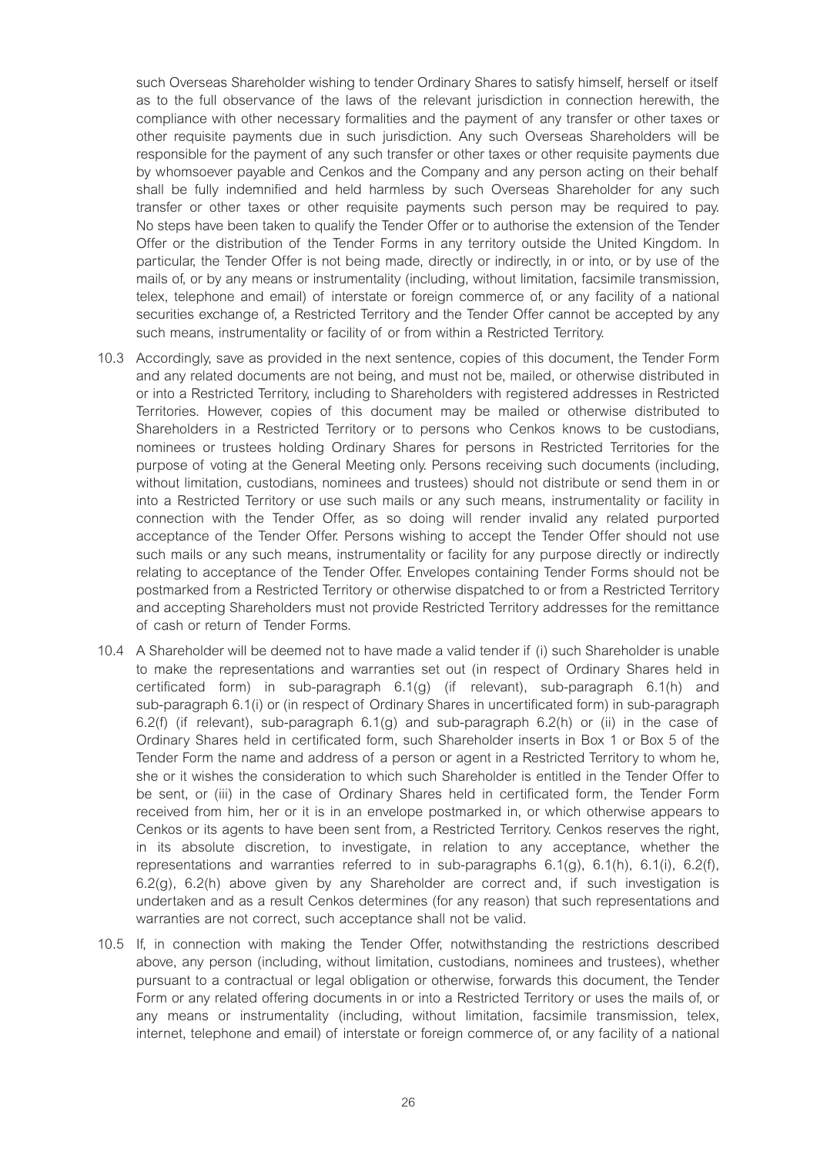such Overseas Shareholder wishing to tender Ordinary Shares to satisfy himself, herself or itself as to the full observance of the laws of the relevant jurisdiction in connection herewith, the compliance with other necessary formalities and the payment of any transfer or other taxes or other requisite payments due in such jurisdiction. Any such Overseas Shareholders will be responsible for the payment of any such transfer or other taxes or other requisite payments due by whomsoever payable and Cenkos and the Company and any person acting on their behalf shall be fully indemnified and held harmless by such Overseas Shareholder for any such transfer or other taxes or other requisite payments such person may be required to pay. No steps have been taken to qualify the Tender Offer or to authorise the extension of the Tender Offer or the distribution of the Tender Forms in any territory outside the United Kingdom. In particular, the Tender Offer is not being made, directly or indirectly, in or into, or by use of the mails of, or by any means or instrumentality (including, without limitation, facsimile transmission, telex, telephone and email) of interstate or foreign commerce of, or any facility of a national securities exchange of, a Restricted Territory and the Tender Offer cannot be accepted by any such means, instrumentality or facility of or from within a Restricted Territory.

- 10.3 Accordingly, save as provided in the next sentence, copies of this document, the Tender Form and any related documents are not being, and must not be, mailed, or otherwise distributed in or into a Restricted Territory, including to Shareholders with registered addresses in Restricted Territories. However, copies of this document may be mailed or otherwise distributed to Shareholders in a Restricted Territory or to persons who Cenkos knows to be custodians, nominees or trustees holding Ordinary Shares for persons in Restricted Territories for the purpose of voting at the General Meeting only. Persons receiving such documents (including, without limitation, custodians, nominees and trustees) should not distribute or send them in or into a Restricted Territory or use such mails or any such means, instrumentality or facility in connection with the Tender Offer, as so doing will render invalid any related purported acceptance of the Tender Offer. Persons wishing to accept the Tender Offer should not use such mails or any such means, instrumentality or facility for any purpose directly or indirectly relating to acceptance of the Tender Offer. Envelopes containing Tender Forms should not be postmarked from a Restricted Territory or otherwise dispatched to or from a Restricted Territory and accepting Shareholders must not provide Restricted Territory addresses for the remittance of cash or return of Tender Forms.
- 10.4 A Shareholder will be deemed not to have made a valid tender if (i) such Shareholder is unable to make the representations and warranties set out (in respect of Ordinary Shares held in certificated form) in sub-paragraph 6.1(g) (if relevant), sub-paragraph 6.1(h) and sub-paragraph 6.1(i) or (in respect of Ordinary Shares in uncertificated form) in sub-paragraph 6.2(f) (if relevant), sub-paragraph  $6.1(q)$  and sub-paragraph  $6.2(h)$  or (ii) in the case of Ordinary Shares held in certificated form, such Shareholder inserts in Box 1 or Box 5 of the Tender Form the name and address of a person or agent in a Restricted Territory to whom he, she or it wishes the consideration to which such Shareholder is entitled in the Tender Offer to be sent, or (iii) in the case of Ordinary Shares held in certificated form, the Tender Form received from him, her or it is in an envelope postmarked in, or which otherwise appears to Cenkos or its agents to have been sent from, a Restricted Territory. Cenkos reserves the right, in its absolute discretion, to investigate, in relation to any acceptance, whether the representations and warranties referred to in sub-paragraphs  $6.1(q)$ ,  $6.1(h)$ ,  $6.1(i)$ ,  $6.2(f)$ , 6.2(g), 6.2(h) above given by any Shareholder are correct and, if such investigation is undertaken and as a result Cenkos determines (for any reason) that such representations and warranties are not correct, such acceptance shall not be valid.
- 10.5 If, in connection with making the Tender Offer, notwithstanding the restrictions described above, any person (including, without limitation, custodians, nominees and trustees), whether pursuant to a contractual or legal obligation or otherwise, forwards this document, the Tender Form or any related offering documents in or into a Restricted Territory or uses the mails of, or any means or instrumentality (including, without limitation, facsimile transmission, telex, internet, telephone and email) of interstate or foreign commerce of, or any facility of a national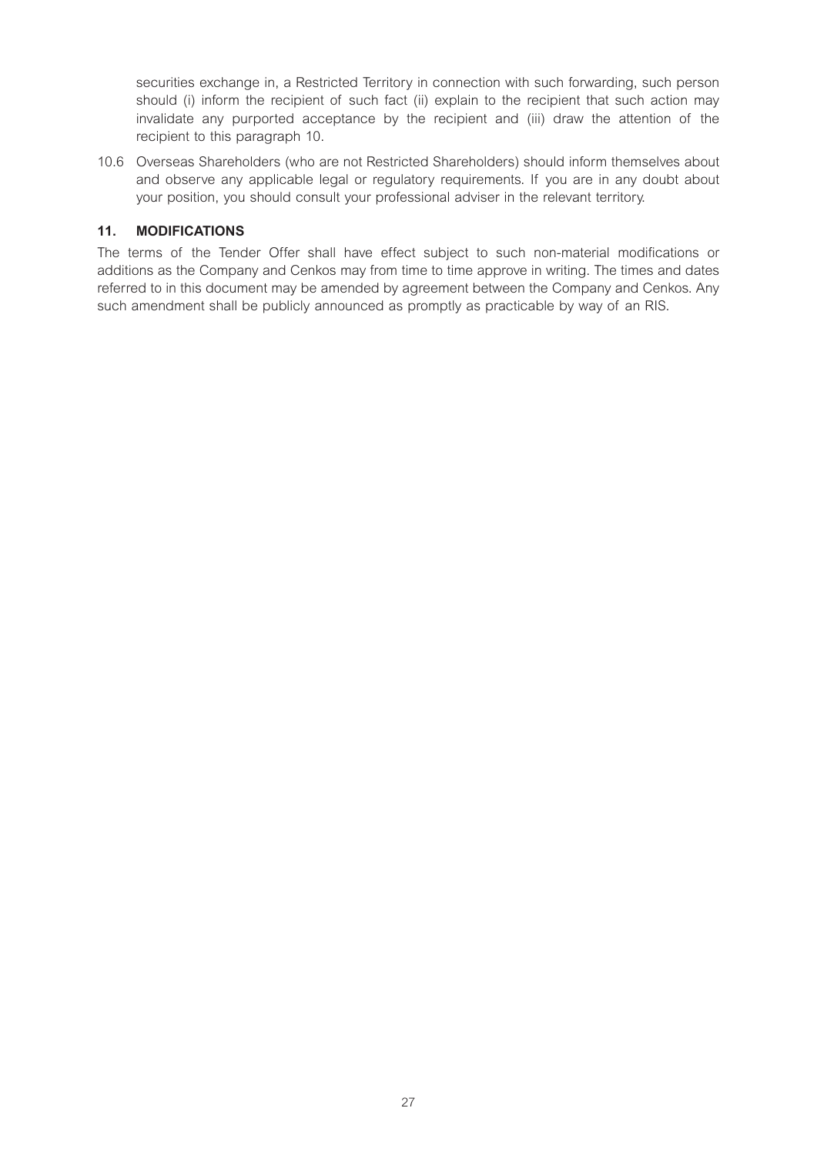securities exchange in, a Restricted Territory in connection with such forwarding, such person should (i) inform the recipient of such fact (ii) explain to the recipient that such action may invalidate any purported acceptance by the recipient and (iii) draw the attention of the recipient to this paragraph 10.

10.6 Overseas Shareholders (who are not Restricted Shareholders) should inform themselves about and observe any applicable legal or regulatory requirements. If you are in any doubt about your position, you should consult your professional adviser in the relevant territory.

# **11. MODIFICATIONS**

The terms of the Tender Offer shall have effect subject to such non-material modifications or additions as the Company and Cenkos may from time to time approve in writing. The times and dates referred to in this document may be amended by agreement between the Company and Cenkos. Any such amendment shall be publicly announced as promptly as practicable by way of an RIS.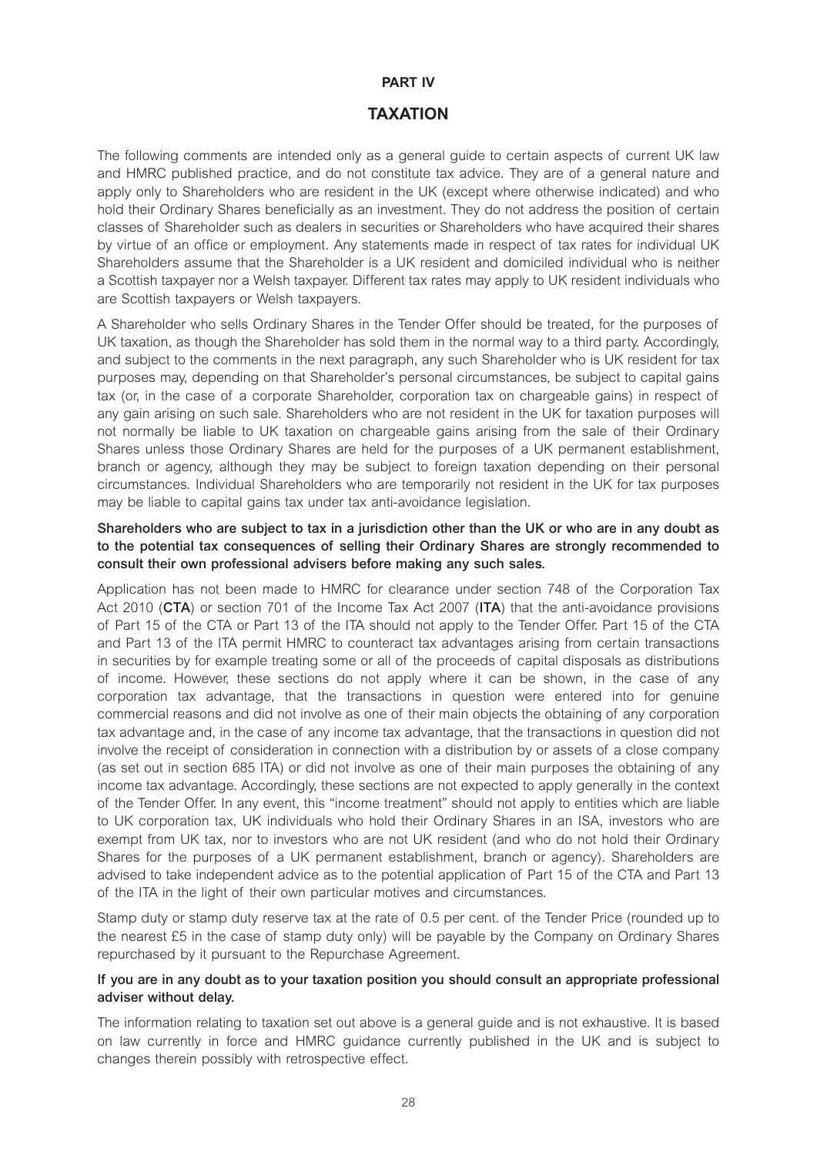# **PART IV**

# **TAXATION**

The following comments are intended only as a general guide to certain aspects of current UK law and HMRC published practice, and do not constitute tax advice. They are of a general nature and apply only to Shareholders who are resident in the UK (except where otherwise indicated) and who hold their Ordinary Shares beneficially as an investment. They do not address the position of certain classes of Shareholder such as dealers in securities or Shareholders who have acquired their shares by virtue of an office or employment. Any statements made in respect of tax rates for individual UK Shareholders assume that the Shareholder is a UK resident and domiciled individual who is neither a Scottish taxpayer nor a Welsh taxpayer. Different tax rates may apply to UK resident individuals who are Scottish taxpayers or Welsh taxpayers.

A Shareholder who sells Ordinary Shares in the Tender Offer should be treated, for the purposes of UK taxation, as though the Shareholder has sold them in the normal way to a third party. Accordingly, and subject to the comments in the next paragraph, any such Shareholder who is UK resident for tax purposes may, depending on that Shareholder's personal circumstances, be subject to capital gains tax (or, in the case of a corporate Shareholder, corporation tax on chargeable gains) in respect of any gain arising on such sale. Shareholders who are not resident in the UK for taxation purposes will not normally be liable to UK taxation on chargeable gains arising from the sale of their Ordinary Shares unless those Ordinary Shares are held for the purposes of a UK permanent establishment, branch or agency, although they may be subject to foreign taxation depending on their personal circumstances. Individual Shareholders who are temporarily not resident in the UK for tax purposes may be liable to capital gains tax under tax anti-avoidance legislation.

# **Shareholders who are subject to tax in a jurisdiction other than the UK or who are in any doubt as to the potential tax consequences of selling their Ordinary Shares are strongly recommended to consult their own professional advisers before making any such sales.**

Application has not been made to HMRC for clearance under section 748 of the Corporation Tax Act 2010 (**CTA**) or section 701 of the Income Tax Act 2007 (**ITA**) that the anti-avoidance provisions of Part 15 of the CTA or Part 13 of the ITA should not apply to the Tender Offer. Part 15 of the CTA and Part 13 of the ITA permit HMRC to counteract tax advantages arising from certain transactions in securities by for example treating some or all of the proceeds of capital disposals as distributions of income. However, these sections do not apply where it can be shown, in the case of any corporation tax advantage, that the transactions in question were entered into for genuine commercial reasons and did not involve as one of their main objects the obtaining of any corporation tax advantage and, in the case of any income tax advantage, that the transactions in question did not involve the receipt of consideration in connection with a distribution by or assets of a close company (as set out in section 685 ITA) or did not involve as one of their main purposes the obtaining of any income tax advantage. Accordingly, these sections are not expected to apply generally in the context of the Tender Offer. In any event, this "income treatment" should not apply to entities which are liable to UK corporation tax, UK individuals who hold their Ordinary Shares in an ISA, investors who are exempt from UK tax, nor to investors who are not UK resident (and who do not hold their Ordinary Shares for the purposes of a UK permanent establishment, branch or agency). Shareholders are advised to take independent advice as to the potential application of Part 15 of the CTA and Part 13 of the ITA in the light of their own particular motives and circumstances.

Stamp duty or stamp duty reserve tax at the rate of 0.5 per cent. of the Tender Price (rounded up to the nearest £5 in the case of stamp duty only) will be payable by the Company on Ordinary Shares repurchased by it pursuant to the Repurchase Agreement.

#### **If you are in any doubt as to your taxation position you should consult an appropriate professional adviser without delay.**

The information relating to taxation set out above is a general guide and is not exhaustive. It is based on law currently in force and HMRC guidance currently published in the UK and is subject to changes therein possibly with retrospective effect.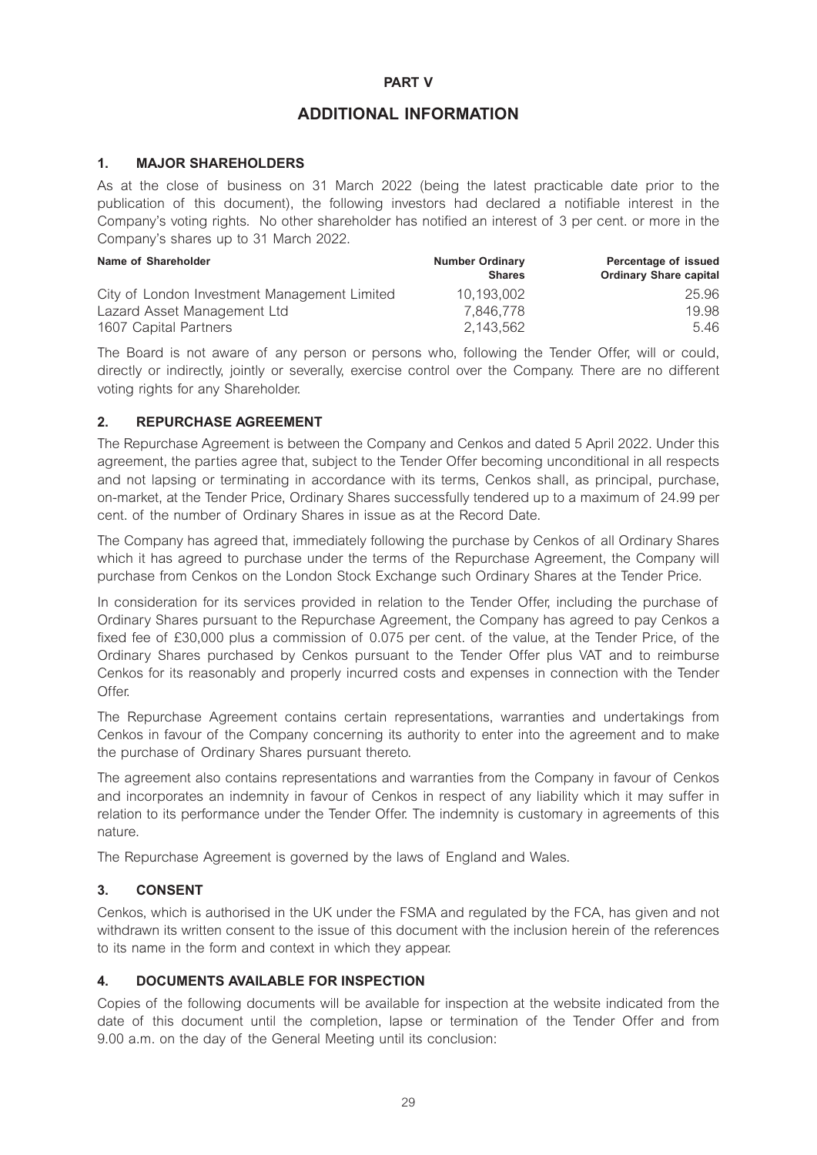# **PART V**

# **ADDITIONAL INFORMATION**

# **1. MAJOR SHAREHOLDERS**

As at the close of business on 31 March 2022 (being the latest practicable date prior to the publication of this document), the following investors had declared a notifiable interest in the Company's voting rights. No other shareholder has notified an interest of 3 per cent. or more in the Company's shares up to 31 March 2022.

| Name of Shareholder                          | <b>Number Ordinary</b><br><b>Shares</b> | Percentage of issued<br><b>Ordinary Share capital</b> |
|----------------------------------------------|-----------------------------------------|-------------------------------------------------------|
| City of London Investment Management Limited | 10.193.002                              | 25.96                                                 |
| Lazard Asset Management Ltd                  | 7.846.778                               | 19.98                                                 |
| 1607 Capital Partners                        | 2.143.562                               | 5.46                                                  |

The Board is not aware of any person or persons who, following the Tender Offer, will or could, directly or indirectly, jointly or severally, exercise control over the Company. There are no different voting rights for any Shareholder.

# **2. REPURCHASE AGREEMENT**

The Repurchase Agreement is between the Company and Cenkos and dated 5 April 2022. Under this agreement, the parties agree that, subject to the Tender Offer becoming unconditional in all respects and not lapsing or terminating in accordance with its terms, Cenkos shall, as principal, purchase, on-market, at the Tender Price, Ordinary Shares successfully tendered up to a maximum of 24.99 per cent. of the number of Ordinary Shares in issue as at the Record Date.

The Company has agreed that, immediately following the purchase by Cenkos of all Ordinary Shares which it has agreed to purchase under the terms of the Repurchase Agreement, the Company will purchase from Cenkos on the London Stock Exchange such Ordinary Shares at the Tender Price.

In consideration for its services provided in relation to the Tender Offer, including the purchase of Ordinary Shares pursuant to the Repurchase Agreement, the Company has agreed to pay Cenkos a fixed fee of £30,000 plus a commission of 0.075 per cent. of the value, at the Tender Price, of the Ordinary Shares purchased by Cenkos pursuant to the Tender Offer plus VAT and to reimburse Cenkos for its reasonably and properly incurred costs and expenses in connection with the Tender Offer.

The Repurchase Agreement contains certain representations, warranties and undertakings from Cenkos in favour of the Company concerning its authority to enter into the agreement and to make the purchase of Ordinary Shares pursuant thereto.

The agreement also contains representations and warranties from the Company in favour of Cenkos and incorporates an indemnity in favour of Cenkos in respect of any liability which it may suffer in relation to its performance under the Tender Offer. The indemnity is customary in agreements of this nature.

The Repurchase Agreement is governed by the laws of England and Wales.

# **3. CONSENT**

Cenkos, which is authorised in the UK under the FSMA and regulated by the FCA, has given and not withdrawn its written consent to the issue of this document with the inclusion herein of the references to its name in the form and context in which they appear.

# **4. DOCUMENTS AVAILABLE FOR INSPECTION**

Copies of the following documents will be available for inspection at the website indicated from the date of this document until the completion, lapse or termination of the Tender Offer and from 9.00 a.m. on the day of the General Meeting until its conclusion: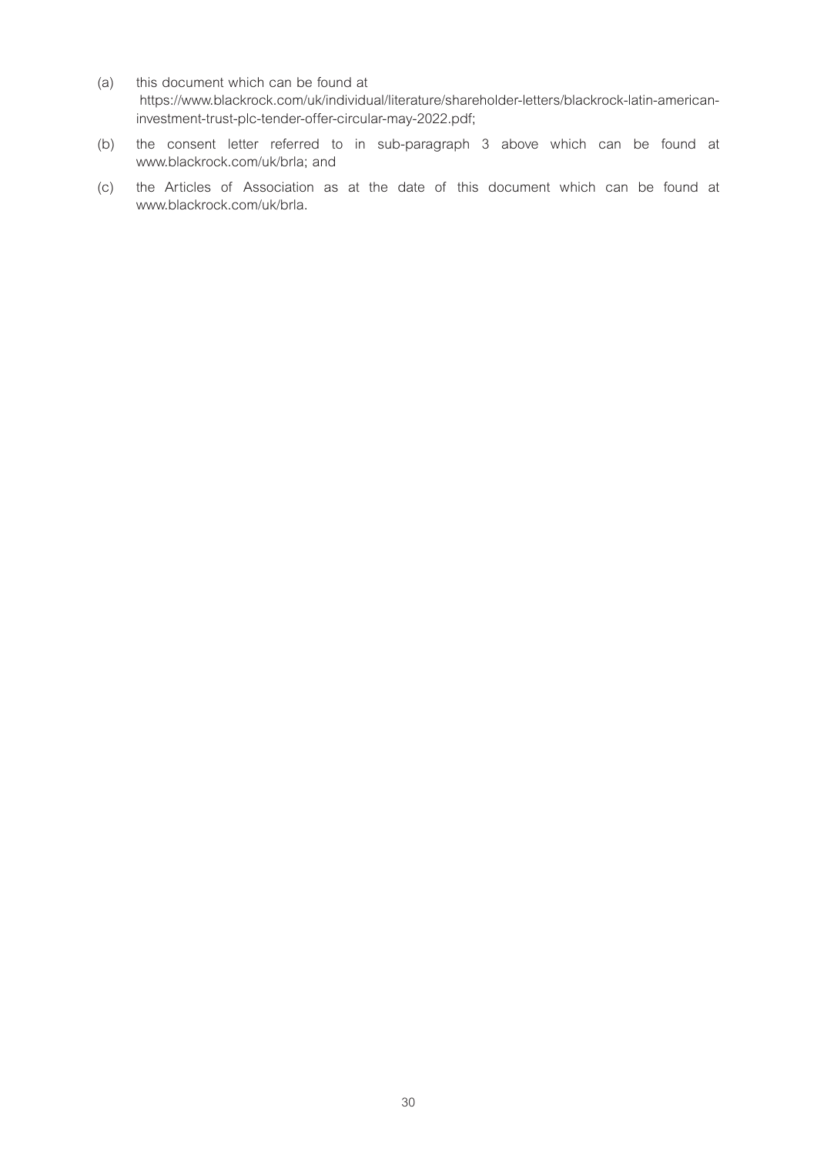- (a) this document which can be found at https://www.blackrock.com/uk/individual/literature/shareholder-letters/blackrock-latin-americaninvestment-trust-plc-tender-offer-circular-may-2022.pdf;
- (b) the consent letter referred to in sub-paragraph 3 above which can be found at www.blackrock.com/uk/brla; and
- (c) the Articles of Association as at the date of this document which can be found at www.blackrock.com/uk/brla.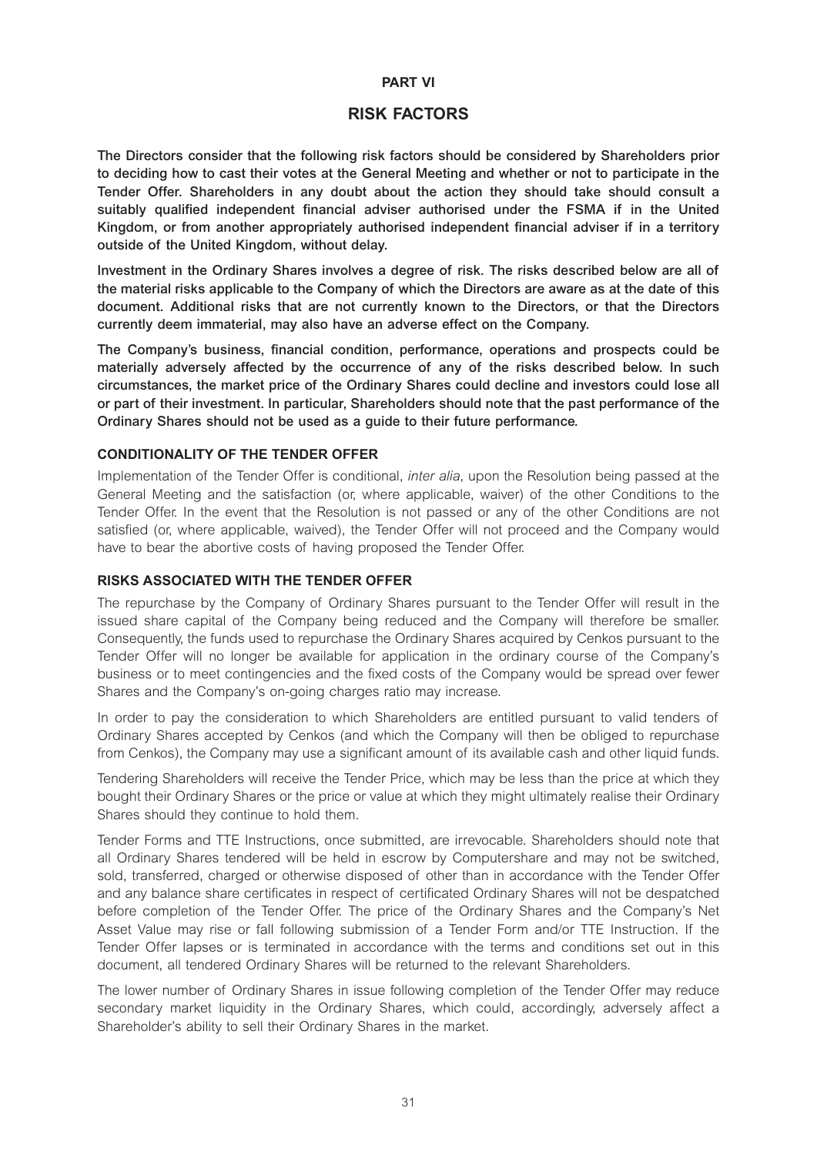#### **PART VI**

# **RISK FACTORS**

**The Directors consider that the following risk factors should be considered by Shareholders prior to deciding how to cast their votes at the General Meeting and whether or not to participate in the Tender Offer. Shareholders in any doubt about the action they should take should consult a suitably qualified independent financial adviser authorised under the FSMA if in the United Kingdom, or from another appropriately authorised independent financial adviser if in a territory outside of the United Kingdom, without delay.** 

**Investment in the Ordinary Shares involves a degree of risk. The risks described below are all of the material risks applicable to the Company of which the Directors are aware as at the date of this document. Additional risks that are not currently known to the Directors, or that the Directors currently deem immaterial, may also have an adverse effect on the Company.** 

**The Company's business, financial condition, performance, operations and prospects could be materially adversely affected by the occurrence of any of the risks described below. In such circumstances, the market price of the Ordinary Shares could decline and investors could lose all or part of their investment. In particular, Shareholders should note that the past performance of the Ordinary Shares should not be used as a guide to their future performance.** 

#### **CONDITIONALITY OF THE TENDER OFFER**

Implementation of the Tender Offer is conditional, *inter alia*, upon the Resolution being passed at the General Meeting and the satisfaction (or, where applicable, waiver) of the other Conditions to the Tender Offer. In the event that the Resolution is not passed or any of the other Conditions are not satisfied (or, where applicable, waived), the Tender Offer will not proceed and the Company would have to bear the abortive costs of having proposed the Tender Offer.

# **RISKS ASSOCIATED WITH THE TENDER OFFER**

The repurchase by the Company of Ordinary Shares pursuant to the Tender Offer will result in the issued share capital of the Company being reduced and the Company will therefore be smaller. Consequently, the funds used to repurchase the Ordinary Shares acquired by Cenkos pursuant to the Tender Offer will no longer be available for application in the ordinary course of the Company's business or to meet contingencies and the fixed costs of the Company would be spread over fewer Shares and the Company's on-going charges ratio may increase.

In order to pay the consideration to which Shareholders are entitled pursuant to valid tenders of Ordinary Shares accepted by Cenkos (and which the Company will then be obliged to repurchase from Cenkos), the Company may use a significant amount of its available cash and other liquid funds.

Tendering Shareholders will receive the Tender Price, which may be less than the price at which they bought their Ordinary Shares or the price or value at which they might ultimately realise their Ordinary Shares should they continue to hold them.

Tender Forms and TTE Instructions, once submitted, are irrevocable. Shareholders should note that all Ordinary Shares tendered will be held in escrow by Computershare and may not be switched, sold, transferred, charged or otherwise disposed of other than in accordance with the Tender Offer and any balance share certificates in respect of certificated Ordinary Shares will not be despatched before completion of the Tender Offer. The price of the Ordinary Shares and the Company's Net Asset Value may rise or fall following submission of a Tender Form and/or TTE Instruction. If the Tender Offer lapses or is terminated in accordance with the terms and conditions set out in this document, all tendered Ordinary Shares will be returned to the relevant Shareholders.

The lower number of Ordinary Shares in issue following completion of the Tender Offer may reduce secondary market liquidity in the Ordinary Shares, which could, accordingly, adversely affect a Shareholder's ability to sell their Ordinary Shares in the market.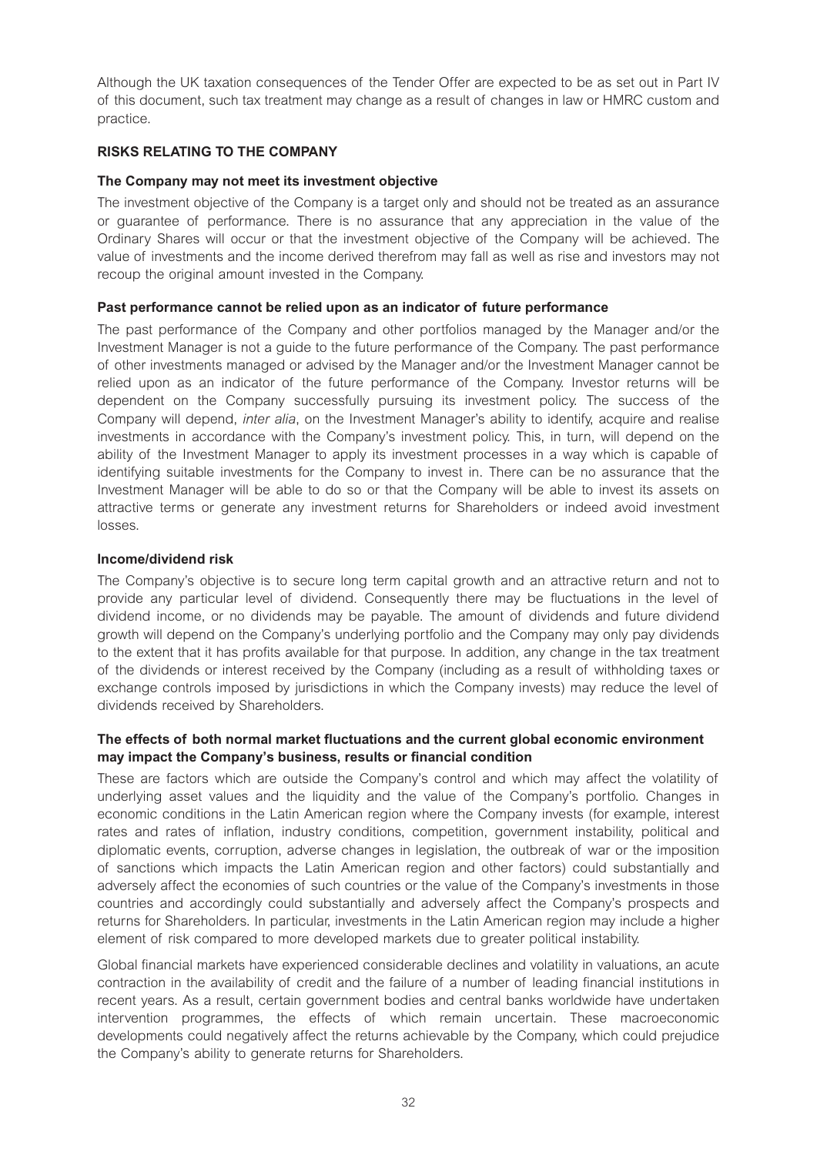Although the UK taxation consequences of the Tender Offer are expected to be as set out in Part IV of this document, such tax treatment may change as a result of changes in law or HMRC custom and practice.

# **RISKS RELATING TO THE COMPANY**

# **The Company may not meet its investment objective**

The investment objective of the Company is a target only and should not be treated as an assurance or guarantee of performance. There is no assurance that any appreciation in the value of the Ordinary Shares will occur or that the investment objective of the Company will be achieved. The value of investments and the income derived therefrom may fall as well as rise and investors may not recoup the original amount invested in the Company.

# **Past performance cannot be relied upon as an indicator of future performance**

The past performance of the Company and other portfolios managed by the Manager and/or the Investment Manager is not a guide to the future performance of the Company. The past performance of other investments managed or advised by the Manager and/or the Investment Manager cannot be relied upon as an indicator of the future performance of the Company. Investor returns will be dependent on the Company successfully pursuing its investment policy. The success of the Company will depend, *inter alia*, on the Investment Manager's ability to identify, acquire and realise investments in accordance with the Company's investment policy. This, in turn, will depend on the ability of the Investment Manager to apply its investment processes in a way which is capable of identifying suitable investments for the Company to invest in. There can be no assurance that the Investment Manager will be able to do so or that the Company will be able to invest its assets on attractive terms or generate any investment returns for Shareholders or indeed avoid investment losses.

# **Income/dividend risk**

The Company's objective is to secure long term capital growth and an attractive return and not to provide any particular level of dividend. Consequently there may be fluctuations in the level of dividend income, or no dividends may be payable. The amount of dividends and future dividend growth will depend on the Company's underlying portfolio and the Company may only pay dividends to the extent that it has profits available for that purpose. In addition, any change in the tax treatment of the dividends or interest received by the Company (including as a result of withholding taxes or exchange controls imposed by jurisdictions in which the Company invests) may reduce the level of dividends received by Shareholders.

# **The effects of both normal market fluctuations and the current global economic environment may impact the Company's business, results or financial condition**

These are factors which are outside the Company's control and which may affect the volatility of underlying asset values and the liquidity and the value of the Company's portfolio. Changes in economic conditions in the Latin American region where the Company invests (for example, interest rates and rates of inflation, industry conditions, competition, government instability, political and diplomatic events, corruption, adverse changes in legislation, the outbreak of war or the imposition of sanctions which impacts the Latin American region and other factors) could substantially and adversely affect the economies of such countries or the value of the Company's investments in those countries and accordingly could substantially and adversely affect the Company's prospects and returns for Shareholders. In particular, investments in the Latin American region may include a higher element of risk compared to more developed markets due to greater political instability.

Global financial markets have experienced considerable declines and volatility in valuations, an acute contraction in the availability of credit and the failure of a number of leading financial institutions in recent years. As a result, certain government bodies and central banks worldwide have undertaken intervention programmes, the effects of which remain uncertain. These macroeconomic developments could negatively affect the returns achievable by the Company, which could prejudice the Company's ability to generate returns for Shareholders.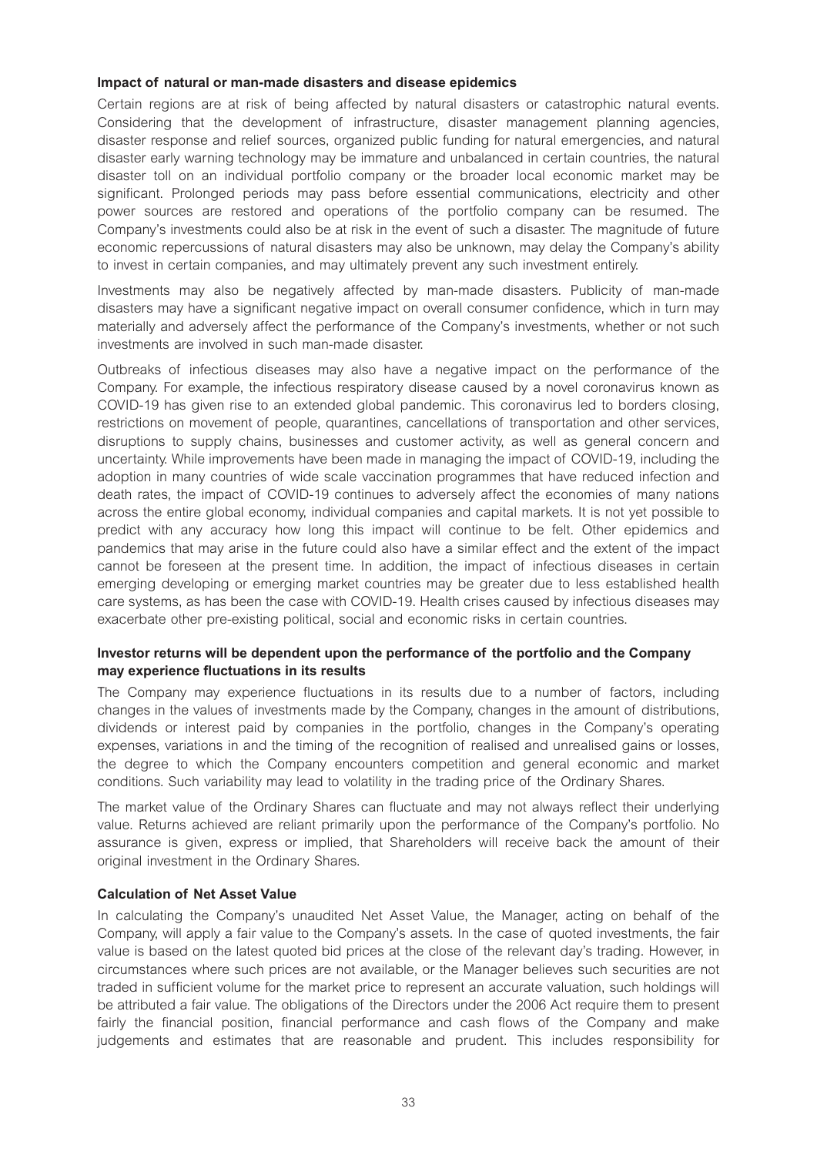#### **Impact of natural or man-made disasters and disease epidemics**

Certain regions are at risk of being affected by natural disasters or catastrophic natural events. Considering that the development of infrastructure, disaster management planning agencies, disaster response and relief sources, organized public funding for natural emergencies, and natural disaster early warning technology may be immature and unbalanced in certain countries, the natural disaster toll on an individual portfolio company or the broader local economic market may be significant. Prolonged periods may pass before essential communications, electricity and other power sources are restored and operations of the portfolio company can be resumed. The Company's investments could also be at risk in the event of such a disaster. The magnitude of future economic repercussions of natural disasters may also be unknown, may delay the Company's ability to invest in certain companies, and may ultimately prevent any such investment entirely.

Investments may also be negatively affected by man-made disasters. Publicity of man-made disasters may have a significant negative impact on overall consumer confidence, which in turn may materially and adversely affect the performance of the Company's investments, whether or not such investments are involved in such man-made disaster.

Outbreaks of infectious diseases may also have a negative impact on the performance of the Company. For example, the infectious respiratory disease caused by a novel coronavirus known as COVID-19 has given rise to an extended global pandemic. This coronavirus led to borders closing, restrictions on movement of people, quarantines, cancellations of transportation and other services, disruptions to supply chains, businesses and customer activity, as well as general concern and uncertainty. While improvements have been made in managing the impact of COVID-19, including the adoption in many countries of wide scale vaccination programmes that have reduced infection and death rates, the impact of COVID-19 continues to adversely affect the economies of many nations across the entire global economy, individual companies and capital markets. It is not yet possible to predict with any accuracy how long this impact will continue to be felt. Other epidemics and pandemics that may arise in the future could also have a similar effect and the extent of the impact cannot be foreseen at the present time. In addition, the impact of infectious diseases in certain emerging developing or emerging market countries may be greater due to less established health care systems, as has been the case with COVID-19. Health crises caused by infectious diseases may exacerbate other pre-existing political, social and economic risks in certain countries.

#### **Investor returns will be dependent upon the performance of the portfolio and the Company may experience fluctuations in its results**

The Company may experience fluctuations in its results due to a number of factors, including changes in the values of investments made by the Company, changes in the amount of distributions, dividends or interest paid by companies in the portfolio, changes in the Company's operating expenses, variations in and the timing of the recognition of realised and unrealised gains or losses, the degree to which the Company encounters competition and general economic and market conditions. Such variability may lead to volatility in the trading price of the Ordinary Shares.

The market value of the Ordinary Shares can fluctuate and may not always reflect their underlying value. Returns achieved are reliant primarily upon the performance of the Company's portfolio. No assurance is given, express or implied, that Shareholders will receive back the amount of their original investment in the Ordinary Shares.

# **Calculation of Net Asset Value**

In calculating the Company's unaudited Net Asset Value, the Manager, acting on behalf of the Company, will apply a fair value to the Company's assets. In the case of quoted investments, the fair value is based on the latest quoted bid prices at the close of the relevant day's trading. However, in circumstances where such prices are not available, or the Manager believes such securities are not traded in sufficient volume for the market price to represent an accurate valuation, such holdings will be attributed a fair value. The obligations of the Directors under the 2006 Act require them to present fairly the financial position, financial performance and cash flows of the Company and make judgements and estimates that are reasonable and prudent. This includes responsibility for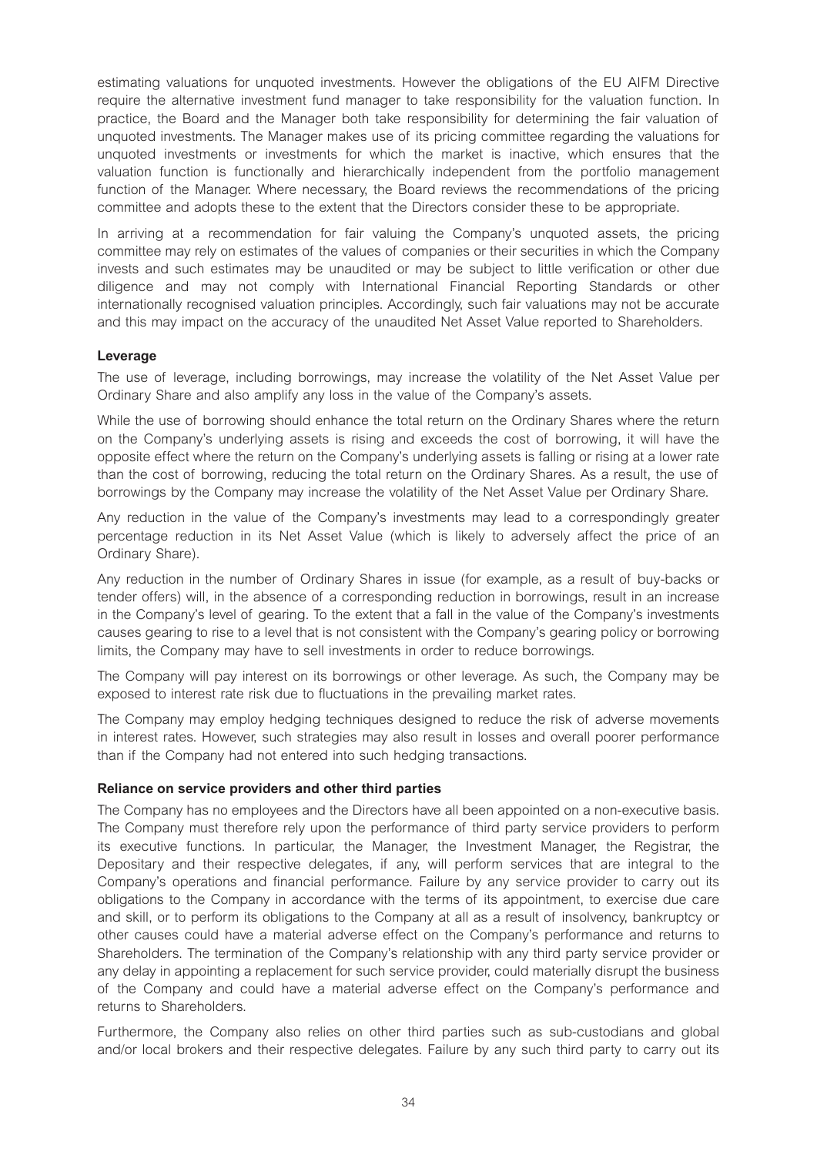estimating valuations for unquoted investments. However the obligations of the EU AIFM Directive require the alternative investment fund manager to take responsibility for the valuation function. In practice, the Board and the Manager both take responsibility for determining the fair valuation of unquoted investments. The Manager makes use of its pricing committee regarding the valuations for unquoted investments or investments for which the market is inactive, which ensures that the valuation function is functionally and hierarchically independent from the portfolio management function of the Manager. Where necessary, the Board reviews the recommendations of the pricing committee and adopts these to the extent that the Directors consider these to be appropriate.

In arriving at a recommendation for fair valuing the Company's unquoted assets, the pricing committee may rely on estimates of the values of companies or their securities in which the Company invests and such estimates may be unaudited or may be subject to little verification or other due diligence and may not comply with International Financial Reporting Standards or other internationally recognised valuation principles. Accordingly, such fair valuations may not be accurate and this may impact on the accuracy of the unaudited Net Asset Value reported to Shareholders.

#### **Leverage**

The use of leverage, including borrowings, may increase the volatility of the Net Asset Value per Ordinary Share and also amplify any loss in the value of the Company's assets.

While the use of borrowing should enhance the total return on the Ordinary Shares where the return on the Company's underlying assets is rising and exceeds the cost of borrowing, it will have the opposite effect where the return on the Company's underlying assets is falling or rising at a lower rate than the cost of borrowing, reducing the total return on the Ordinary Shares. As a result, the use of borrowings by the Company may increase the volatility of the Net Asset Value per Ordinary Share.

Any reduction in the value of the Company's investments may lead to a correspondingly greater percentage reduction in its Net Asset Value (which is likely to adversely affect the price of an Ordinary Share).

Any reduction in the number of Ordinary Shares in issue (for example, as a result of buy-backs or tender offers) will, in the absence of a corresponding reduction in borrowings, result in an increase in the Company's level of gearing. To the extent that a fall in the value of the Company's investments causes gearing to rise to a level that is not consistent with the Company's gearing policy or borrowing limits, the Company may have to sell investments in order to reduce borrowings.

The Company will pay interest on its borrowings or other leverage. As such, the Company may be exposed to interest rate risk due to fluctuations in the prevailing market rates.

The Company may employ hedging techniques designed to reduce the risk of adverse movements in interest rates. However, such strategies may also result in losses and overall poorer performance than if the Company had not entered into such hedging transactions.

#### **Reliance on service providers and other third parties**

The Company has no employees and the Directors have all been appointed on a non-executive basis. The Company must therefore rely upon the performance of third party service providers to perform its executive functions. In particular, the Manager, the Investment Manager, the Registrar, the Depositary and their respective delegates, if any, will perform services that are integral to the Company's operations and financial performance. Failure by any service provider to carry out its obligations to the Company in accordance with the terms of its appointment, to exercise due care and skill, or to perform its obligations to the Company at all as a result of insolvency, bankruptcy or other causes could have a material adverse effect on the Company's performance and returns to Shareholders. The termination of the Company's relationship with any third party service provider or any delay in appointing a replacement for such service provider, could materially disrupt the business of the Company and could have a material adverse effect on the Company's performance and returns to Shareholders.

Furthermore, the Company also relies on other third parties such as sub-custodians and global and/or local brokers and their respective delegates. Failure by any such third party to carry out its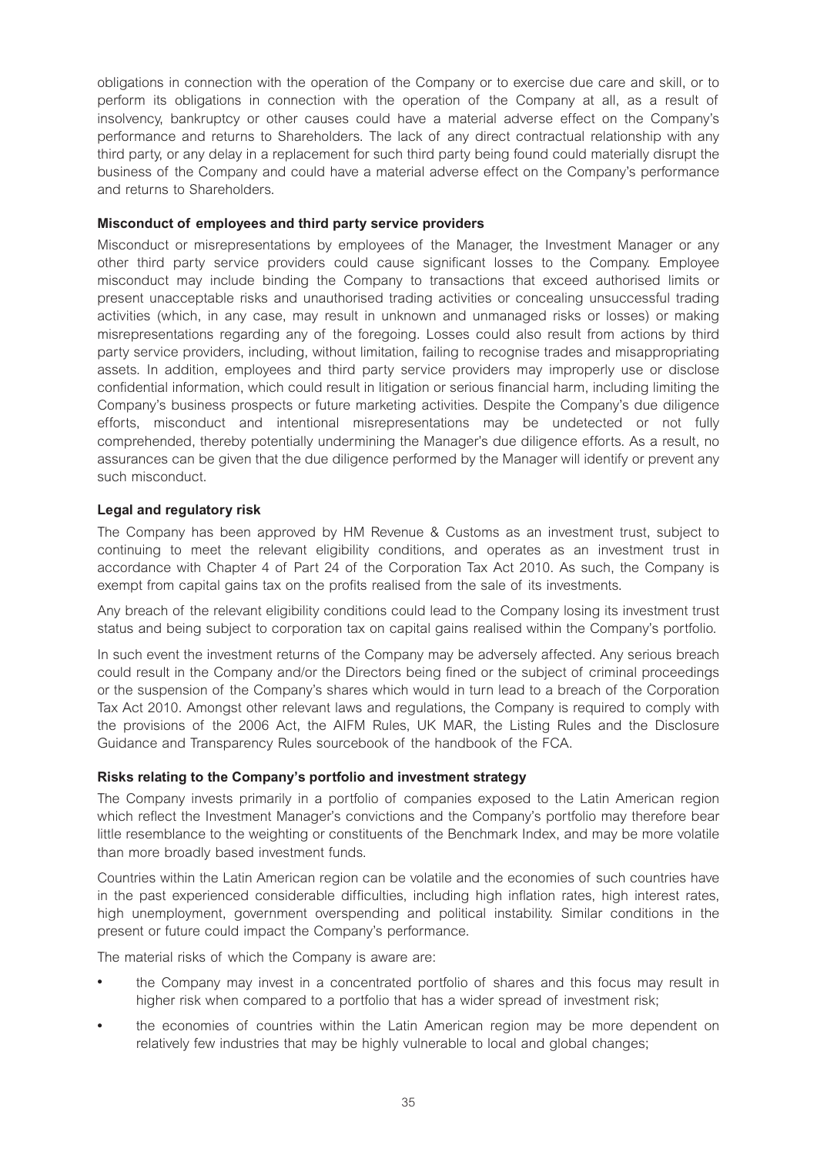obligations in connection with the operation of the Company or to exercise due care and skill, or to perform its obligations in connection with the operation of the Company at all, as a result of insolvency, bankruptcy or other causes could have a material adverse effect on the Company's performance and returns to Shareholders. The lack of any direct contractual relationship with any third party, or any delay in a replacement for such third party being found could materially disrupt the business of the Company and could have a material adverse effect on the Company's performance and returns to Shareholders.

# **Misconduct of employees and third party service providers**

Misconduct or misrepresentations by employees of the Manager, the Investment Manager or any other third party service providers could cause significant losses to the Company. Employee misconduct may include binding the Company to transactions that exceed authorised limits or present unacceptable risks and unauthorised trading activities or concealing unsuccessful trading activities (which, in any case, may result in unknown and unmanaged risks or losses) or making misrepresentations regarding any of the foregoing. Losses could also result from actions by third party service providers, including, without limitation, failing to recognise trades and misappropriating assets. In addition, employees and third party service providers may improperly use or disclose confidential information, which could result in litigation or serious financial harm, including limiting the Company's business prospects or future marketing activities. Despite the Company's due diligence efforts, misconduct and intentional misrepresentations may be undetected or not fully comprehended, thereby potentially undermining the Manager's due diligence efforts. As a result, no assurances can be given that the due diligence performed by the Manager will identify or prevent any such misconduct.

# **Legal and regulatory risk**

The Company has been approved by HM Revenue & Customs as an investment trust, subject to continuing to meet the relevant eligibility conditions, and operates as an investment trust in accordance with Chapter 4 of Part 24 of the Corporation Tax Act 2010. As such, the Company is exempt from capital gains tax on the profits realised from the sale of its investments.

Any breach of the relevant eligibility conditions could lead to the Company losing its investment trust status and being subject to corporation tax on capital gains realised within the Company's portfolio.

In such event the investment returns of the Company may be adversely affected. Any serious breach could result in the Company and/or the Directors being fined or the subject of criminal proceedings or the suspension of the Company's shares which would in turn lead to a breach of the Corporation Tax Act 2010. Amongst other relevant laws and regulations, the Company is required to comply with the provisions of the 2006 Act, the AIFM Rules, UK MAR, the Listing Rules and the Disclosure Guidance and Transparency Rules sourcebook of the handbook of the FCA.

# **Risks relating to the Company's portfolio and investment strategy**

The Company invests primarily in a portfolio of companies exposed to the Latin American region which reflect the Investment Manager's convictions and the Company's portfolio may therefore bear little resemblance to the weighting or constituents of the Benchmark Index, and may be more volatile than more broadly based investment funds.

Countries within the Latin American region can be volatile and the economies of such countries have in the past experienced considerable difficulties, including high inflation rates, high interest rates, high unemployment, government overspending and political instability. Similar conditions in the present or future could impact the Company's performance.

The material risks of which the Company is aware are:

- the Company may invest in a concentrated portfolio of shares and this focus may result in higher risk when compared to a portfolio that has a wider spread of investment risk;
- the economies of countries within the Latin American region may be more dependent on relatively few industries that may be highly vulnerable to local and global changes;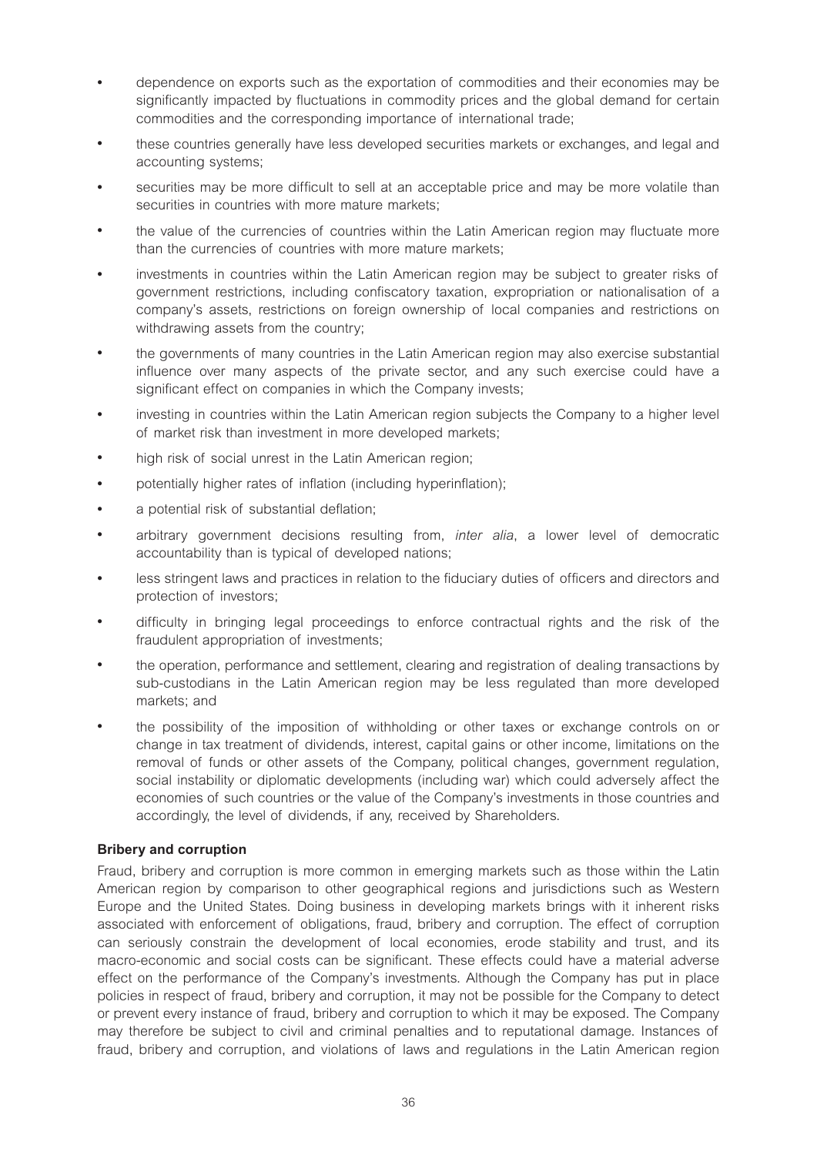- dependence on exports such as the exportation of commodities and their economies may be significantly impacted by fluctuations in commodity prices and the global demand for certain commodities and the corresponding importance of international trade;
- <sup>l</sup> these countries generally have less developed securities markets or exchanges, and legal and accounting systems;
- securities may be more difficult to sell at an acceptable price and may be more volatile than securities in countries with more mature markets;
- the value of the currencies of countries within the Latin American region may fluctuate more than the currencies of countries with more mature markets;
- investments in countries within the Latin American region may be subject to greater risks of government restrictions, including confiscatory taxation, expropriation or nationalisation of a company's assets, restrictions on foreign ownership of local companies and restrictions on withdrawing assets from the country;
- the governments of many countries in the Latin American region may also exercise substantial influence over many aspects of the private sector, and any such exercise could have a significant effect on companies in which the Company invests;
- investing in countries within the Latin American region subjects the Company to a higher level of market risk than investment in more developed markets;
- high risk of social unrest in the Latin American region;
- potentially higher rates of inflation (including hyperinflation);
- a potential risk of substantial deflation;
- <sup>l</sup> arbitrary government decisions resulting from, *inter alia*, a lower level of democratic accountability than is typical of developed nations;
- less stringent laws and practices in relation to the fiduciary duties of officers and directors and protection of investors;
- difficulty in bringing legal proceedings to enforce contractual rights and the risk of the fraudulent appropriation of investments;
- <sup>l</sup> the operation, performance and settlement, clearing and registration of dealing transactions by sub-custodians in the Latin American region may be less regulated than more developed markets; and
- the possibility of the imposition of withholding or other taxes or exchange controls on or change in tax treatment of dividends, interest, capital gains or other income, limitations on the removal of funds or other assets of the Company, political changes, government regulation, social instability or diplomatic developments (including war) which could adversely affect the economies of such countries or the value of the Company's investments in those countries and accordingly, the level of dividends, if any, received by Shareholders.

#### **Bribery and corruption**

Fraud, bribery and corruption is more common in emerging markets such as those within the Latin American region by comparison to other geographical regions and jurisdictions such as Western Europe and the United States. Doing business in developing markets brings with it inherent risks associated with enforcement of obligations, fraud, bribery and corruption. The effect of corruption can seriously constrain the development of local economies, erode stability and trust, and its macro-economic and social costs can be significant. These effects could have a material adverse effect on the performance of the Company's investments. Although the Company has put in place policies in respect of fraud, bribery and corruption, it may not be possible for the Company to detect or prevent every instance of fraud, bribery and corruption to which it may be exposed. The Company may therefore be subject to civil and criminal penalties and to reputational damage. Instances of fraud, bribery and corruption, and violations of laws and regulations in the Latin American region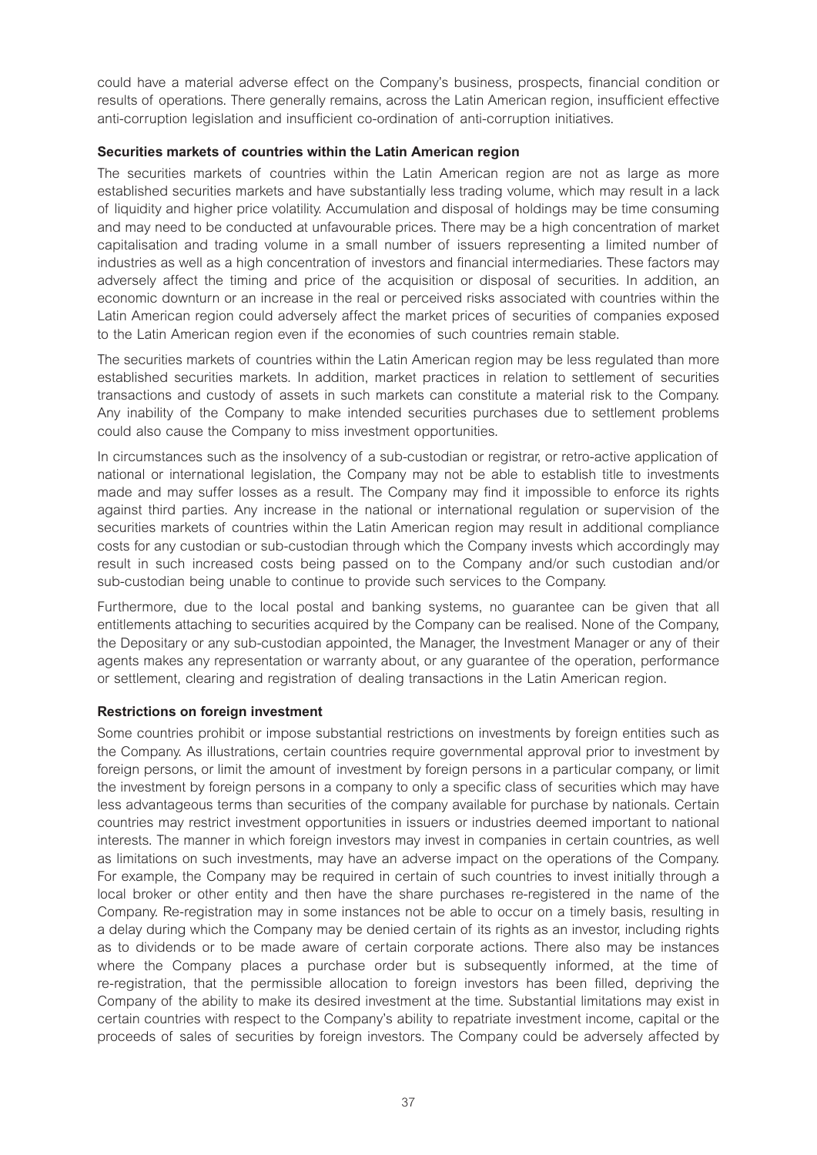could have a material adverse effect on the Company's business, prospects, financial condition or results of operations. There generally remains, across the Latin American region, insufficient effective anti-corruption legislation and insufficient co-ordination of anti-corruption initiatives.

#### **Securities markets of countries within the Latin American region**

The securities markets of countries within the Latin American region are not as large as more established securities markets and have substantially less trading volume, which may result in a lack of liquidity and higher price volatility. Accumulation and disposal of holdings may be time consuming and may need to be conducted at unfavourable prices. There may be a high concentration of market capitalisation and trading volume in a small number of issuers representing a limited number of industries as well as a high concentration of investors and financial intermediaries. These factors may adversely affect the timing and price of the acquisition or disposal of securities. In addition, an economic downturn or an increase in the real or perceived risks associated with countries within the Latin American region could adversely affect the market prices of securities of companies exposed to the Latin American region even if the economies of such countries remain stable.

The securities markets of countries within the Latin American region may be less regulated than more established securities markets. In addition, market practices in relation to settlement of securities transactions and custody of assets in such markets can constitute a material risk to the Company. Any inability of the Company to make intended securities purchases due to settlement problems could also cause the Company to miss investment opportunities.

In circumstances such as the insolvency of a sub-custodian or registrar, or retro-active application of national or international legislation, the Company may not be able to establish title to investments made and may suffer losses as a result. The Company may find it impossible to enforce its rights against third parties. Any increase in the national or international regulation or supervision of the securities markets of countries within the Latin American region may result in additional compliance costs for any custodian or sub-custodian through which the Company invests which accordingly may result in such increased costs being passed on to the Company and/or such custodian and/or sub-custodian being unable to continue to provide such services to the Company.

Furthermore, due to the local postal and banking systems, no guarantee can be given that all entitlements attaching to securities acquired by the Company can be realised. None of the Company, the Depositary or any sub-custodian appointed, the Manager, the Investment Manager or any of their agents makes any representation or warranty about, or any guarantee of the operation, performance or settlement, clearing and registration of dealing transactions in the Latin American region.

#### **Restrictions on foreign investment**

Some countries prohibit or impose substantial restrictions on investments by foreign entities such as the Company. As illustrations, certain countries require governmental approval prior to investment by foreign persons, or limit the amount of investment by foreign persons in a particular company, or limit the investment by foreign persons in a company to only a specific class of securities which may have less advantageous terms than securities of the company available for purchase by nationals. Certain countries may restrict investment opportunities in issuers or industries deemed important to national interests. The manner in which foreign investors may invest in companies in certain countries, as well as limitations on such investments, may have an adverse impact on the operations of the Company. For example, the Company may be required in certain of such countries to invest initially through a local broker or other entity and then have the share purchases re-registered in the name of the Company. Re-registration may in some instances not be able to occur on a timely basis, resulting in a delay during which the Company may be denied certain of its rights as an investor, including rights as to dividends or to be made aware of certain corporate actions. There also may be instances where the Company places a purchase order but is subsequently informed, at the time of re-registration, that the permissible allocation to foreign investors has been filled, depriving the Company of the ability to make its desired investment at the time. Substantial limitations may exist in certain countries with respect to the Company's ability to repatriate investment income, capital or the proceeds of sales of securities by foreign investors. The Company could be adversely affected by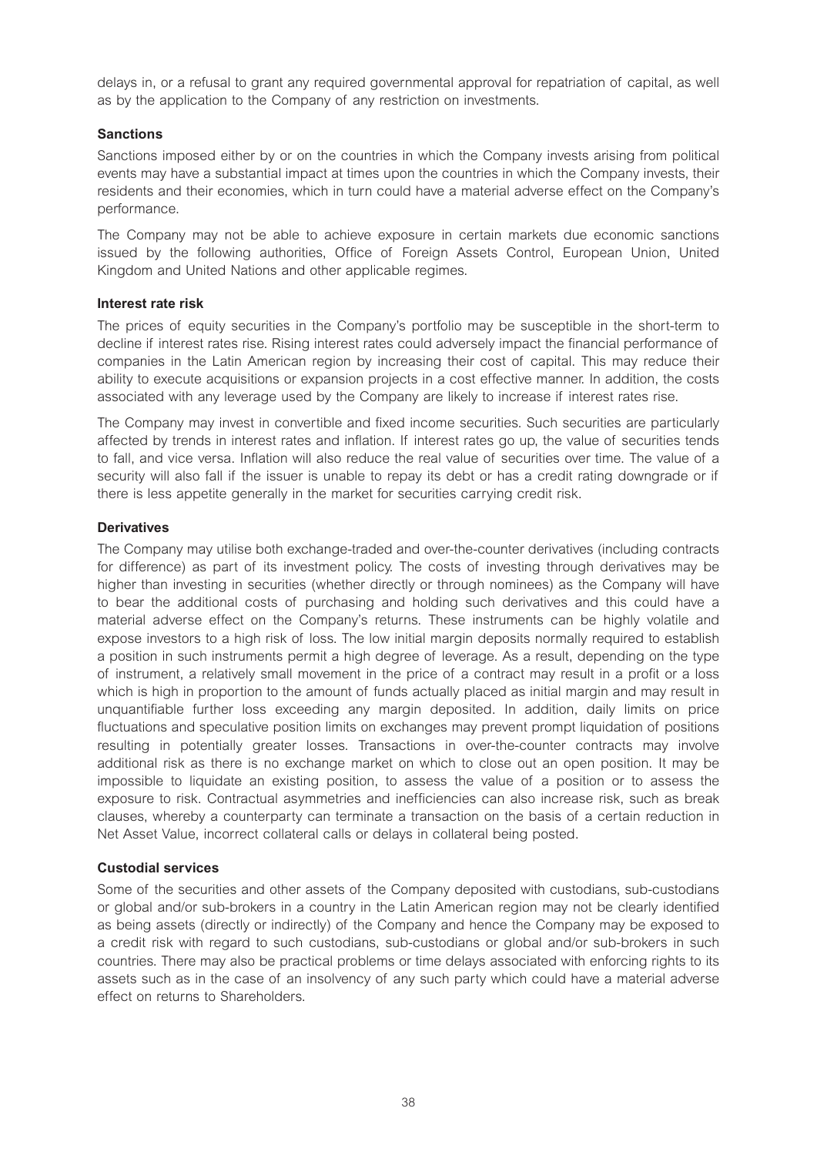delays in, or a refusal to grant any required governmental approval for repatriation of capital, as well as by the application to the Company of any restriction on investments.

# **Sanctions**

Sanctions imposed either by or on the countries in which the Company invests arising from political events may have a substantial impact at times upon the countries in which the Company invests, their residents and their economies, which in turn could have a material adverse effect on the Company's performance.

The Company may not be able to achieve exposure in certain markets due economic sanctions issued by the following authorities, Office of Foreign Assets Control, European Union, United Kingdom and United Nations and other applicable regimes.

# **Interest rate risk**

The prices of equity securities in the Company's portfolio may be susceptible in the short-term to decline if interest rates rise. Rising interest rates could adversely impact the financial performance of companies in the Latin American region by increasing their cost of capital. This may reduce their ability to execute acquisitions or expansion projects in a cost effective manner. In addition, the costs associated with any leverage used by the Company are likely to increase if interest rates rise.

The Company may invest in convertible and fixed income securities. Such securities are particularly affected by trends in interest rates and inflation. If interest rates go up, the value of securities tends to fall, and vice versa. Inflation will also reduce the real value of securities over time. The value of a security will also fall if the issuer is unable to repay its debt or has a credit rating downgrade or if there is less appetite generally in the market for securities carrying credit risk.

# **Derivatives**

The Company may utilise both exchange-traded and over-the-counter derivatives (including contracts for difference) as part of its investment policy. The costs of investing through derivatives may be higher than investing in securities (whether directly or through nominees) as the Company will have to bear the additional costs of purchasing and holding such derivatives and this could have a material adverse effect on the Company's returns. These instruments can be highly volatile and expose investors to a high risk of loss. The low initial margin deposits normally required to establish a position in such instruments permit a high degree of leverage. As a result, depending on the type of instrument, a relatively small movement in the price of a contract may result in a profit or a loss which is high in proportion to the amount of funds actually placed as initial margin and may result in unquantifiable further loss exceeding any margin deposited. In addition, daily limits on price fluctuations and speculative position limits on exchanges may prevent prompt liquidation of positions resulting in potentially greater losses. Transactions in over-the-counter contracts may involve additional risk as there is no exchange market on which to close out an open position. It may be impossible to liquidate an existing position, to assess the value of a position or to assess the exposure to risk. Contractual asymmetries and inefficiencies can also increase risk, such as break clauses, whereby a counterparty can terminate a transaction on the basis of a certain reduction in Net Asset Value, incorrect collateral calls or delays in collateral being posted.

# **Custodial services**

Some of the securities and other assets of the Company deposited with custodians, sub-custodians or global and/or sub-brokers in a country in the Latin American region may not be clearly identified as being assets (directly or indirectly) of the Company and hence the Company may be exposed to a credit risk with regard to such custodians, sub-custodians or global and/or sub-brokers in such countries. There may also be practical problems or time delays associated with enforcing rights to its assets such as in the case of an insolvency of any such party which could have a material adverse effect on returns to Shareholders.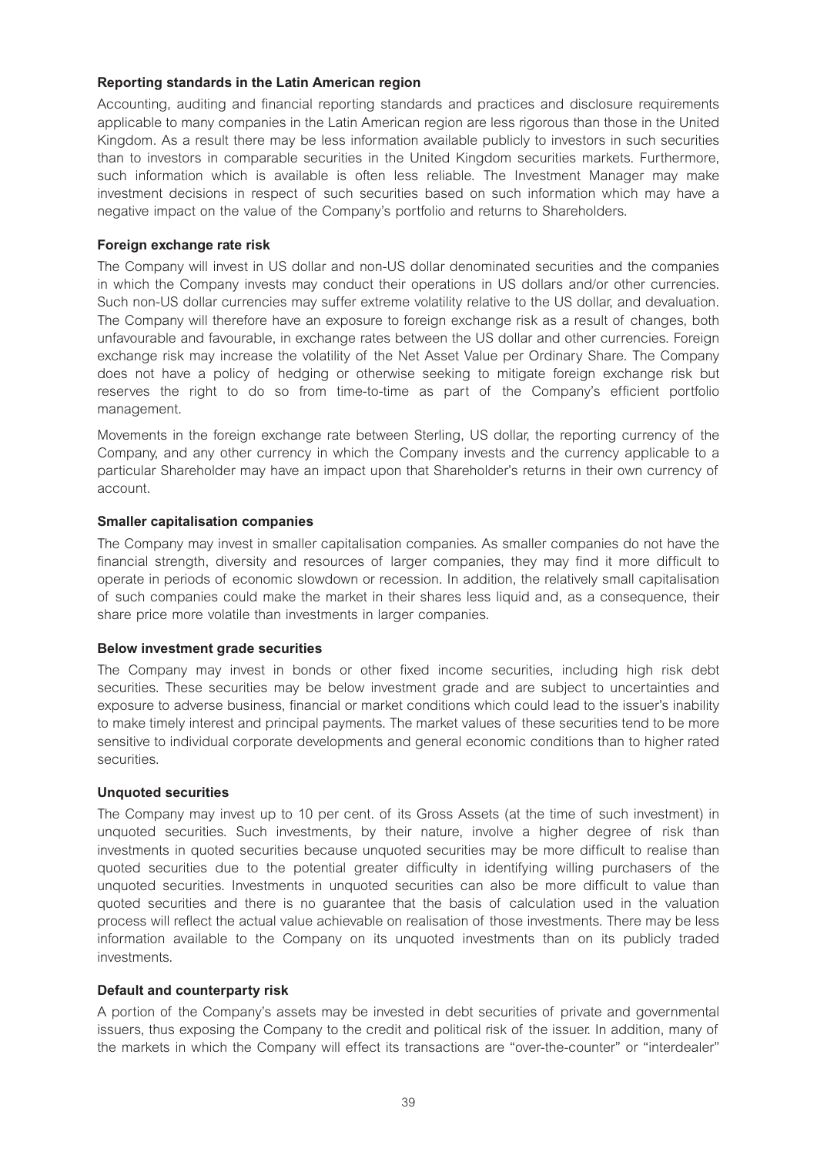# **Reporting standards in the Latin American region**

Accounting, auditing and financial reporting standards and practices and disclosure requirements applicable to many companies in the Latin American region are less rigorous than those in the United Kingdom. As a result there may be less information available publicly to investors in such securities than to investors in comparable securities in the United Kingdom securities markets. Furthermore, such information which is available is often less reliable. The Investment Manager may make investment decisions in respect of such securities based on such information which may have a negative impact on the value of the Company's portfolio and returns to Shareholders.

#### **Foreign exchange rate risk**

The Company will invest in US dollar and non-US dollar denominated securities and the companies in which the Company invests may conduct their operations in US dollars and/or other currencies. Such non-US dollar currencies may suffer extreme volatility relative to the US dollar, and devaluation. The Company will therefore have an exposure to foreign exchange risk as a result of changes, both unfavourable and favourable, in exchange rates between the US dollar and other currencies. Foreign exchange risk may increase the volatility of the Net Asset Value per Ordinary Share. The Company does not have a policy of hedging or otherwise seeking to mitigate foreign exchange risk but reserves the right to do so from time-to-time as part of the Company's efficient portfolio management.

Movements in the foreign exchange rate between Sterling, US dollar, the reporting currency of the Company, and any other currency in which the Company invests and the currency applicable to a particular Shareholder may have an impact upon that Shareholder's returns in their own currency of account.

#### **Smaller capitalisation companies**

The Company may invest in smaller capitalisation companies. As smaller companies do not have the financial strength, diversity and resources of larger companies, they may find it more difficult to operate in periods of economic slowdown or recession. In addition, the relatively small capitalisation of such companies could make the market in their shares less liquid and, as a consequence, their share price more volatile than investments in larger companies.

#### **Below investment grade securities**

The Company may invest in bonds or other fixed income securities, including high risk debt securities. These securities may be below investment grade and are subject to uncertainties and exposure to adverse business, financial or market conditions which could lead to the issuer's inability to make timely interest and principal payments. The market values of these securities tend to be more sensitive to individual corporate developments and general economic conditions than to higher rated securities.

#### **Unquoted securities**

The Company may invest up to 10 per cent. of its Gross Assets (at the time of such investment) in unquoted securities. Such investments, by their nature, involve a higher degree of risk than investments in quoted securities because unquoted securities may be more difficult to realise than quoted securities due to the potential greater difficulty in identifying willing purchasers of the unquoted securities. Investments in unquoted securities can also be more difficult to value than quoted securities and there is no guarantee that the basis of calculation used in the valuation process will reflect the actual value achievable on realisation of those investments. There may be less information available to the Company on its unquoted investments than on its publicly traded investments.

# **Default and counterparty risk**

A portion of the Company's assets may be invested in debt securities of private and governmental issuers, thus exposing the Company to the credit and political risk of the issuer. In addition, many of the markets in which the Company will effect its transactions are "over-the-counter" or "interdealer"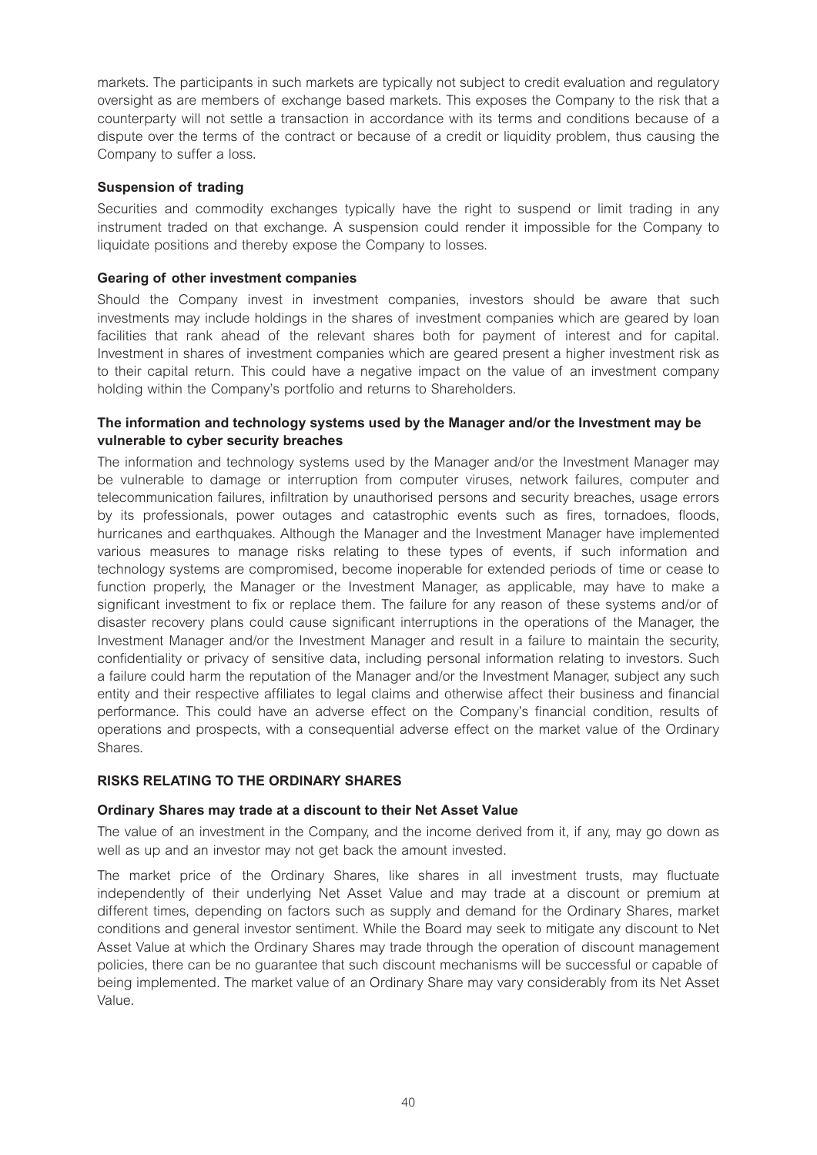markets. The participants in such markets are typically not subject to credit evaluation and regulatory oversight as are members of exchange based markets. This exposes the Company to the risk that a counterparty will not settle a transaction in accordance with its terms and conditions because of a dispute over the terms of the contract or because of a credit or liquidity problem, thus causing the Company to suffer a loss.

#### **Suspension of trading**

Securities and commodity exchanges typically have the right to suspend or limit trading in any instrument traded on that exchange. A suspension could render it impossible for the Company to liquidate positions and thereby expose the Company to losses.

# **Gearing of other investment companies**

Should the Company invest in investment companies, investors should be aware that such investments may include holdings in the shares of investment companies which are geared by loan facilities that rank ahead of the relevant shares both for payment of interest and for capital. Investment in shares of investment companies which are geared present a higher investment risk as to their capital return. This could have a negative impact on the value of an investment company holding within the Company's portfolio and returns to Shareholders.

# **The information and technology systems used by the Manager and/or the Investment may be vulnerable to cyber security breaches**

The information and technology systems used by the Manager and/or the Investment Manager may be vulnerable to damage or interruption from computer viruses, network failures, computer and telecommunication failures, infiltration by unauthorised persons and security breaches, usage errors by its professionals, power outages and catastrophic events such as fires, tornadoes, floods, hurricanes and earthquakes. Although the Manager and the Investment Manager have implemented various measures to manage risks relating to these types of events, if such information and technology systems are compromised, become inoperable for extended periods of time or cease to function properly, the Manager or the Investment Manager, as applicable, may have to make a significant investment to fix or replace them. The failure for any reason of these systems and/or of disaster recovery plans could cause significant interruptions in the operations of the Manager, the Investment Manager and/or the Investment Manager and result in a failure to maintain the security, confidentiality or privacy of sensitive data, including personal information relating to investors. Such a failure could harm the reputation of the Manager and/or the Investment Manager, subject any such entity and their respective affiliates to legal claims and otherwise affect their business and financial performance. This could have an adverse effect on the Company's financial condition, results of operations and prospects, with a consequential adverse effect on the market value of the Ordinary Shares.

#### **RISKS RELATING TO THE ORDINARY SHARES**

#### **Ordinary Shares may trade at a discount to their Net Asset Value**

The value of an investment in the Company, and the income derived from it, if any, may go down as well as up and an investor may not get back the amount invested.

The market price of the Ordinary Shares, like shares in all investment trusts, may fluctuate independently of their underlying Net Asset Value and may trade at a discount or premium at different times, depending on factors such as supply and demand for the Ordinary Shares, market conditions and general investor sentiment. While the Board may seek to mitigate any discount to Net Asset Value at which the Ordinary Shares may trade through the operation of discount management policies, there can be no guarantee that such discount mechanisms will be successful or capable of being implemented. The market value of an Ordinary Share may vary considerably from its Net Asset Value.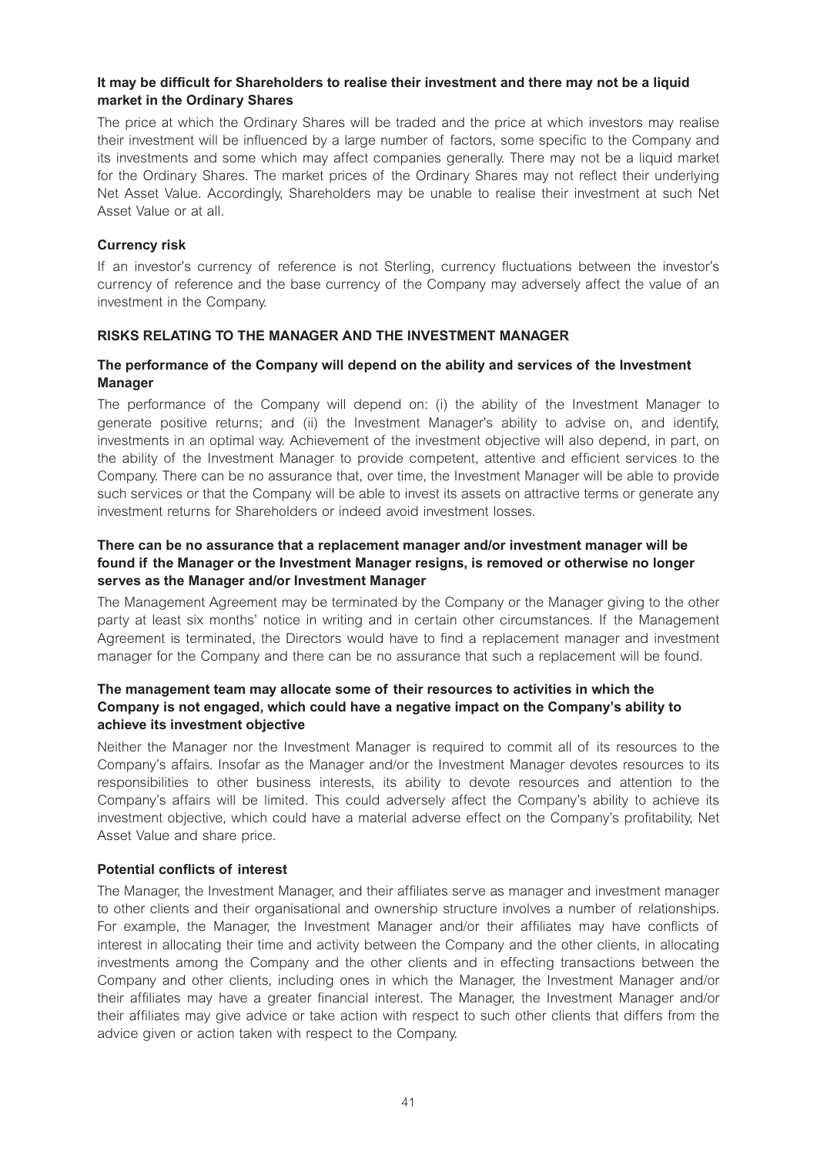# **It may be difficult for Shareholders to realise their investment and there may not be a liquid market in the Ordinary Shares**

The price at which the Ordinary Shares will be traded and the price at which investors may realise their investment will be influenced by a large number of factors, some specific to the Company and its investments and some which may affect companies generally. There may not be a liquid market for the Ordinary Shares. The market prices of the Ordinary Shares may not reflect their underlying Net Asset Value. Accordingly, Shareholders may be unable to realise their investment at such Net Asset Value or at all.

#### **Currency risk**

If an investor's currency of reference is not Sterling, currency fluctuations between the investor's currency of reference and the base currency of the Company may adversely affect the value of an investment in the Company.

#### **RISKS RELATING TO THE MANAGER AND THE INVESTMENT MANAGER**

# **The performance of the Company will depend on the ability and services of the Investment Manager**

The performance of the Company will depend on: (i) the ability of the Investment Manager to generate positive returns; and (ii) the Investment Manager's ability to advise on, and identify, investments in an optimal way. Achievement of the investment objective will also depend, in part, on the ability of the Investment Manager to provide competent, attentive and efficient services to the Company. There can be no assurance that, over time, the Investment Manager will be able to provide such services or that the Company will be able to invest its assets on attractive terms or generate any investment returns for Shareholders or indeed avoid investment losses.

# **There can be no assurance that a replacement manager and/or investment manager will be found if the Manager or the Investment Manager resigns, is removed or otherwise no longer serves as the Manager and/or Investment Manager**

The Management Agreement may be terminated by the Company or the Manager giving to the other party at least six months' notice in writing and in certain other circumstances. If the Management Agreement is terminated, the Directors would have to find a replacement manager and investment manager for the Company and there can be no assurance that such a replacement will be found.

# **The management team may allocate some of their resources to activities in which the Company is not engaged, which could have a negative impact on the Company's ability to achieve its investment objective**

Neither the Manager nor the Investment Manager is required to commit all of its resources to the Company's affairs. Insofar as the Manager and/or the Investment Manager devotes resources to its responsibilities to other business interests, its ability to devote resources and attention to the Company's affairs will be limited. This could adversely affect the Company's ability to achieve its investment objective, which could have a material adverse effect on the Company's profitability, Net Asset Value and share price.

#### **Potential conflicts of interest**

The Manager, the Investment Manager, and their affiliates serve as manager and investment manager to other clients and their organisational and ownership structure involves a number of relationships. For example, the Manager, the Investment Manager and/or their affiliates may have conflicts of interest in allocating their time and activity between the Company and the other clients, in allocating investments among the Company and the other clients and in effecting transactions between the Company and other clients, including ones in which the Manager, the Investment Manager and/or their affiliates may have a greater financial interest. The Manager, the Investment Manager and/or their affiliates may give advice or take action with respect to such other clients that differs from the advice given or action taken with respect to the Company.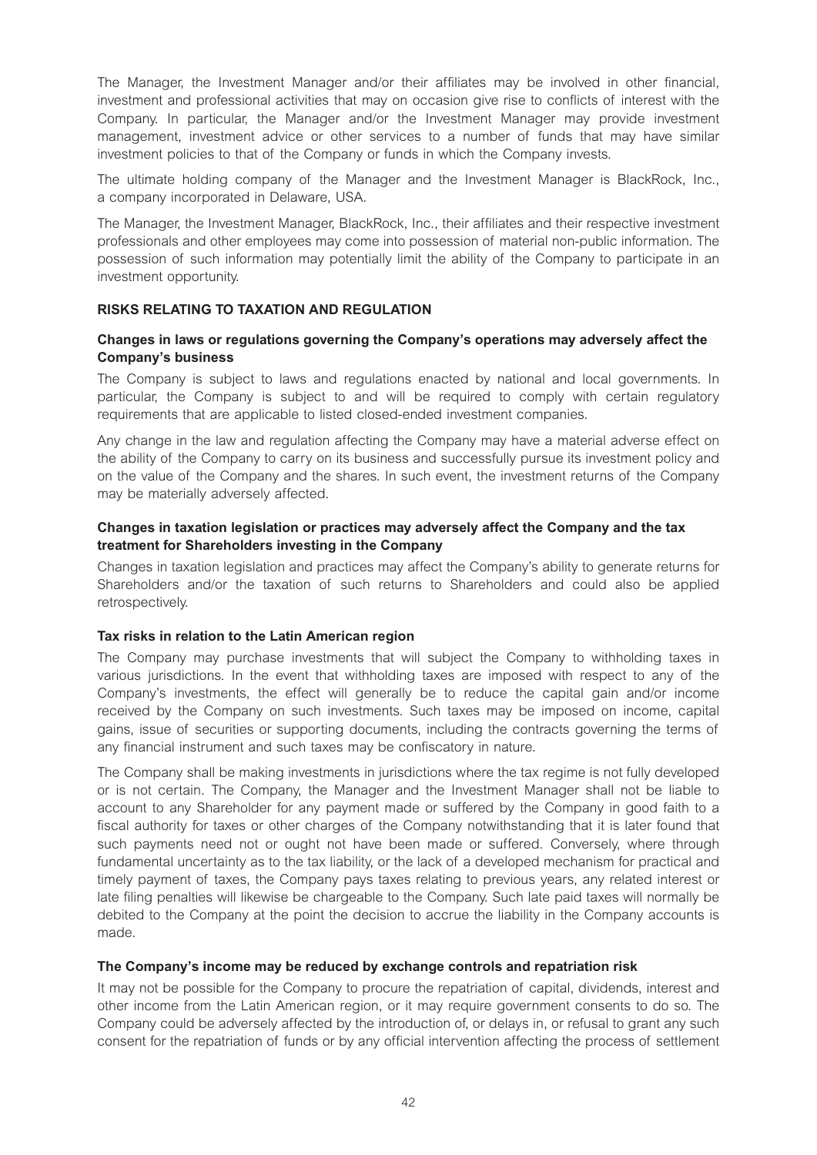The Manager, the Investment Manager and/or their affiliates may be involved in other financial, investment and professional activities that may on occasion give rise to conflicts of interest with the Company. In particular, the Manager and/or the Investment Manager may provide investment management, investment advice or other services to a number of funds that may have similar investment policies to that of the Company or funds in which the Company invests.

The ultimate holding company of the Manager and the Investment Manager is BlackRock, Inc., a company incorporated in Delaware, USA.

The Manager, the Investment Manager, BlackRock, Inc., their affiliates and their respective investment professionals and other employees may come into possession of material non-public information. The possession of such information may potentially limit the ability of the Company to participate in an investment opportunity.

#### **RISKS RELATING TO TAXATION AND REGULATION**

#### **Changes in laws or regulations governing the Company's operations may adversely affect the Company's business**

The Company is subject to laws and regulations enacted by national and local governments. In particular, the Company is subject to and will be required to comply with certain regulatory requirements that are applicable to listed closed-ended investment companies.

Any change in the law and regulation affecting the Company may have a material adverse effect on the ability of the Company to carry on its business and successfully pursue its investment policy and on the value of the Company and the shares. In such event, the investment returns of the Company may be materially adversely affected.

# **Changes in taxation legislation or practices may adversely affect the Company and the tax treatment for Shareholders investing in the Company**

Changes in taxation legislation and practices may affect the Company's ability to generate returns for Shareholders and/or the taxation of such returns to Shareholders and could also be applied retrospectively.

#### **Tax risks in relation to the Latin American region**

The Company may purchase investments that will subject the Company to withholding taxes in various jurisdictions. In the event that withholding taxes are imposed with respect to any of the Company's investments, the effect will generally be to reduce the capital gain and/or income received by the Company on such investments. Such taxes may be imposed on income, capital gains, issue of securities or supporting documents, including the contracts governing the terms of any financial instrument and such taxes may be confiscatory in nature.

The Company shall be making investments in jurisdictions where the tax regime is not fully developed or is not certain. The Company, the Manager and the Investment Manager shall not be liable to account to any Shareholder for any payment made or suffered by the Company in good faith to a fiscal authority for taxes or other charges of the Company notwithstanding that it is later found that such payments need not or ought not have been made or suffered. Conversely, where through fundamental uncertainty as to the tax liability, or the lack of a developed mechanism for practical and timely payment of taxes, the Company pays taxes relating to previous years, any related interest or late filing penalties will likewise be chargeable to the Company. Such late paid taxes will normally be debited to the Company at the point the decision to accrue the liability in the Company accounts is made.

#### **The Company's income may be reduced by exchange controls and repatriation risk**

It may not be possible for the Company to procure the repatriation of capital, dividends, interest and other income from the Latin American region, or it may require government consents to do so. The Company could be adversely affected by the introduction of, or delays in, or refusal to grant any such consent for the repatriation of funds or by any official intervention affecting the process of settlement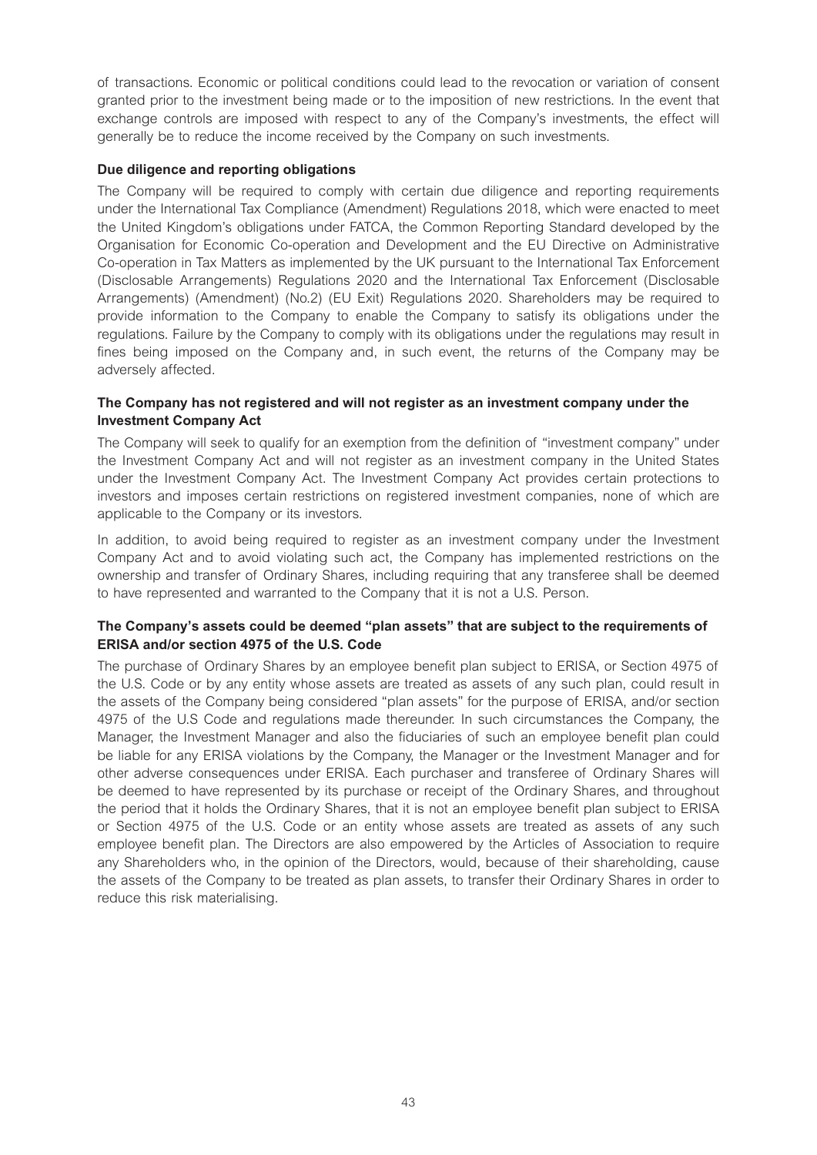of transactions. Economic or political conditions could lead to the revocation or variation of consent granted prior to the investment being made or to the imposition of new restrictions. In the event that exchange controls are imposed with respect to any of the Company's investments, the effect will generally be to reduce the income received by the Company on such investments.

# **Due diligence and reporting obligations**

The Company will be required to comply with certain due diligence and reporting requirements under the International Tax Compliance (Amendment) Regulations 2018, which were enacted to meet the United Kingdom's obligations under FATCA, the Common Reporting Standard developed by the Organisation for Economic Co-operation and Development and the EU Directive on Administrative Co-operation in Tax Matters as implemented by the UK pursuant to the International Tax Enforcement (Disclosable Arrangements) Regulations 2020 and the International Tax Enforcement (Disclosable Arrangements) (Amendment) (No.2) (EU Exit) Regulations 2020. Shareholders may be required to provide information to the Company to enable the Company to satisfy its obligations under the regulations. Failure by the Company to comply with its obligations under the regulations may result in fines being imposed on the Company and, in such event, the returns of the Company may be adversely affected.

# **The Company has not registered and will not register as an investment company under the Investment Company Act**

The Company will seek to qualify for an exemption from the definition of "investment company" under the Investment Company Act and will not register as an investment company in the United States under the Investment Company Act. The Investment Company Act provides certain protections to investors and imposes certain restrictions on registered investment companies, none of which are applicable to the Company or its investors.

In addition, to avoid being required to register as an investment company under the Investment Company Act and to avoid violating such act, the Company has implemented restrictions on the ownership and transfer of Ordinary Shares, including requiring that any transferee shall be deemed to have represented and warranted to the Company that it is not a U.S. Person.

# **The Company's assets could be deemed "plan assets" that are subject to the requirements of ERISA and/or section 4975 of the U.S. Code**

The purchase of Ordinary Shares by an employee benefit plan subject to ERISA, or Section 4975 of the U.S. Code or by any entity whose assets are treated as assets of any such plan, could result in the assets of the Company being considered "plan assets" for the purpose of ERISA, and/or section 4975 of the U.S Code and regulations made thereunder. In such circumstances the Company, the Manager, the Investment Manager and also the fiduciaries of such an employee benefit plan could be liable for any ERISA violations by the Company, the Manager or the Investment Manager and for other adverse consequences under ERISA. Each purchaser and transferee of Ordinary Shares will be deemed to have represented by its purchase or receipt of the Ordinary Shares, and throughout the period that it holds the Ordinary Shares, that it is not an employee benefit plan subject to ERISA or Section 4975 of the U.S. Code or an entity whose assets are treated as assets of any such employee benefit plan. The Directors are also empowered by the Articles of Association to require any Shareholders who, in the opinion of the Directors, would, because of their shareholding, cause the assets of the Company to be treated as plan assets, to transfer their Ordinary Shares in order to reduce this risk materialising.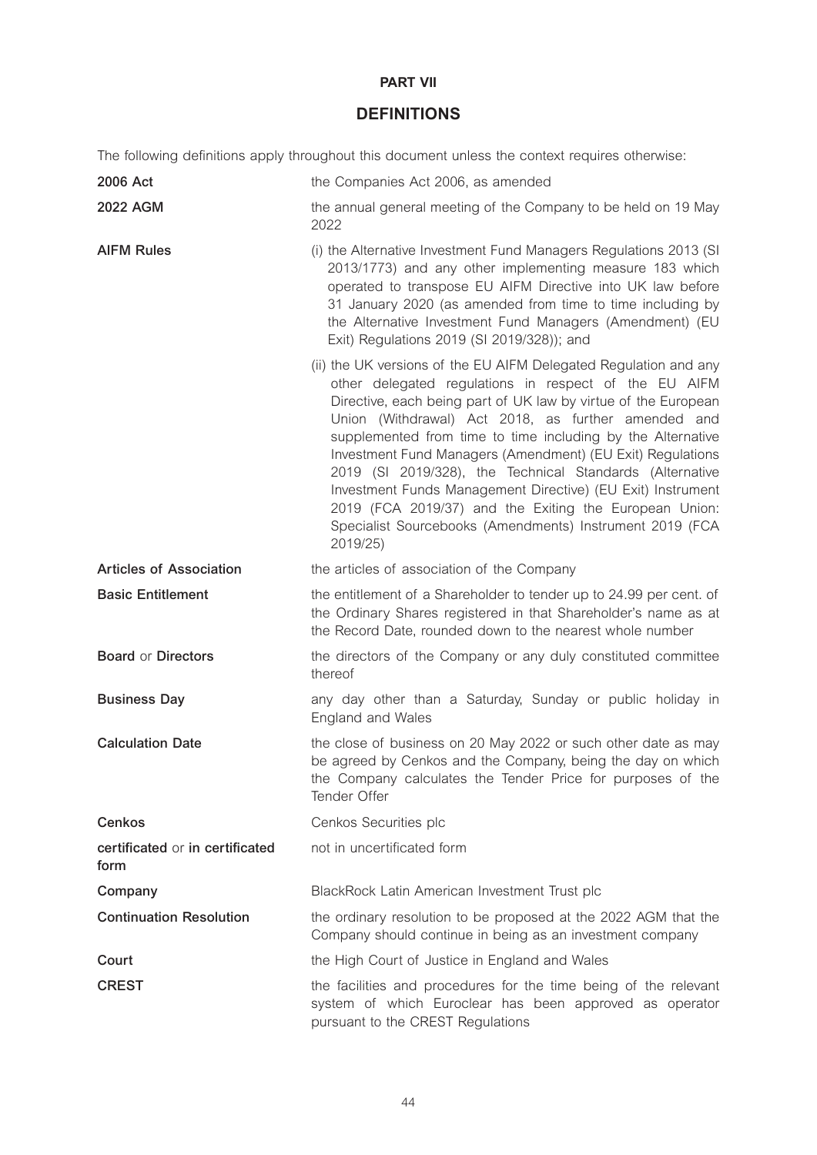# **PART VII**

# **DEFINITIONS**

The following definitions apply throughout this document unless the context requires otherwise:

| 2006 Act                                | the Companies Act 2006, as amended                                                                                                                                                                                                                                                                                                                                                                                                                                                                                                                                                                                                           |
|-----------------------------------------|----------------------------------------------------------------------------------------------------------------------------------------------------------------------------------------------------------------------------------------------------------------------------------------------------------------------------------------------------------------------------------------------------------------------------------------------------------------------------------------------------------------------------------------------------------------------------------------------------------------------------------------------|
| <b>2022 AGM</b>                         | the annual general meeting of the Company to be held on 19 May<br>2022                                                                                                                                                                                                                                                                                                                                                                                                                                                                                                                                                                       |
| <b>AIFM Rules</b>                       | (i) the Alternative Investment Fund Managers Regulations 2013 (SI<br>2013/1773) and any other implementing measure 183 which<br>operated to transpose EU AIFM Directive into UK law before<br>31 January 2020 (as amended from time to time including by<br>the Alternative Investment Fund Managers (Amendment) (EU<br>Exit) Regulations 2019 (SI 2019/328)); and                                                                                                                                                                                                                                                                           |
|                                         | (ii) the UK versions of the EU AIFM Delegated Regulation and any<br>other delegated regulations in respect of the EU AIFM<br>Directive, each being part of UK law by virtue of the European<br>Union (Withdrawal) Act 2018, as further amended and<br>supplemented from time to time including by the Alternative<br>Investment Fund Managers (Amendment) (EU Exit) Regulations<br>2019 (SI 2019/328), the Technical Standards (Alternative<br>Investment Funds Management Directive) (EU Exit) Instrument<br>2019 (FCA 2019/37) and the Exiting the European Union:<br>Specialist Sourcebooks (Amendments) Instrument 2019 (FCA<br>2019/25) |
| <b>Articles of Association</b>          | the articles of association of the Company                                                                                                                                                                                                                                                                                                                                                                                                                                                                                                                                                                                                   |
| <b>Basic Entitlement</b>                | the entitlement of a Shareholder to tender up to 24.99 per cent. of<br>the Ordinary Shares registered in that Shareholder's name as at<br>the Record Date, rounded down to the nearest whole number                                                                                                                                                                                                                                                                                                                                                                                                                                          |
| <b>Board or Directors</b>               | the directors of the Company or any duly constituted committee<br>thereof                                                                                                                                                                                                                                                                                                                                                                                                                                                                                                                                                                    |
| <b>Business Day</b>                     | any day other than a Saturday, Sunday or public holiday in<br><b>England and Wales</b>                                                                                                                                                                                                                                                                                                                                                                                                                                                                                                                                                       |
| <b>Calculation Date</b>                 | the close of business on 20 May 2022 or such other date as may<br>be agreed by Cenkos and the Company, being the day on which<br>the Company calculates the Tender Price for purposes of the<br>Tender Offer                                                                                                                                                                                                                                                                                                                                                                                                                                 |
| <b>Cenkos</b>                           | Cenkos Securities plc                                                                                                                                                                                                                                                                                                                                                                                                                                                                                                                                                                                                                        |
| certificated or in certificated<br>form | not in uncertificated form                                                                                                                                                                                                                                                                                                                                                                                                                                                                                                                                                                                                                   |
| Company                                 | BlackRock Latin American Investment Trust plc                                                                                                                                                                                                                                                                                                                                                                                                                                                                                                                                                                                                |
| <b>Continuation Resolution</b>          | the ordinary resolution to be proposed at the 2022 AGM that the<br>Company should continue in being as an investment company                                                                                                                                                                                                                                                                                                                                                                                                                                                                                                                 |
| Court                                   | the High Court of Justice in England and Wales                                                                                                                                                                                                                                                                                                                                                                                                                                                                                                                                                                                               |
| <b>CREST</b>                            | the facilities and procedures for the time being of the relevant<br>system of which Euroclear has been approved as operator<br>pursuant to the CREST Regulations                                                                                                                                                                                                                                                                                                                                                                                                                                                                             |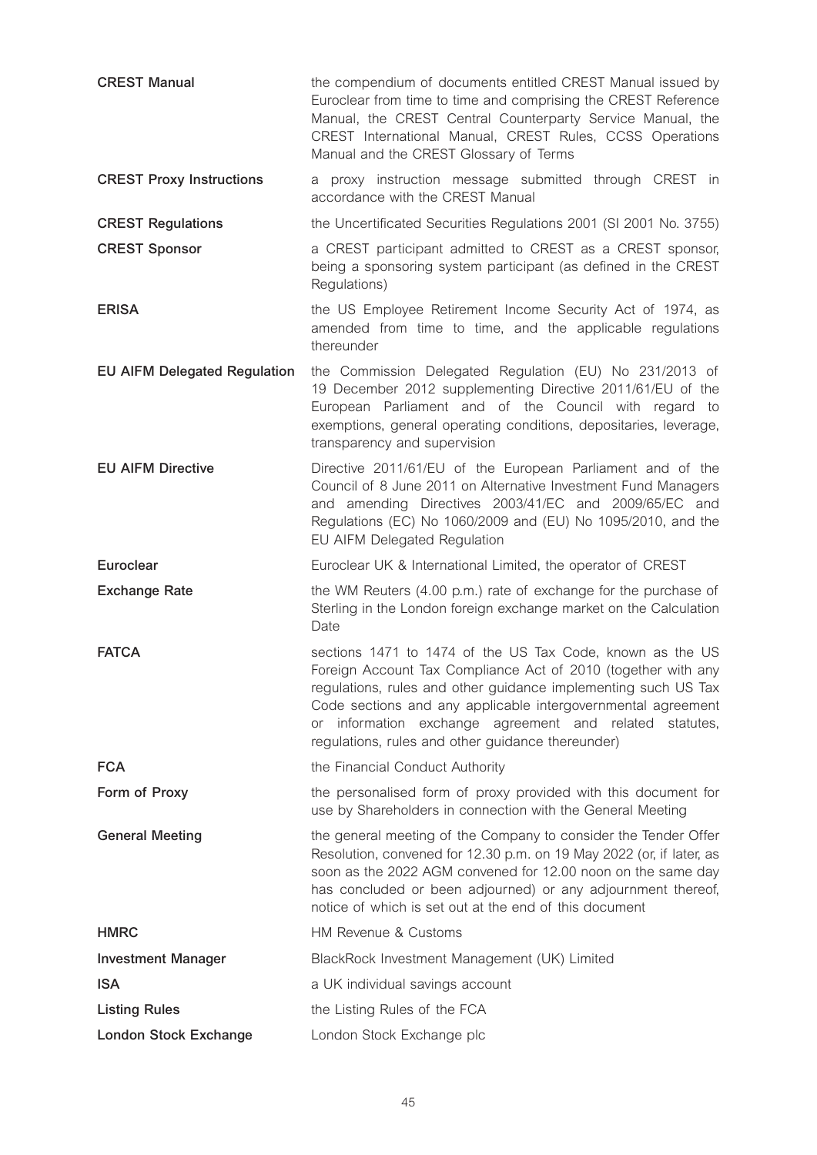| <b>CREST Manual</b>                 | the compendium of documents entitled CREST Manual issued by<br>Euroclear from time to time and comprising the CREST Reference<br>Manual, the CREST Central Counterparty Service Manual, the<br>CREST International Manual, CREST Rules, CCSS Operations<br>Manual and the CREST Glossary of Terms                                                                               |
|-------------------------------------|---------------------------------------------------------------------------------------------------------------------------------------------------------------------------------------------------------------------------------------------------------------------------------------------------------------------------------------------------------------------------------|
| <b>CREST Proxy Instructions</b>     | a proxy instruction message submitted through CREST in<br>accordance with the CREST Manual                                                                                                                                                                                                                                                                                      |
| <b>CREST Regulations</b>            | the Uncertificated Securities Regulations 2001 (SI 2001 No. 3755)                                                                                                                                                                                                                                                                                                               |
| <b>CREST Sponsor</b>                | a CREST participant admitted to CREST as a CREST sponsor,<br>being a sponsoring system participant (as defined in the CREST<br>Regulations)                                                                                                                                                                                                                                     |
| <b>ERISA</b>                        | the US Employee Retirement Income Security Act of 1974, as<br>amended from time to time, and the applicable regulations<br>thereunder                                                                                                                                                                                                                                           |
| <b>EU AIFM Delegated Regulation</b> | the Commission Delegated Regulation (EU) No 231/2013 of<br>19 December 2012 supplementing Directive 2011/61/EU of the<br>European Parliament and of the Council with regard to<br>exemptions, general operating conditions, depositaries, leverage,<br>transparency and supervision                                                                                             |
| <b>EU AIFM Directive</b>            | Directive 2011/61/EU of the European Parliament and of the<br>Council of 8 June 2011 on Alternative Investment Fund Managers<br>and amending Directives 2003/41/EC and 2009/65/EC and<br>Regulations (EC) No 1060/2009 and (EU) No 1095/2010, and the<br>EU AIFM Delegated Regulation                                                                                           |
| <b>Euroclear</b>                    | Euroclear UK & International Limited, the operator of CREST                                                                                                                                                                                                                                                                                                                     |
|                                     |                                                                                                                                                                                                                                                                                                                                                                                 |
| <b>Exchange Rate</b>                | the WM Reuters (4.00 p.m.) rate of exchange for the purchase of<br>Sterling in the London foreign exchange market on the Calculation<br>Date                                                                                                                                                                                                                                    |
| <b>FATCA</b>                        | sections 1471 to 1474 of the US Tax Code, known as the US<br>Foreign Account Tax Compliance Act of 2010 (together with any<br>regulations, rules and other guidance implementing such US Tax<br>Code sections and any applicable intergovernmental agreement<br>information exchange agreement and related statutes,<br>or<br>regulations, rules and other guidance thereunder) |
| <b>FCA</b>                          | the Financial Conduct Authority                                                                                                                                                                                                                                                                                                                                                 |
| Form of Proxy                       | the personalised form of proxy provided with this document for<br>use by Shareholders in connection with the General Meeting                                                                                                                                                                                                                                                    |
| <b>General Meeting</b>              | the general meeting of the Company to consider the Tender Offer<br>Resolution, convened for 12.30 p.m. on 19 May 2022 (or, if later, as<br>soon as the 2022 AGM convened for 12.00 noon on the same day<br>has concluded or been adjourned) or any adjournment thereof,<br>notice of which is set out at the end of this document                                               |
| <b>HMRC</b>                         | HM Revenue & Customs                                                                                                                                                                                                                                                                                                                                                            |
| <b>Investment Manager</b>           | BlackRock Investment Management (UK) Limited                                                                                                                                                                                                                                                                                                                                    |
| <b>ISA</b>                          | a UK individual savings account                                                                                                                                                                                                                                                                                                                                                 |
| <b>Listing Rules</b>                | the Listing Rules of the FCA                                                                                                                                                                                                                                                                                                                                                    |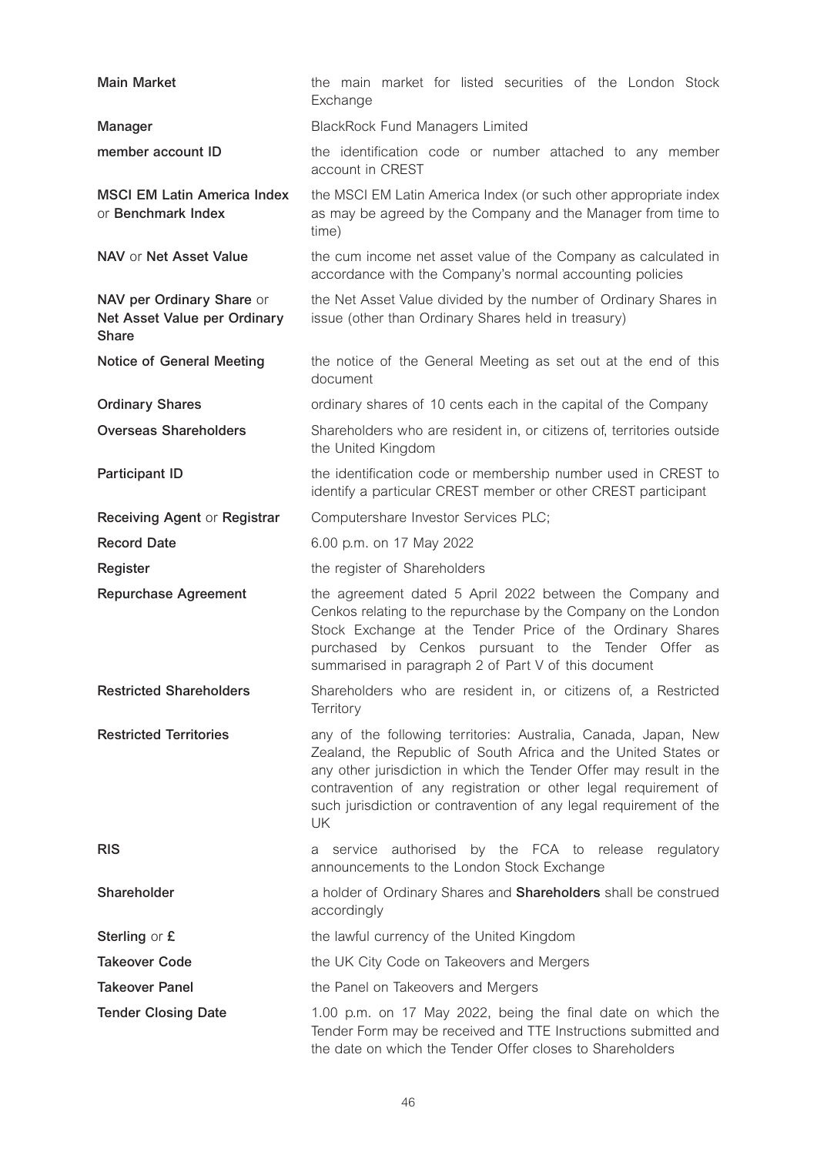| <b>Main Market</b>                                                        | the main market for listed securities of the London Stock<br>Exchange                                                                                                                                                                                                                                                                                  |
|---------------------------------------------------------------------------|--------------------------------------------------------------------------------------------------------------------------------------------------------------------------------------------------------------------------------------------------------------------------------------------------------------------------------------------------------|
| Manager                                                                   | <b>BlackRock Fund Managers Limited</b>                                                                                                                                                                                                                                                                                                                 |
| member account ID                                                         | the identification code or number attached to any member<br>account in CREST                                                                                                                                                                                                                                                                           |
| <b>MSCI EM Latin America Index</b><br>or Benchmark Index                  | the MSCI EM Latin America Index (or such other appropriate index<br>as may be agreed by the Company and the Manager from time to<br>time)                                                                                                                                                                                                              |
| NAV or Net Asset Value                                                    | the cum income net asset value of the Company as calculated in<br>accordance with the Company's normal accounting policies                                                                                                                                                                                                                             |
| NAV per Ordinary Share or<br>Net Asset Value per Ordinary<br><b>Share</b> | the Net Asset Value divided by the number of Ordinary Shares in<br>issue (other than Ordinary Shares held in treasury)                                                                                                                                                                                                                                 |
| Notice of General Meeting                                                 | the notice of the General Meeting as set out at the end of this<br>document                                                                                                                                                                                                                                                                            |
| <b>Ordinary Shares</b>                                                    | ordinary shares of 10 cents each in the capital of the Company                                                                                                                                                                                                                                                                                         |
| <b>Overseas Shareholders</b>                                              | Shareholders who are resident in, or citizens of, territories outside<br>the United Kingdom                                                                                                                                                                                                                                                            |
| <b>Participant ID</b>                                                     | the identification code or membership number used in CREST to<br>identify a particular CREST member or other CREST participant                                                                                                                                                                                                                         |
| Receiving Agent or Registrar                                              | Computershare Investor Services PLC;                                                                                                                                                                                                                                                                                                                   |
| <b>Record Date</b>                                                        | 6.00 p.m. on 17 May 2022                                                                                                                                                                                                                                                                                                                               |
| Register                                                                  | the register of Shareholders                                                                                                                                                                                                                                                                                                                           |
| <b>Repurchase Agreement</b>                                               | the agreement dated 5 April 2022 between the Company and<br>Cenkos relating to the repurchase by the Company on the London<br>Stock Exchange at the Tender Price of the Ordinary Shares<br>by Cenkos pursuant to the Tender Offer as<br>purchased<br>summarised in paragraph 2 of Part V of this document                                              |
| <b>Restricted Shareholders</b>                                            | Shareholders who are resident in, or citizens of, a Restricted<br>Territory                                                                                                                                                                                                                                                                            |
| <b>Restricted Territories</b>                                             | any of the following territories: Australia, Canada, Japan, New<br>Zealand, the Republic of South Africa and the United States or<br>any other jurisdiction in which the Tender Offer may result in the<br>contravention of any registration or other legal requirement of<br>such jurisdiction or contravention of any legal requirement of the<br>UK |
| <b>RIS</b>                                                                | service authorised by the FCA to release regulatory<br>a<br>announcements to the London Stock Exchange                                                                                                                                                                                                                                                 |
| Shareholder                                                               | a holder of Ordinary Shares and Shareholders shall be construed<br>accordingly                                                                                                                                                                                                                                                                         |
| Sterling or £                                                             | the lawful currency of the United Kingdom                                                                                                                                                                                                                                                                                                              |
| <b>Takeover Code</b>                                                      | the UK City Code on Takeovers and Mergers                                                                                                                                                                                                                                                                                                              |
| <b>Takeover Panel</b>                                                     | the Panel on Takeovers and Mergers                                                                                                                                                                                                                                                                                                                     |
| <b>Tender Closing Date</b>                                                | 1.00 p.m. on 17 May 2022, being the final date on which the<br>Tender Form may be received and TTE Instructions submitted and<br>the date on which the Tender Offer closes to Shareholders                                                                                                                                                             |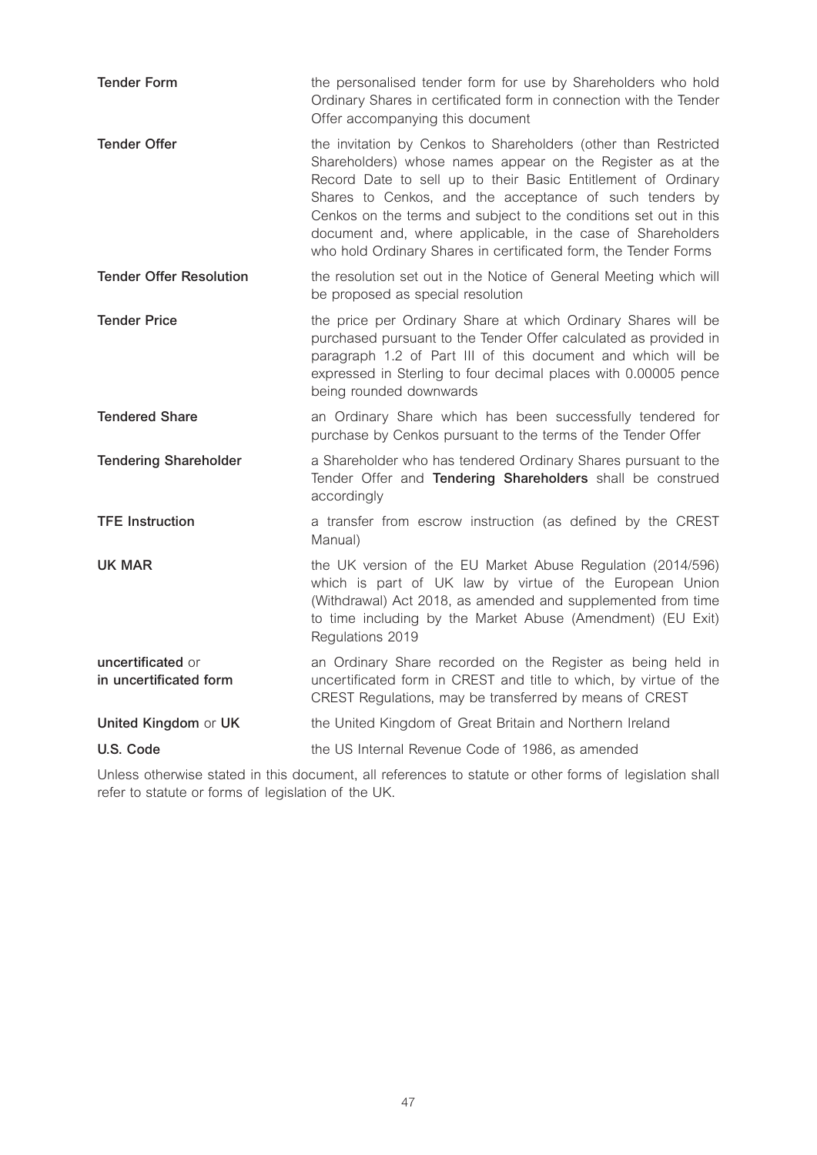| <b>Tender Form</b>                          | the personalised tender form for use by Shareholders who hold<br>Ordinary Shares in certificated form in connection with the Tender<br>Offer accompanying this document                                                                                                                                                                                                                                                                                          |
|---------------------------------------------|------------------------------------------------------------------------------------------------------------------------------------------------------------------------------------------------------------------------------------------------------------------------------------------------------------------------------------------------------------------------------------------------------------------------------------------------------------------|
| <b>Tender Offer</b>                         | the invitation by Cenkos to Shareholders (other than Restricted<br>Shareholders) whose names appear on the Register as at the<br>Record Date to sell up to their Basic Entitlement of Ordinary<br>Shares to Cenkos, and the acceptance of such tenders by<br>Cenkos on the terms and subject to the conditions set out in this<br>document and, where applicable, in the case of Shareholders<br>who hold Ordinary Shares in certificated form, the Tender Forms |
| <b>Tender Offer Resolution</b>              | the resolution set out in the Notice of General Meeting which will<br>be proposed as special resolution                                                                                                                                                                                                                                                                                                                                                          |
| <b>Tender Price</b>                         | the price per Ordinary Share at which Ordinary Shares will be<br>purchased pursuant to the Tender Offer calculated as provided in<br>paragraph 1.2 of Part III of this document and which will be<br>expressed in Sterling to four decimal places with 0.00005 pence<br>being rounded downwards                                                                                                                                                                  |
| <b>Tendered Share</b>                       | an Ordinary Share which has been successfully tendered for<br>purchase by Cenkos pursuant to the terms of the Tender Offer                                                                                                                                                                                                                                                                                                                                       |
| <b>Tendering Shareholder</b>                | a Shareholder who has tendered Ordinary Shares pursuant to the<br>Tender Offer and Tendering Shareholders shall be construed<br>accordingly                                                                                                                                                                                                                                                                                                                      |
| <b>TFE Instruction</b>                      | a transfer from escrow instruction (as defined by the CREST<br>Manual)                                                                                                                                                                                                                                                                                                                                                                                           |
| UK MAR                                      | the UK version of the EU Market Abuse Regulation (2014/596)<br>which is part of UK law by virtue of the European Union<br>(Withdrawal) Act 2018, as amended and supplemented from time<br>to time including by the Market Abuse (Amendment) (EU Exit)<br>Regulations 2019                                                                                                                                                                                        |
| uncertificated or<br>in uncertificated form | an Ordinary Share recorded on the Register as being held in<br>uncertificated form in CREST and title to which, by virtue of the<br>CREST Regulations, may be transferred by means of CREST                                                                                                                                                                                                                                                                      |
| United Kingdom or UK                        | the United Kingdom of Great Britain and Northern Ireland                                                                                                                                                                                                                                                                                                                                                                                                         |
| U.S. Code                                   | the US Internal Revenue Code of 1986, as amended                                                                                                                                                                                                                                                                                                                                                                                                                 |

Unless otherwise stated in this document, all references to statute or other forms of legislation shall refer to statute or forms of legislation of the UK.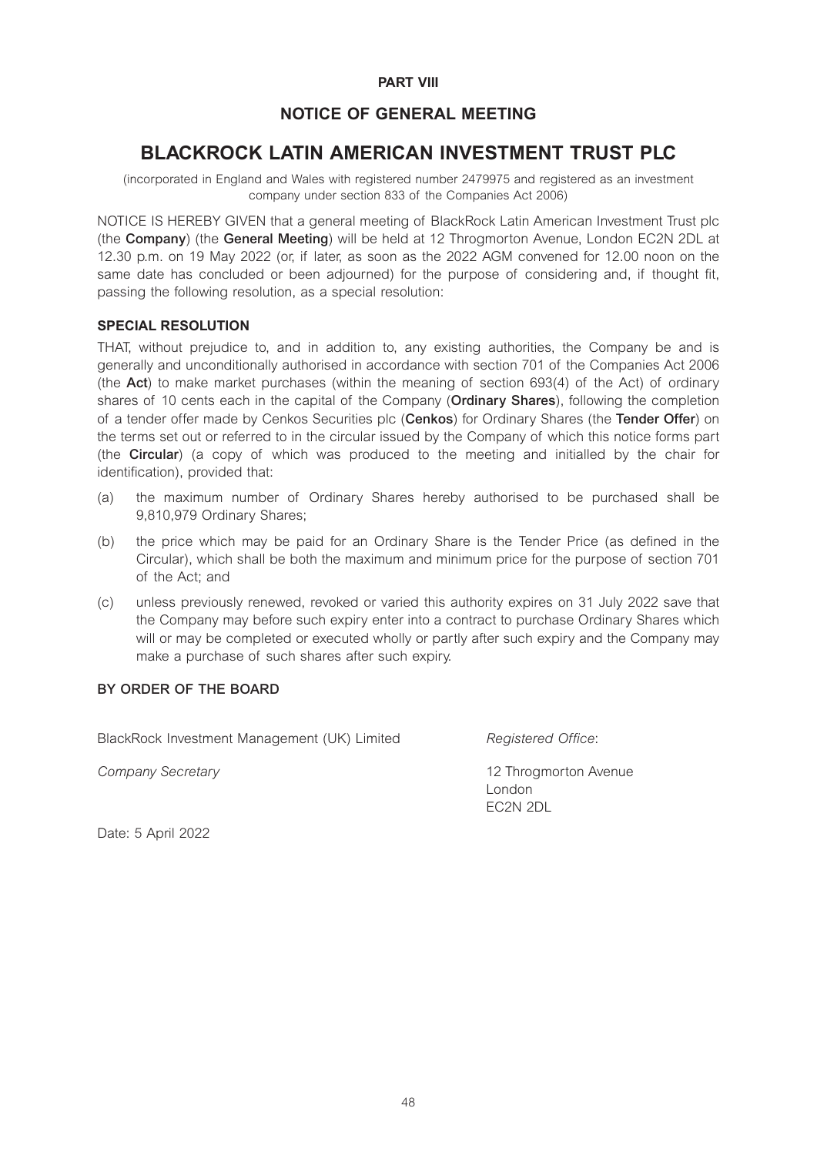# **PART VIII**

# **NOTICE OF GENERAL MEETING**

# **BLACKROCK LATIN AMERICAN INVESTMENT TRUST PLC**

(incorporated in England and Wales with registered number 2479975 and registered as an investment company under section 833 of the Companies Act 2006)

NOTICE IS HEREBY GIVEN that a general meeting of BlackRock Latin American Investment Trust plc (the **Company**) (the **General Meeting**) will be held at 12 Throgmorton Avenue, London EC2N 2DL at 12.30 p.m. on 19 May 2022 (or, if later, as soon as the 2022 AGM convened for 12.00 noon on the same date has concluded or been adjourned) for the purpose of considering and, if thought fit, passing the following resolution, as a special resolution:

#### **SPECIAL RESOLUTION**

THAT, without prejudice to, and in addition to, any existing authorities, the Company be and is generally and unconditionally authorised in accordance with section 701 of the Companies Act 2006 (the **Act**) to make market purchases (within the meaning of section 693(4) of the Act) of ordinary shares of 10 cents each in the capital of the Company (**Ordinary Shares**), following the completion of a tender offer made by Cenkos Securities plc (**Cenkos**) for Ordinary Shares (the **Tender Offer**) on the terms set out or referred to in the circular issued by the Company of which this notice forms part (the **Circular**) (a copy of which was produced to the meeting and initialled by the chair for identification), provided that:

- (a) the maximum number of Ordinary Shares hereby authorised to be purchased shall be 9,810,979 Ordinary Shares;
- (b) the price which may be paid for an Ordinary Share is the Tender Price (as defined in the Circular), which shall be both the maximum and minimum price for the purpose of section 701 of the Act; and
- (c) unless previously renewed, revoked or varied this authority expires on 31 July 2022 save that the Company may before such expiry enter into a contract to purchase Ordinary Shares which will or may be completed or executed wholly or partly after such expiry and the Company may make a purchase of such shares after such expiry.

# **BY ORDER OF THE BOARD**

BlackRock Investment Management (UK) Limited *Registered Office*:

*Company Secretary* 12 Throgmorton Avenue London EC2N 2DL

Date: 5 April 2022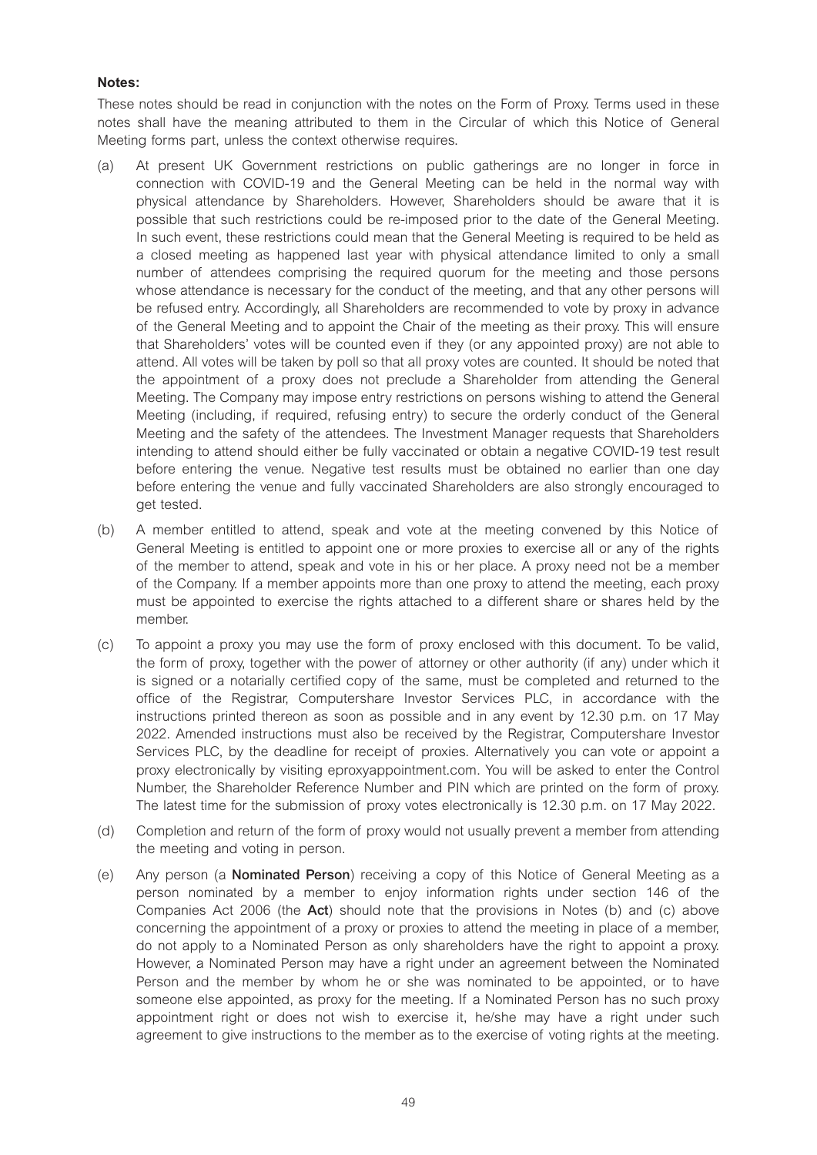# **Notes:**

These notes should be read in conjunction with the notes on the Form of Proxy. Terms used in these notes shall have the meaning attributed to them in the Circular of which this Notice of General Meeting forms part, unless the context otherwise requires.

- (a) At present UK Government restrictions on public gatherings are no longer in force in connection with COVID-19 and the General Meeting can be held in the normal way with physical attendance by Shareholders. However, Shareholders should be aware that it is possible that such restrictions could be re-imposed prior to the date of the General Meeting. In such event, these restrictions could mean that the General Meeting is required to be held as a closed meeting as happened last year with physical attendance limited to only a small number of attendees comprising the required quorum for the meeting and those persons whose attendance is necessary for the conduct of the meeting, and that any other persons will be refused entry. Accordingly, all Shareholders are recommended to vote by proxy in advance of the General Meeting and to appoint the Chair of the meeting as their proxy. This will ensure that Shareholders' votes will be counted even if they (or any appointed proxy) are not able to attend. All votes will be taken by poll so that all proxy votes are counted. It should be noted that the appointment of a proxy does not preclude a Shareholder from attending the General Meeting. The Company may impose entry restrictions on persons wishing to attend the General Meeting (including, if required, refusing entry) to secure the orderly conduct of the General Meeting and the safety of the attendees. The Investment Manager requests that Shareholders intending to attend should either be fully vaccinated or obtain a negative COVID-19 test result before entering the venue. Negative test results must be obtained no earlier than one day before entering the venue and fully vaccinated Shareholders are also strongly encouraged to get tested.
- (b) A member entitled to attend, speak and vote at the meeting convened by this Notice of General Meeting is entitled to appoint one or more proxies to exercise all or any of the rights of the member to attend, speak and vote in his or her place. A proxy need not be a member of the Company. If a member appoints more than one proxy to attend the meeting, each proxy must be appointed to exercise the rights attached to a different share or shares held by the member.
- (c) To appoint a proxy you may use the form of proxy enclosed with this document. To be valid, the form of proxy, together with the power of attorney or other authority (if any) under which it is signed or a notarially certified copy of the same, must be completed and returned to the office of the Registrar, Computershare Investor Services PLC, in accordance with the instructions printed thereon as soon as possible and in any event by 12.30 p.m. on 17 May 2022. Amended instructions must also be received by the Registrar, Computershare Investor Services PLC, by the deadline for receipt of proxies. Alternatively you can vote or appoint a proxy electronically by visiting eproxyappointment.com. You will be asked to enter the Control Number, the Shareholder Reference Number and PIN which are printed on the form of proxy. The latest time for the submission of proxy votes electronically is 12.30 p.m. on 17 May 2022.
- (d) Completion and return of the form of proxy would not usually prevent a member from attending the meeting and voting in person.
- (e) Any person (a **Nominated Person**) receiving a copy of this Notice of General Meeting as a person nominated by a member to enjoy information rights under section 146 of the Companies Act 2006 (the **Act**) should note that the provisions in Notes (b) and (c) above concerning the appointment of a proxy or proxies to attend the meeting in place of a member, do not apply to a Nominated Person as only shareholders have the right to appoint a proxy. However, a Nominated Person may have a right under an agreement between the Nominated Person and the member by whom he or she was nominated to be appointed, or to have someone else appointed, as proxy for the meeting. If a Nominated Person has no such proxy appointment right or does not wish to exercise it, he/she may have a right under such agreement to give instructions to the member as to the exercise of voting rights at the meeting.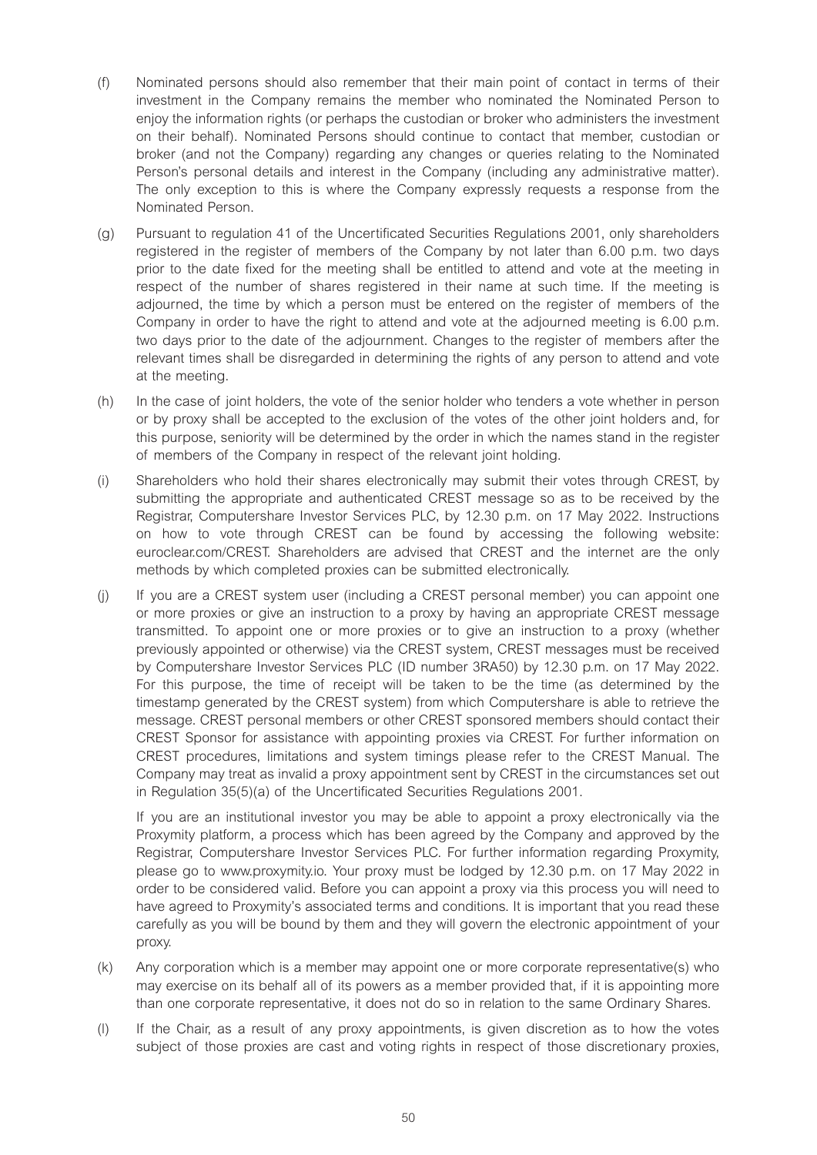- (f) Nominated persons should also remember that their main point of contact in terms of their investment in the Company remains the member who nominated the Nominated Person to enjoy the information rights (or perhaps the custodian or broker who administers the investment on their behalf). Nominated Persons should continue to contact that member, custodian or broker (and not the Company) regarding any changes or queries relating to the Nominated Person's personal details and interest in the Company (including any administrative matter). The only exception to this is where the Company expressly requests a response from the Nominated Person.
- (g) Pursuant to regulation 41 of the Uncertificated Securities Regulations 2001, only shareholders registered in the register of members of the Company by not later than 6.00 p.m. two days prior to the date fixed for the meeting shall be entitled to attend and vote at the meeting in respect of the number of shares registered in their name at such time. If the meeting is adjourned, the time by which a person must be entered on the register of members of the Company in order to have the right to attend and vote at the adjourned meeting is 6.00 p.m. two days prior to the date of the adjournment. Changes to the register of members after the relevant times shall be disregarded in determining the rights of any person to attend and vote at the meeting.
- (h) In the case of joint holders, the vote of the senior holder who tenders a vote whether in person or by proxy shall be accepted to the exclusion of the votes of the other joint holders and, for this purpose, seniority will be determined by the order in which the names stand in the register of members of the Company in respect of the relevant joint holding.
- (i) Shareholders who hold their shares electronically may submit their votes through CREST, by submitting the appropriate and authenticated CREST message so as to be received by the Registrar, Computershare Investor Services PLC, by 12.30 p.m. on 17 May 2022. Instructions on how to vote through CREST can be found by accessing the following website: euroclear.com/CREST. Shareholders are advised that CREST and the internet are the only methods by which completed proxies can be submitted electronically.
- (j) If you are a CREST system user (including a CREST personal member) you can appoint one or more proxies or give an instruction to a proxy by having an appropriate CREST message transmitted. To appoint one or more proxies or to give an instruction to a proxy (whether previously appointed or otherwise) via the CREST system, CREST messages must be received by Computershare Investor Services PLC (ID number 3RA50) by 12.30 p.m. on 17 May 2022. For this purpose, the time of receipt will be taken to be the time (as determined by the timestamp generated by the CREST system) from which Computershare is able to retrieve the message. CREST personal members or other CREST sponsored members should contact their CREST Sponsor for assistance with appointing proxies via CREST. For further information on CREST procedures, limitations and system timings please refer to the CREST Manual. The Company may treat as invalid a proxy appointment sent by CREST in the circumstances set out in Regulation 35(5)(a) of the Uncertificated Securities Regulations 2001.

If you are an institutional investor you may be able to appoint a proxy electronically via the Proxymity platform, a process which has been agreed by the Company and approved by the Registrar, Computershare Investor Services PLC. For further information regarding Proxymity, please go to www.proxymity.io. Your proxy must be lodged by 12.30 p.m. on 17 May 2022 in order to be considered valid. Before you can appoint a proxy via this process you will need to have agreed to Proxymity's associated terms and conditions. It is important that you read these carefully as you will be bound by them and they will govern the electronic appointment of your proxy.

- (k) Any corporation which is a member may appoint one or more corporate representative(s) who may exercise on its behalf all of its powers as a member provided that, if it is appointing more than one corporate representative, it does not do so in relation to the same Ordinary Shares.
- (l) If the Chair, as a result of any proxy appointments, is given discretion as to how the votes subject of those proxies are cast and voting rights in respect of those discretionary proxies,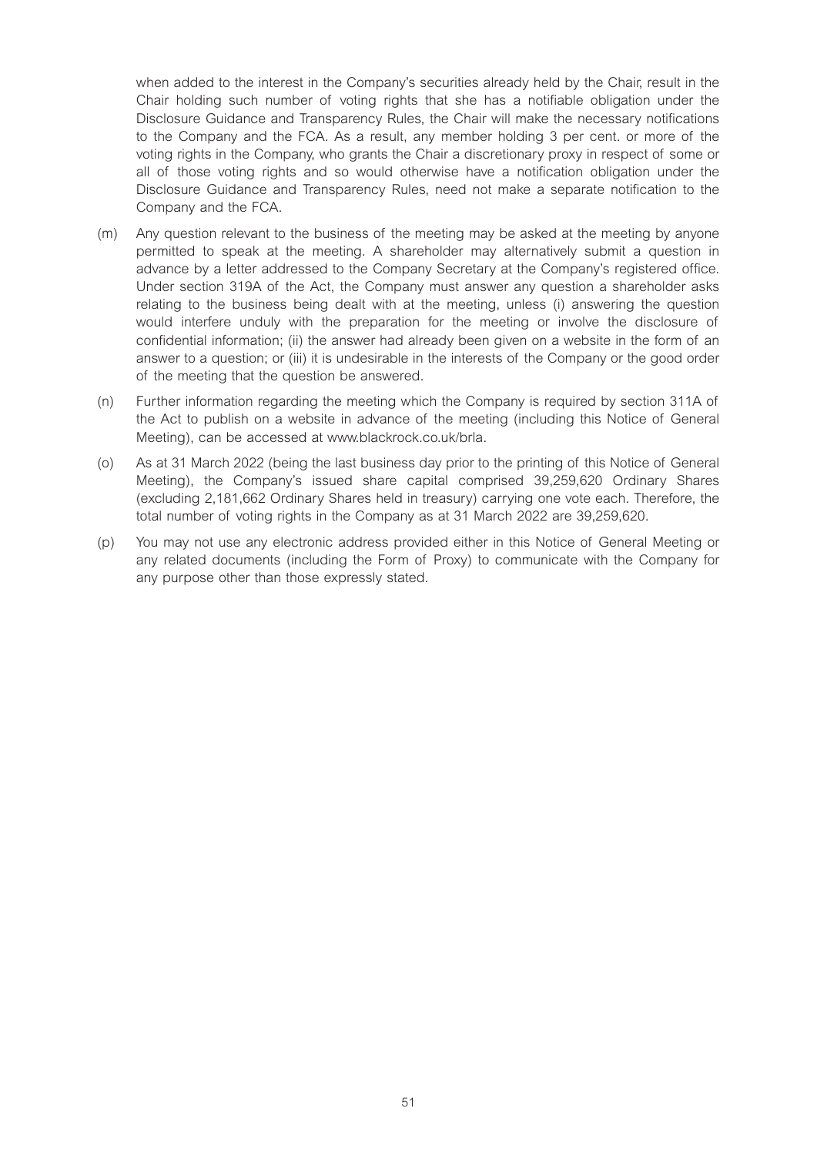when added to the interest in the Company's securities already held by the Chair, result in the Chair holding such number of voting rights that she has a notifiable obligation under the Disclosure Guidance and Transparency Rules, the Chair will make the necessary notifications to the Company and the FCA. As a result, any member holding 3 per cent. or more of the voting rights in the Company, who grants the Chair a discretionary proxy in respect of some or all of those voting rights and so would otherwise have a notification obligation under the Disclosure Guidance and Transparency Rules, need not make a separate notification to the Company and the FCA.

- (m) Any question relevant to the business of the meeting may be asked at the meeting by anyone permitted to speak at the meeting. A shareholder may alternatively submit a question in advance by a letter addressed to the Company Secretary at the Company's registered office. Under section 319A of the Act, the Company must answer any question a shareholder asks relating to the business being dealt with at the meeting, unless (i) answering the question would interfere unduly with the preparation for the meeting or involve the disclosure of confidential information; (ii) the answer had already been given on a website in the form of an answer to a question; or (iii) it is undesirable in the interests of the Company or the good order of the meeting that the question be answered.
- (n) Further information regarding the meeting which the Company is required by section 311A of the Act to publish on a website in advance of the meeting (including this Notice of General Meeting), can be accessed at www.blackrock.co.uk/brla.
- (o) As at 31 March 2022 (being the last business day prior to the printing of this Notice of General Meeting), the Company's issued share capital comprised 39,259,620 Ordinary Shares (excluding 2,181,662 Ordinary Shares held in treasury) carrying one vote each. Therefore, the total number of voting rights in the Company as at 31 March 2022 are 39,259,620.
- (p) You may not use any electronic address provided either in this Notice of General Meeting or any related documents (including the Form of Proxy) to communicate with the Company for any purpose other than those expressly stated.